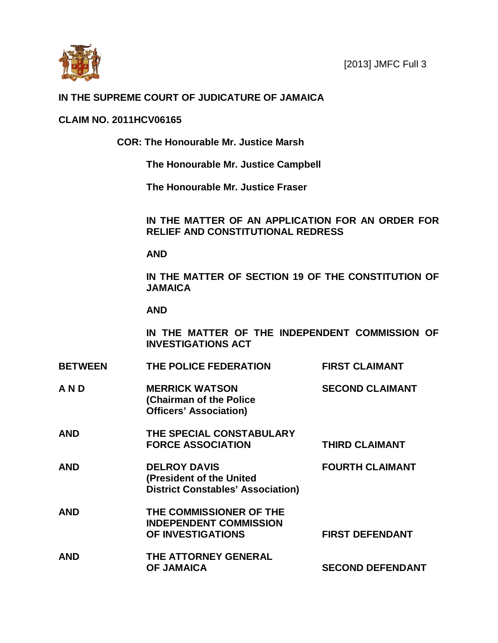

## **IN THE SUPREME COURT OF JUDICATURE OF JAMAICA**

#### **CLAIM NO. 2011HCV06165**

**COR: The Honourable Mr. Justice Marsh**

**The Honourable Mr. Justice Campbell**

**The Honourable Mr. Justice Fraser**

**IN THE MATTER OF AN APPLICATION FOR AN ORDER FOR RELIEF AND CONSTITUTIONAL REDRESS**

**AND**

**IN THE MATTER OF SECTION 19 OF THE CONSTITUTION OF JAMAICA**

**AND**

**IN THE MATTER OF THE INDEPENDENT COMMISSION OF INVESTIGATIONS ACT**

- **BETWEEN THE POLICE FEDERATION FIRST CLAIMANT**
- **A N D MERRICK WATSON SECOND CLAIMANT (Chairman of the Police Officers' Association)**
- **AND THE SPECIAL CONSTABULARY FORCE ASSOCIATION THIRD CLAIMANT**
- **AND DELROY DAVIS FOURTH CLAIMANT (President of the United District Constables' Association)**
- **AND THE COMMISSIONER OF THE INDEPENDENT COMMISSION OF INVESTIGATIONS FIRST DEFENDANT**
- AND THE ATTORNEY GENERAL **OF JAMAICA SECOND DEFENDANT**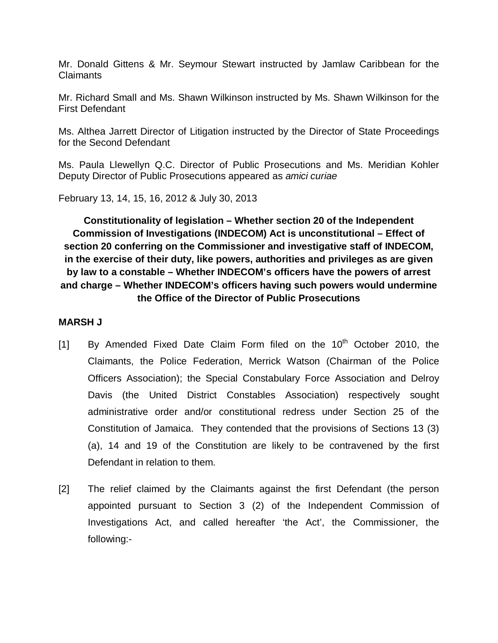Mr. Donald Gittens & Mr. Seymour Stewart instructed by Jamlaw Caribbean for the Claimants

Mr. Richard Small and Ms. Shawn Wilkinson instructed by Ms. Shawn Wilkinson for the First Defendant

Ms. Althea Jarrett Director of Litigation instructed by the Director of State Proceedings for the Second Defendant

Ms. Paula Llewellyn Q.C. Director of Public Prosecutions and Ms. Meridian Kohler Deputy Director of Public Prosecutions appeared as *amici curiae*

February 13, 14, 15, 16, 2012 & July 30, 2013

**Constitutionality of legislation – Whether section 20 of the Independent Commission of Investigations (INDECOM) Act is unconstitutional – Effect of section 20 conferring on the Commissioner and investigative staff of INDECOM, in the exercise of their duty, like powers, authorities and privileges as are given by law to a constable – Whether INDECOM's officers have the powers of arrest and charge – Whether INDECOM's officers having such powers would undermine the Office of the Director of Public Prosecutions**

#### **MARSH J**

- [1] By Amended Fixed Date Claim Form filed on the  $10<sup>th</sup>$  October 2010, the Claimants, the Police Federation, Merrick Watson (Chairman of the Police Officers Association); the Special Constabulary Force Association and Delroy Davis (the United District Constables Association) respectively sought administrative order and/or constitutional redress under Section 25 of the Constitution of Jamaica. They contended that the provisions of Sections 13 (3) (a), 14 and 19 of the Constitution are likely to be contravened by the first Defendant in relation to them.
- [2] The relief claimed by the Claimants against the first Defendant (the person appointed pursuant to Section 3 (2) of the Independent Commission of Investigations Act, and called hereafter 'the Act', the Commissioner, the following:-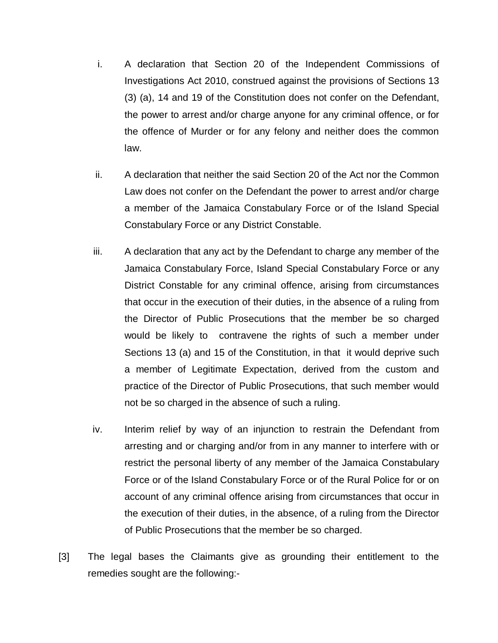- i. A declaration that Section 20 of the Independent Commissions of Investigations Act 2010, construed against the provisions of Sections 13 (3) (a), 14 and 19 of the Constitution does not confer on the Defendant, the power to arrest and/or charge anyone for any criminal offence, or for the offence of Murder or for any felony and neither does the common law.
- ii. A declaration that neither the said Section 20 of the Act nor the Common Law does not confer on the Defendant the power to arrest and/or charge a member of the Jamaica Constabulary Force or of the Island Special Constabulary Force or any District Constable.
- iii. A declaration that any act by the Defendant to charge any member of the Jamaica Constabulary Force, Island Special Constabulary Force or any District Constable for any criminal offence, arising from circumstances that occur in the execution of their duties, in the absence of a ruling from the Director of Public Prosecutions that the member be so charged would be likely to contravene the rights of such a member under Sections 13 (a) and 15 of the Constitution, in that it would deprive such a member of Legitimate Expectation, derived from the custom and practice of the Director of Public Prosecutions, that such member would not be so charged in the absence of such a ruling.
- iv. Interim relief by way of an injunction to restrain the Defendant from arresting and or charging and/or from in any manner to interfere with or restrict the personal liberty of any member of the Jamaica Constabulary Force or of the Island Constabulary Force or of the Rural Police for or on account of any criminal offence arising from circumstances that occur in the execution of their duties, in the absence, of a ruling from the Director of Public Prosecutions that the member be so charged.
- [3] The legal bases the Claimants give as grounding their entitlement to the remedies sought are the following:-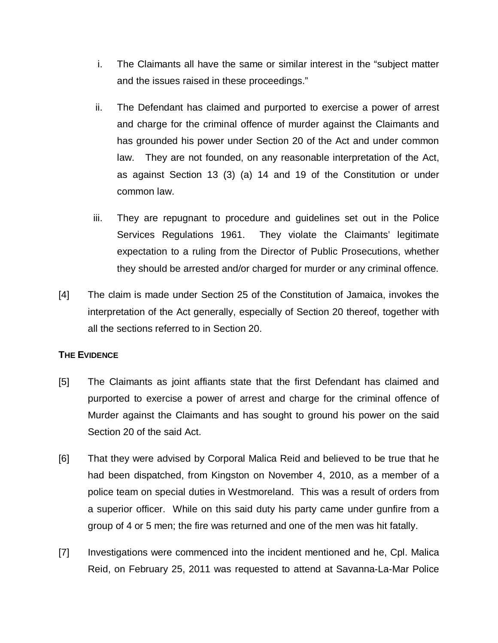- i. The Claimants all have the same or similar interest in the "subject matter and the issues raised in these proceedings."
- ii. The Defendant has claimed and purported to exercise a power of arrest and charge for the criminal offence of murder against the Claimants and has grounded his power under Section 20 of the Act and under common law. They are not founded, on any reasonable interpretation of the Act, as against Section 13 (3) (a) 14 and 19 of the Constitution or under common law.
- iii. They are repugnant to procedure and guidelines set out in the Police Services Regulations 1961. They violate the Claimants' legitimate expectation to a ruling from the Director of Public Prosecutions, whether they should be arrested and/or charged for murder or any criminal offence.
- [4] The claim is made under Section 25 of the Constitution of Jamaica, invokes the interpretation of the Act generally, especially of Section 20 thereof, together with all the sections referred to in Section 20.

### **THE EVIDENCE**

- [5] The Claimants as joint affiants state that the first Defendant has claimed and purported to exercise a power of arrest and charge for the criminal offence of Murder against the Claimants and has sought to ground his power on the said Section 20 of the said Act.
- [6] That they were advised by Corporal Malica Reid and believed to be true that he had been dispatched, from Kingston on November 4, 2010, as a member of a police team on special duties in Westmoreland. This was a result of orders from a superior officer. While on this said duty his party came under gunfire from a group of 4 or 5 men; the fire was returned and one of the men was hit fatally.
- [7] Investigations were commenced into the incident mentioned and he, Cpl. Malica Reid, on February 25, 2011 was requested to attend at Savanna-La-Mar Police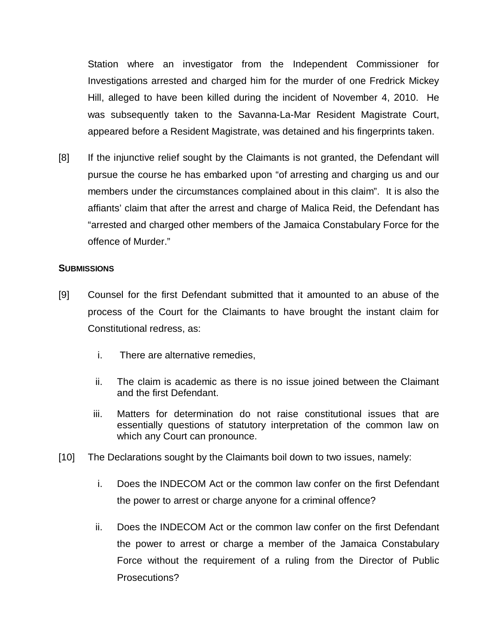Station where an investigator from the Independent Commissioner for Investigations arrested and charged him for the murder of one Fredrick Mickey Hill, alleged to have been killed during the incident of November 4, 2010. He was subsequently taken to the Savanna-La-Mar Resident Magistrate Court, appeared before a Resident Magistrate, was detained and his fingerprints taken.

[8] If the injunctive relief sought by the Claimants is not granted, the Defendant will pursue the course he has embarked upon "of arresting and charging us and our members under the circumstances complained about in this claim". It is also the affiants' claim that after the arrest and charge of Malica Reid, the Defendant has "arrested and charged other members of the Jamaica Constabulary Force for the offence of Murder."

#### **SUBMISSIONS**

- [9] Counsel for the first Defendant submitted that it amounted to an abuse of the process of the Court for the Claimants to have brought the instant claim for Constitutional redress, as:
	- i. There are alternative remedies,
	- ii. The claim is academic as there is no issue joined between the Claimant and the first Defendant.
	- iii. Matters for determination do not raise constitutional issues that are essentially questions of statutory interpretation of the common law on which any Court can pronounce.
- [10] The Declarations sought by the Claimants boil down to two issues, namely:
	- i. Does the INDECOM Act or the common law confer on the first Defendant the power to arrest or charge anyone for a criminal offence?
	- ii. Does the INDECOM Act or the common law confer on the first Defendant the power to arrest or charge a member of the Jamaica Constabulary Force without the requirement of a ruling from the Director of Public Prosecutions?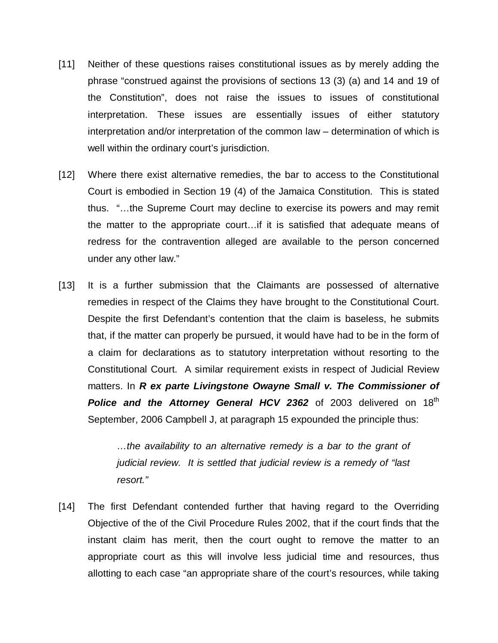- [11] Neither of these questions raises constitutional issues as by merely adding the phrase "construed against the provisions of sections 13 (3) (a) and 14 and 19 of the Constitution", does not raise the issues to issues of constitutional interpretation. These issues are essentially issues of either statutory interpretation and/or interpretation of the common law – determination of which is well within the ordinary court's jurisdiction.
- [12] Where there exist alternative remedies, the bar to access to the Constitutional Court is embodied in Section 19 (4) of the Jamaica Constitution. This is stated thus. "…the Supreme Court may decline to exercise its powers and may remit the matter to the appropriate court…if it is satisfied that adequate means of redress for the contravention alleged are available to the person concerned under any other law."
- [13] It is a further submission that the Claimants are possessed of alternative remedies in respect of the Claims they have brought to the Constitutional Court. Despite the first Defendant's contention that the claim is baseless, he submits that, if the matter can properly be pursued, it would have had to be in the form of a claim for declarations as to statutory interpretation without resorting to the Constitutional Court. A similar requirement exists in respect of Judicial Review matters. In *R ex parte Livingstone Owayne Small v. The Commissioner of*  **Police and the Attorney General HCV 2362** of 2003 delivered on 18<sup>th</sup> September, 2006 Campbell J, at paragraph 15 expounded the principle thus:

*…the availability to an alternative remedy is a bar to the grant of judicial review. It is settled that judicial review is a remedy of "last resort."*

[14] The first Defendant contended further that having regard to the Overriding Objective of the of the Civil Procedure Rules 2002, that if the court finds that the instant claim has merit, then the court ought to remove the matter to an appropriate court as this will involve less judicial time and resources, thus allotting to each case "an appropriate share of the court's resources, while taking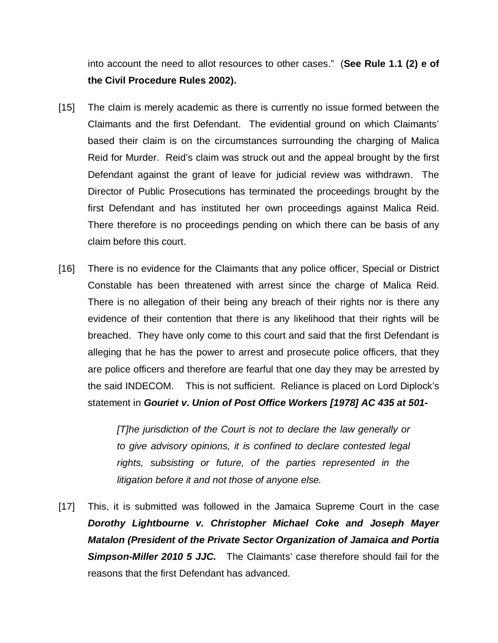into account the need to allot resources to other cases." (**See Rule 1.1 (2) e of the Civil Procedure Rules 2002).**

- [15] The claim is merely academic as there is currently no issue formed between the Claimants and the first Defendant. The evidential ground on which Claimants' based their claim is on the circumstances surrounding the charging of Malica Reid for Murder. Reid's claim was struck out and the appeal brought by the first Defendant against the grant of leave for judicial review was withdrawn. The Director of Public Prosecutions has terminated the proceedings brought by the first Defendant and has instituted her own proceedings against Malica Reid. There therefore is no proceedings pending on which there can be basis of any claim before this court.
- [16] There is no evidence for the Claimants that any police officer, Special or District Constable has been threatened with arrest since the charge of Malica Reid. There is no allegation of their being any breach of their rights nor is there any evidence of their contention that there is any likelihood that their rights will be breached. They have only come to this court and said that the first Defendant is alleging that he has the power to arrest and prosecute police officers, that they are police officers and therefore are fearful that one day they may be arrested by the said INDECOM. This is not sufficient. Reliance is placed on Lord Diplock's statement in *Gouriet v. Union of Post Office Workers [1978] AC 435 at 501-*

*[T]he jurisdiction of the Court is not to declare the law generally or to give advisory opinions, it is confined to declare contested legal rights, subsisting or future, of the parties represented in the litigation before it and not those of anyone else.*

[17] This, it is submitted was followed in the Jamaica Supreme Court in the case *Dorothy Lightbourne v. Christopher Michael Coke and Joseph Mayer Matalon (President of the Private Sector Organization of Jamaica and Portia Simpson-Miller 2010 5 JJC.* The Claimants' case therefore should fail for the reasons that the first Defendant has advanced.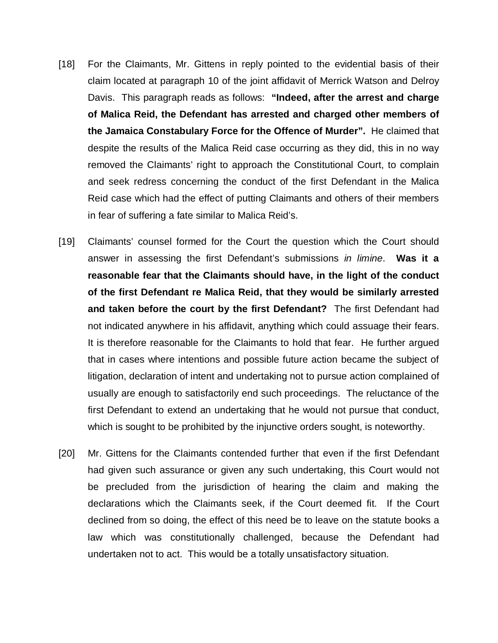- [18] For the Claimants, Mr. Gittens in reply pointed to the evidential basis of their claim located at paragraph 10 of the joint affidavit of Merrick Watson and Delroy Davis. This paragraph reads as follows: **"Indeed, after the arrest and charge of Malica Reid, the Defendant has arrested and charged other members of the Jamaica Constabulary Force for the Offence of Murder".** He claimed that despite the results of the Malica Reid case occurring as they did, this in no way removed the Claimants' right to approach the Constitutional Court, to complain and seek redress concerning the conduct of the first Defendant in the Malica Reid case which had the effect of putting Claimants and others of their members in fear of suffering a fate similar to Malica Reid's.
- [19] Claimants' counsel formed for the Court the question which the Court should answer in assessing the first Defendant's submissions *in limine*. **Was it a reasonable fear that the Claimants should have, in the light of the conduct of the first Defendant re Malica Reid, that they would be similarly arrested and taken before the court by the first Defendant?** The first Defendant had not indicated anywhere in his affidavit, anything which could assuage their fears. It is therefore reasonable for the Claimants to hold that fear. He further argued that in cases where intentions and possible future action became the subject of litigation, declaration of intent and undertaking not to pursue action complained of usually are enough to satisfactorily end such proceedings. The reluctance of the first Defendant to extend an undertaking that he would not pursue that conduct, which is sought to be prohibited by the injunctive orders sought, is noteworthy.
- [20] Mr. Gittens for the Claimants contended further that even if the first Defendant had given such assurance or given any such undertaking, this Court would not be precluded from the jurisdiction of hearing the claim and making the declarations which the Claimants seek, if the Court deemed fit. If the Court declined from so doing, the effect of this need be to leave on the statute books a law which was constitutionally challenged, because the Defendant had undertaken not to act. This would be a totally unsatisfactory situation.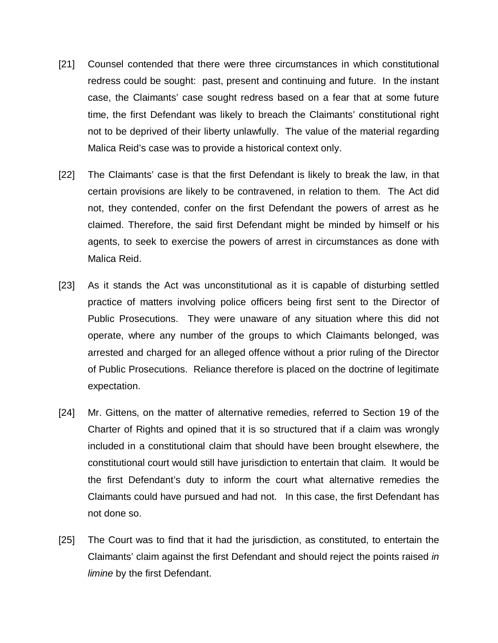- [21] Counsel contended that there were three circumstances in which constitutional redress could be sought: past, present and continuing and future. In the instant case, the Claimants' case sought redress based on a fear that at some future time, the first Defendant was likely to breach the Claimants' constitutional right not to be deprived of their liberty unlawfully. The value of the material regarding Malica Reid's case was to provide a historical context only.
- [22] The Claimants' case is that the first Defendant is likely to break the law, in that certain provisions are likely to be contravened, in relation to them. The Act did not, they contended, confer on the first Defendant the powers of arrest as he claimed. Therefore, the said first Defendant might be minded by himself or his agents, to seek to exercise the powers of arrest in circumstances as done with Malica Reid.
- [23] As it stands the Act was unconstitutional as it is capable of disturbing settled practice of matters involving police officers being first sent to the Director of Public Prosecutions. They were unaware of any situation where this did not operate, where any number of the groups to which Claimants belonged, was arrested and charged for an alleged offence without a prior ruling of the Director of Public Prosecutions. Reliance therefore is placed on the doctrine of legitimate expectation.
- [24] Mr. Gittens, on the matter of alternative remedies, referred to Section 19 of the Charter of Rights and opined that it is so structured that if a claim was wrongly included in a constitutional claim that should have been brought elsewhere, the constitutional court would still have jurisdiction to entertain that claim. It would be the first Defendant's duty to inform the court what alternative remedies the Claimants could have pursued and had not. In this case, the first Defendant has not done so.
- [25] The Court was to find that it had the jurisdiction, as constituted, to entertain the Claimants' claim against the first Defendant and should reject the points raised *in limine* by the first Defendant.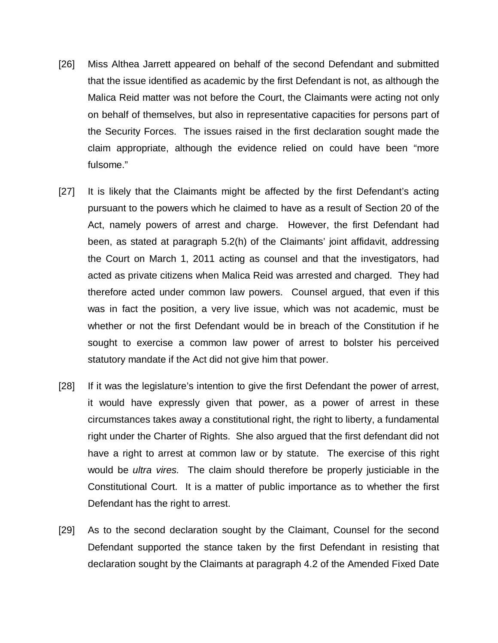- [26] Miss Althea Jarrett appeared on behalf of the second Defendant and submitted that the issue identified as academic by the first Defendant is not, as although the Malica Reid matter was not before the Court, the Claimants were acting not only on behalf of themselves, but also in representative capacities for persons part of the Security Forces. The issues raised in the first declaration sought made the claim appropriate, although the evidence relied on could have been "more fulsome."
- [27] It is likely that the Claimants might be affected by the first Defendant's acting pursuant to the powers which he claimed to have as a result of Section 20 of the Act, namely powers of arrest and charge. However, the first Defendant had been, as stated at paragraph 5.2(h) of the Claimants' joint affidavit, addressing the Court on March 1, 2011 acting as counsel and that the investigators, had acted as private citizens when Malica Reid was arrested and charged. They had therefore acted under common law powers. Counsel argued, that even if this was in fact the position, a very live issue, which was not academic, must be whether or not the first Defendant would be in breach of the Constitution if he sought to exercise a common law power of arrest to bolster his perceived statutory mandate if the Act did not give him that power.
- [28] If it was the legislature's intention to give the first Defendant the power of arrest, it would have expressly given that power, as a power of arrest in these circumstances takes away a constitutional right, the right to liberty, a fundamental right under the Charter of Rights. She also argued that the first defendant did not have a right to arrest at common law or by statute. The exercise of this right would be *ultra vires.* The claim should therefore be properly [justiciable](https://www.google.com.jm/search?q=justiciable&spell=1&sa=X&ei=0IvMUfSmK4O09gT_74CoCw&ved=0CCYQvwUoAA&biw=1024&bih=625) in the Constitutional Court. It is a matter of public importance as to whether the first Defendant has the right to arrest.
- [29] As to the second declaration sought by the Claimant, Counsel for the second Defendant supported the stance taken by the first Defendant in resisting that declaration sought by the Claimants at paragraph 4.2 of the Amended Fixed Date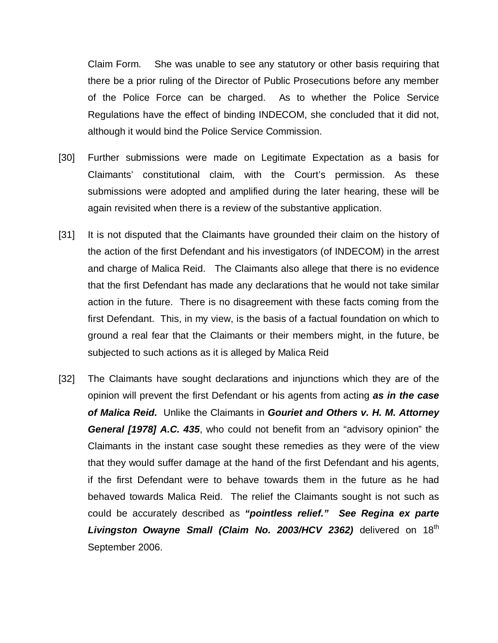Claim Form. She was unable to see any statutory or other basis requiring that there be a prior ruling of the Director of Public Prosecutions before any member of the Police Force can be charged. As to whether the Police Service Regulations have the effect of binding INDECOM, she concluded that it did not, although it would bind the Police Service Commission.

- [30] Further submissions were made on Legitimate Expectation as a basis for Claimants' constitutional claim, with the Court's permission. As these submissions were adopted and amplified during the later hearing, these will be again revisited when there is a review of the substantive application.
- [31] It is not disputed that the Claimants have grounded their claim on the history of the action of the first Defendant and his investigators (of INDECOM) in the arrest and charge of Malica Reid. The Claimants also allege that there is no evidence that the first Defendant has made any declarations that he would not take similar action in the future. There is no disagreement with these facts coming from the first Defendant. This, in my view, is the basis of a factual foundation on which to ground a real fear that the Claimants or their members might, in the future, be subjected to such actions as it is alleged by Malica Reid
- [32] The Claimants have sought declarations and injunctions which they are of the opinion will prevent the first Defendant or his agents from acting *as in the case of Malica Reid.* Unlike the Claimants in *Gouriet and Others v. H. M. Attorney General [1978] A.C. 435*, who could not benefit from an "advisory opinion" the Claimants in the instant case sought these remedies as they were of the view that they would suffer damage at the hand of the first Defendant and his agents, if the first Defendant were to behave towards them in the future as he had behaved towards Malica Reid. The relief the Claimants sought is not such as could be accurately described as *"pointless relief." See Regina ex parte* Livingston Owayne Small (Claim No. 2003/HCV 2362) delivered on 18<sup>th</sup> September 2006.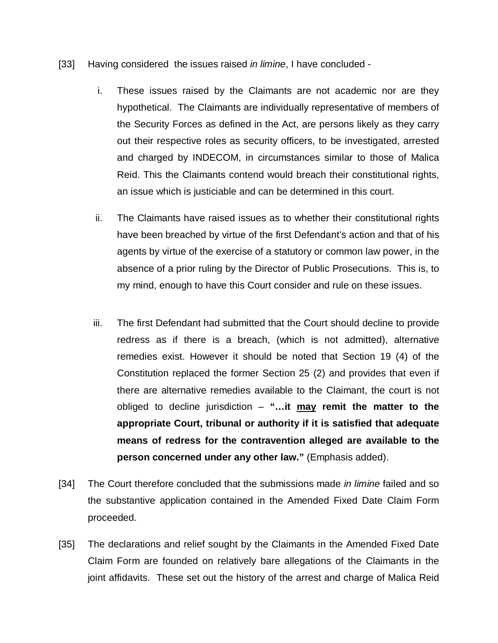- [33] Having considered the issues raised *in limine*, I have concluded
	- i. These issues raised by the Claimants are not academic nor are they hypothetical. The Claimants are individually representative of members of the Security Forces as defined in the Act, are persons likely as they carry out their respective roles as security officers, to be investigated, arrested and charged by INDECOM, in circumstances similar to those of Malica Reid. This the Claimants contend would breach their constitutional rights, an issue which is justiciable and can be determined in this court.
	- ii. The Claimants have raised issues as to whether their constitutional rights have been breached by virtue of the first Defendant's action and that of his agents by virtue of the exercise of a statutory or common law power, in the absence of a prior ruling by the Director of Public Prosecutions. This is, to my mind, enough to have this Court consider and rule on these issues.
	- iii. The first Defendant had submitted that the Court should decline to provide redress as if there is a breach, (which is not admitted), alternative remedies exist. However it should be noted that Section 19 (4) of the Constitution replaced the former Section 25 (2) and provides that even if there are alternative remedies available to the Claimant, the court is not obliged to decline jurisdiction – **"…it may remit the matter to the appropriate Court, tribunal or authority if it is satisfied that adequate means of redress for the contravention alleged are available to the person concerned under any other law."** (Emphasis added).
- [34] The Court therefore concluded that the submissions made *in limine* failed and so the substantive application contained in the Amended Fixed Date Claim Form proceeded.
- [35] The declarations and relief sought by the Claimants in the Amended Fixed Date Claim Form are founded on relatively bare allegations of the Claimants in the joint affidavits. These set out the history of the arrest and charge of Malica Reid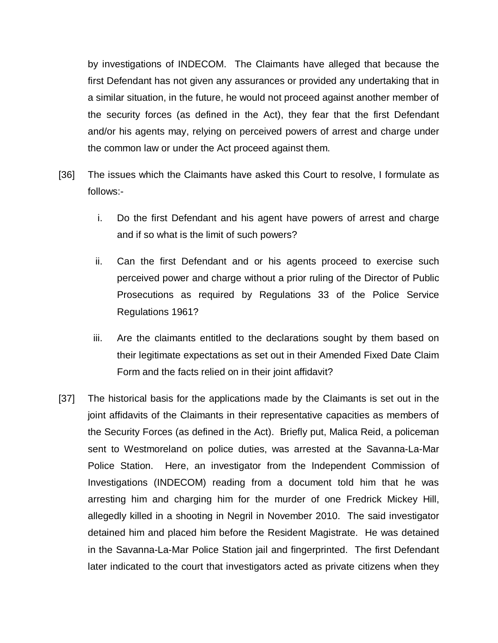by investigations of INDECOM. The Claimants have alleged that because the first Defendant has not given any assurances or provided any undertaking that in a similar situation, in the future, he would not proceed against another member of the security forces (as defined in the Act), they fear that the first Defendant and/or his agents may, relying on perceived powers of arrest and charge under the common law or under the Act proceed against them.

- [36] The issues which the Claimants have asked this Court to resolve, I formulate as follows:
	- i. Do the first Defendant and his agent have powers of arrest and charge and if so what is the limit of such powers?
	- ii. Can the first Defendant and or his agents proceed to exercise such perceived power and charge without a prior ruling of the Director of Public Prosecutions as required by Regulations 33 of the Police Service Regulations 1961?
	- iii. Are the claimants entitled to the declarations sought by them based on their legitimate expectations as set out in their Amended Fixed Date Claim Form and the facts relied on in their joint affidavit?
- [37] The historical basis for the applications made by the Claimants is set out in the joint affidavits of the Claimants in their representative capacities as members of the Security Forces (as defined in the Act). Briefly put, Malica Reid, a policeman sent to Westmoreland on police duties, was arrested at the Savanna-La-Mar Police Station. Here, an investigator from the Independent Commission of Investigations (INDECOM) reading from a document told him that he was arresting him and charging him for the murder of one Fredrick Mickey Hill, allegedly killed in a shooting in Negril in November 2010. The said investigator detained him and placed him before the Resident Magistrate. He was detained in the Savanna-La-Mar Police Station jail and fingerprinted. The first Defendant later indicated to the court that investigators acted as private citizens when they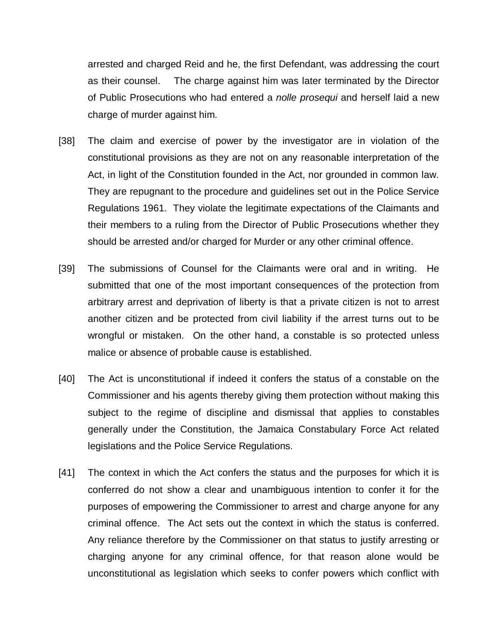arrested and charged Reid and he, the first Defendant, was addressing the court as their counsel. The charge against him was later terminated by the Director of Public Prosecutions who had entered a *nolle prosequi* and herself laid a new charge of murder against him.

- [38] The claim and exercise of power by the investigator are in violation of the constitutional provisions as they are not on any reasonable interpretation of the Act, in light of the Constitution founded in the Act, nor grounded in common law. They are repugnant to the procedure and guidelines set out in the Police Service Regulations 1961. They violate the legitimate expectations of the Claimants and their members to a ruling from the Director of Public Prosecutions whether they should be arrested and/or charged for Murder or any other criminal offence.
- [39] The submissions of Counsel for the Claimants were oral and in writing. He submitted that one of the most important consequences of the protection from arbitrary arrest and deprivation of liberty is that a private citizen is not to arrest another citizen and be protected from civil liability if the arrest turns out to be wrongful or mistaken. On the other hand, a constable is so protected unless malice or absence of probable cause is established.
- [40] The Act is unconstitutional if indeed it confers the status of a constable on the Commissioner and his agents thereby giving them protection without making this subject to the regime of discipline and dismissal that applies to constables generally under the Constitution, the Jamaica Constabulary Force Act related legislations and the Police Service Regulations.
- [41] The context in which the Act confers the status and the purposes for which it is conferred do not show a clear and unambiguous intention to confer it for the purposes of empowering the Commissioner to arrest and charge anyone for any criminal offence. The Act sets out the context in which the status is conferred. Any reliance therefore by the Commissioner on that status to justify arresting or charging anyone for any criminal offence, for that reason alone would be unconstitutional as legislation which seeks to confer powers which conflict with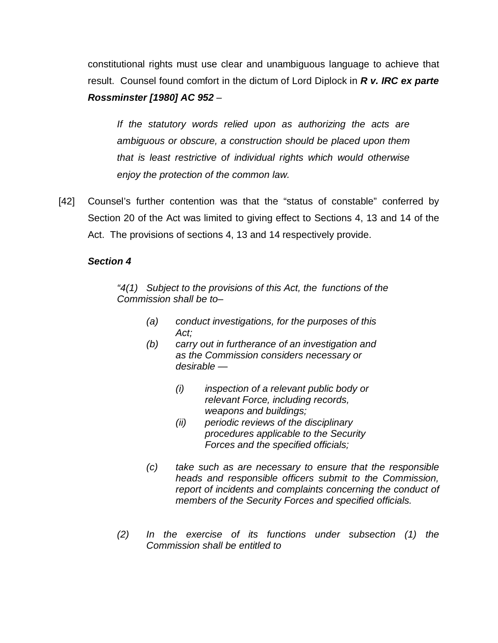constitutional rights must use clear and unambiguous language to achieve that result. Counsel found comfort in the dictum of Lord Diplock in *R v. IRC ex parte Rossminster [1980] AC 952 –*

*If the statutory words relied upon as authorizing the acts are ambiguous or obscure, a construction should be placed upon them that is least restrictive of individual rights which would otherwise enjoy the protection of the common law.*

[42] Counsel's further contention was that the "status of constable" conferred by Section 20 of the Act was limited to giving effect to Sections 4, 13 and 14 of the Act. The provisions of sections 4, 13 and 14 respectively provide.

# *Section 4*

*"4(1) Subject to the provisions of this Act, the functions of the Commission shall be to–*

- *(a) conduct investigations, for the purposes of this Act;*
- *(b) carry out in furtherance of an investigation and as the Commission considers necessary or desirable —*
	- *(i) inspection of a relevant public body or relevant Force, including records, weapons and buildings;*
	- *(ii) periodic reviews of the disciplinary procedures applicable to the Security Forces and the specified officials;*
- *(c) take such as are necessary to ensure that the responsible heads and responsible officers submit to the Commission, report of incidents and complaints concerning the conduct of members of the Security Forces and specified officials.*
- *(2) In the exercise of its functions under subsection (1) the Commission shall be entitled to*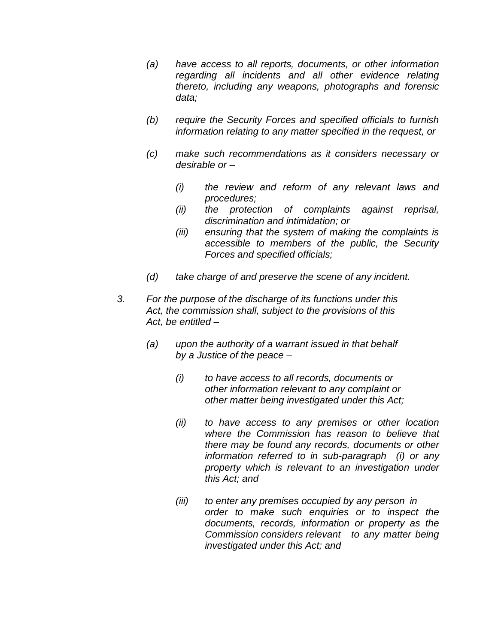- *(a) have access to all reports, documents, or other information regarding all incidents and all other evidence relating thereto, including any weapons, photographs and forensic data;*
- *(b) require the Security Forces and specified officials to furnish information relating to any matter specified in the request, or*
- *(c) make such recommendations as it considers necessary or desirable or –*
	- *(i) the review and reform of any relevant laws and procedures;*
	- *(ii) the protection of complaints against reprisal, discrimination and intimidation; or*
	- *(iii) ensuring that the system of making the complaints is accessible to members of the public, the Security Forces and specified officials;*
- *(d) take charge of and preserve the scene of any incident.*
- *3. For the purpose of the discharge of its functions under this Act, the commission shall, subject to the provisions of this Act, be entitled –*
	- *(a) upon the authority of a warrant issued in that behalf by a Justice of the peace –*
		- *(i) to have access to all records, documents or other information relevant to any complaint or other matter being investigated under this Act;*
		- *(ii) to have access to any premises or other location where the Commission has reason to believe that there may be found any records, documents or other information referred to in sub-paragraph (i) or any property which is relevant to an investigation under this Act; and*
		- *(iii) to enter any premises occupied by any person in order to make such enquiries or to inspect the documents, records, information or property as the Commission considers relevant to any matter being investigated under this Act; and*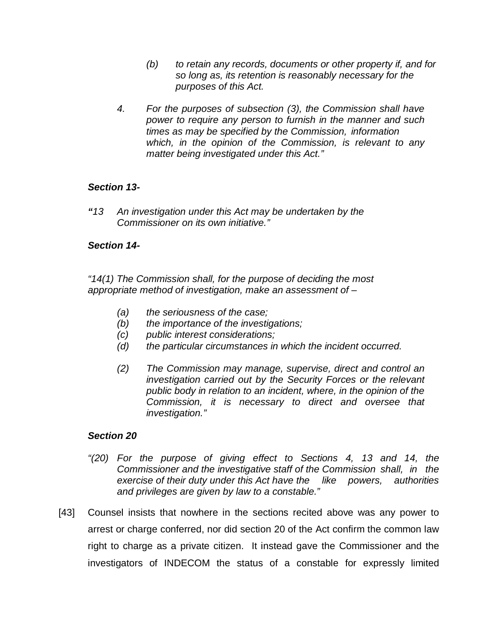- *(b) to retain any records, documents or other property if, and for so long as, its retention is reasonably necessary for the purposes of this Act.*
- *4. For the purposes of subsection (3), the Commission shall have power to require any person to furnish in the manner and such times as may be specified by the Commission, information which, in the opinion of the Commission, is relevant to any matter being investigated under this Act."*

### *Section 13-*

*"13 An investigation under this Act may be undertaken by the Commissioner on its own initiative."*

### *Section 14-*

*"14(1) The Commission shall, for the purpose of deciding the most appropriate method of investigation, make an assessment of –*

- *(a) the seriousness of the case;*
- *(b) the importance of the investigations;*
- *(c) public interest considerations;*
- *(d) the particular circumstances in which the incident occurred.*
- *(2) The Commission may manage, supervise, direct and control an investigation carried out by the Security Forces or the relevant public body in relation to an incident, where, in the opinion of the Commission, it is necessary to direct and oversee that investigation."*

#### *Section 20*

- *"(20) For the purpose of giving effect to Sections 4, 13 and 14, the Commissioner and the investigative staff of the Commission shall, in the exercise of their duty under this Act have the like powers, authorities and privileges are given by law to a constable."*
- [43] Counsel insists that nowhere in the sections recited above was any power to arrest or charge conferred, nor did section 20 of the Act confirm the common law right to charge as a private citizen. It instead gave the Commissioner and the investigators of INDECOM the status of a constable for expressly limited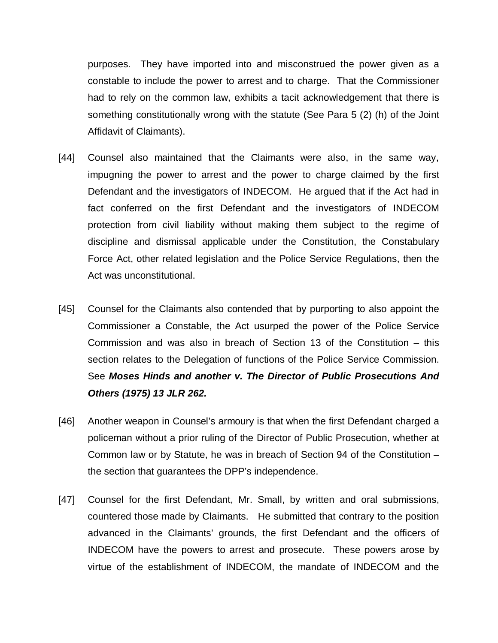purposes. They have imported into and misconstrued the power given as a constable to include the power to arrest and to charge. That the Commissioner had to rely on the common law, exhibits a tacit acknowledgement that there is something constitutionally wrong with the statute (See Para 5 (2) (h) of the Joint Affidavit of Claimants).

- [44] Counsel also maintained that the Claimants were also, in the same way, impugning the power to arrest and the power to charge claimed by the first Defendant and the investigators of INDECOM. He argued that if the Act had in fact conferred on the first Defendant and the investigators of INDECOM protection from civil liability without making them subject to the regime of discipline and dismissal applicable under the Constitution, the Constabulary Force Act, other related legislation and the Police Service Regulations, then the Act was unconstitutional.
- [45] Counsel for the Claimants also contended that by purporting to also appoint the Commissioner a Constable, the Act usurped the power of the Police Service Commission and was also in breach of Section 13 of the Constitution – this section relates to the Delegation of functions of the Police Service Commission. See *Moses Hinds and another v. The Director of Public Prosecutions And Others (1975) 13 JLR 262.*
- [46] Another weapon in Counsel's armoury is that when the first Defendant charged a policeman without a prior ruling of the Director of Public Prosecution, whether at Common law or by Statute, he was in breach of Section 94 of the Constitution – the section that guarantees the DPP's independence.
- [47] Counsel for the first Defendant, Mr. Small, by written and oral submissions, countered those made by Claimants. He submitted that contrary to the position advanced in the Claimants' grounds, the first Defendant and the officers of INDECOM have the powers to arrest and prosecute. These powers arose by virtue of the establishment of INDECOM, the mandate of INDECOM and the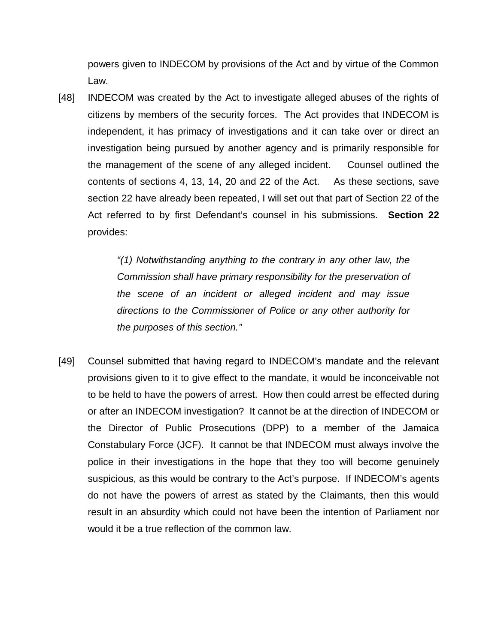powers given to INDECOM by provisions of the Act and by virtue of the Common Law.

[48] INDECOM was created by the Act to investigate alleged abuses of the rights of citizens by members of the security forces. The Act provides that INDECOM is independent, it has primacy of investigations and it can take over or direct an investigation being pursued by another agency and is primarily responsible for the management of the scene of any alleged incident. Counsel outlined the contents of sections 4, 13, 14, 20 and 22 of the Act. As these sections, save section 22 have already been repeated, I will set out that part of Section 22 of the Act referred to by first Defendant's counsel in his submissions. **Section 22** provides:

> *"(1) Notwithstanding anything to the contrary in any other law, the Commission shall have primary responsibility for the preservation of the scene of an incident or alleged incident and may issue directions to the Commissioner of Police or any other authority for the purposes of this section."*

[49] Counsel submitted that having regard to INDECOM's mandate and the relevant provisions given to it to give effect to the mandate, it would be inconceivable not to be held to have the powers of arrest. How then could arrest be effected during or after an INDECOM investigation? It cannot be at the direction of INDECOM or the Director of Public Prosecutions (DPP) to a member of the Jamaica Constabulary Force (JCF). It cannot be that INDECOM must always involve the police in their investigations in the hope that they too will become genuinely suspicious, as this would be contrary to the Act's purpose. If INDECOM's agents do not have the powers of arrest as stated by the Claimants, then this would result in an absurdity which could not have been the intention of Parliament nor would it be a true reflection of the common law.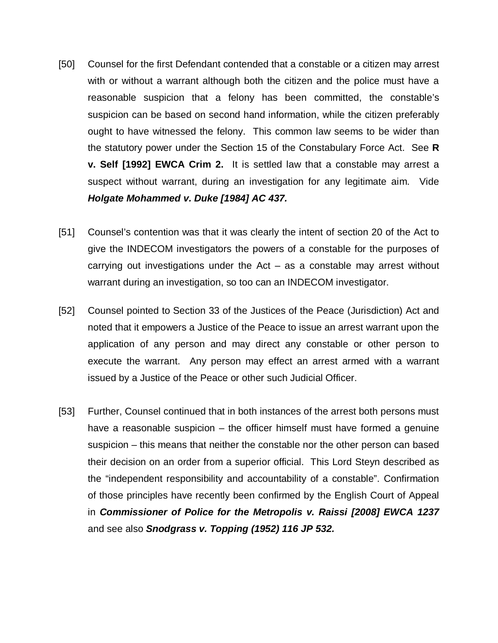- [50] Counsel for the first Defendant contended that a constable or a citizen may arrest with or without a warrant although both the citizen and the police must have a reasonable suspicion that a felony has been committed, the constable's suspicion can be based on second hand information, while the citizen preferably ought to have witnessed the felony. This common law seems to be wider than the statutory power under the Section 15 of the Constabulary Force Act. See **R v. Self [1992] EWCA Crim 2.** It is settled law that a constable may arrest a suspect without warrant, during an investigation for any legitimate aim. Vide *Holgate Mohammed v. Duke [1984] AC 437.*
- [51] Counsel's contention was that it was clearly the intent of section 20 of the Act to give the INDECOM investigators the powers of a constable for the purposes of carrying out investigations under the Act – as a constable may arrest without warrant during an investigation, so too can an INDECOM investigator.
- [52] Counsel pointed to Section 33 of the Justices of the Peace (Jurisdiction) Act and noted that it empowers a Justice of the Peace to issue an arrest warrant upon the application of any person and may direct any constable or other person to execute the warrant. Any person may effect an arrest armed with a warrant issued by a Justice of the Peace or other such Judicial Officer.
- [53] Further, Counsel continued that in both instances of the arrest both persons must have a reasonable suspicion – the officer himself must have formed a genuine suspicion – this means that neither the constable nor the other person can based their decision on an order from a superior official. This Lord Steyn described as the "independent responsibility and accountability of a constable". Confirmation of those principles have recently been confirmed by the English Court of Appeal in *Commissioner of Police for the Metropolis v. Raissi [2008] EWCA 1237* and see also *Snodgrass v. Topping (1952) 116 JP 532.*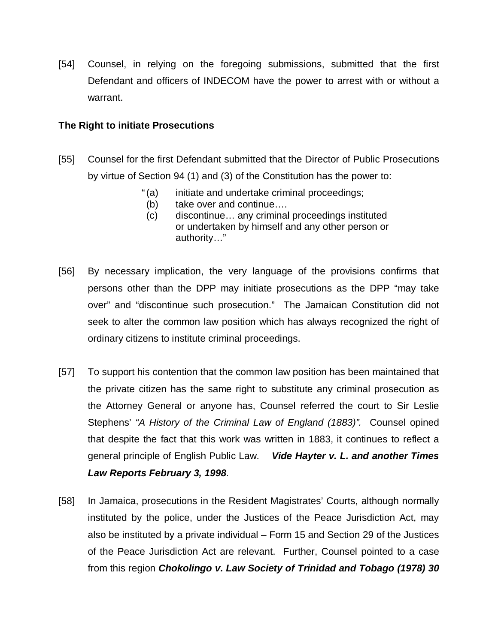[54] Counsel, in relying on the foregoing submissions, submitted that the first Defendant and officers of INDECOM have the power to arrest with or without a warrant.

#### **The Right to initiate Prosecutions**

- [55] Counsel for the first Defendant submitted that the Director of Public Prosecutions by virtue of Section 94 (1) and (3) of the Constitution has the power to:
	- "(a) initiate and undertake criminal proceedings;
	- (b) take over and continue….
	- (c) discontinue… any criminal proceedings instituted or undertaken by himself and any other person or authority…"
- [56] By necessary implication, the very language of the provisions confirms that persons other than the DPP may initiate prosecutions as the DPP "may take over" and "discontinue such prosecution." The Jamaican Constitution did not seek to alter the common law position which has always recognized the right of ordinary citizens to institute criminal proceedings.
- [57] To support his contention that the common law position has been maintained that the private citizen has the same right to substitute any criminal prosecution as the Attorney General or anyone has, Counsel referred the court to Sir Leslie Stephens' *"A History of the Criminal Law of England (1883)".* Counsel opined that despite the fact that this work was written in 1883, it continues to reflect a general principle of English Public Law. *Vide Hayter v. L. and another Times Law Reports February 3, 1998*.
- [58] In Jamaica, prosecutions in the Resident Magistrates' Courts, although normally instituted by the police, under the Justices of the Peace Jurisdiction Act, may also be instituted by a private individual – Form 15 and Section 29 of the Justices of the Peace Jurisdiction Act are relevant. Further, Counsel pointed to a case from this region *Chokolingo v. Law Society of Trinidad and Tobago (1978) 30*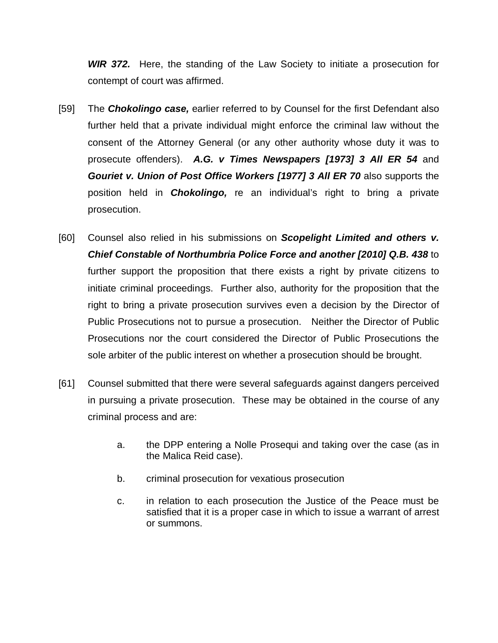*WIR 372.* Here, the standing of the Law Society to initiate a prosecution for contempt of court was affirmed.

- [59] The *Chokolingo case,* earlier referred to by Counsel for the first Defendant also further held that a private individual might enforce the criminal law without the consent of the Attorney General (or any other authority whose duty it was to prosecute offenders). *A.G. v Times Newspapers [1973] 3 All ER 54* and *Gouriet v. Union of Post Office Workers [1977] 3 All ER 70* also supports the position held in *Chokolingo,* re an individual's right to bring a private prosecution.
- [60] Counsel also relied in his submissions on *Scopelight Limited and others v. Chief Constable of Northumbria Police Force and another [2010] Q.B. 438* to further support the proposition that there exists a right by private citizens to initiate criminal proceedings. Further also, authority for the proposition that the right to bring a private prosecution survives even a decision by the Director of Public Prosecutions not to pursue a prosecution. Neither the Director of Public Prosecutions nor the court considered the Director of Public Prosecutions the sole arbiter of the public interest on whether a prosecution should be brought.
- [61] Counsel submitted that there were several safeguards against dangers perceived in pursuing a private prosecution. These may be obtained in the course of any criminal process and are:
	- a. the DPP entering a Nolle Prosequi and taking over the case (as in the Malica Reid case).
	- b. criminal prosecution for vexatious prosecution
	- c. in relation to each prosecution the Justice of the Peace must be satisfied that it is a proper case in which to issue a warrant of arrest or summons.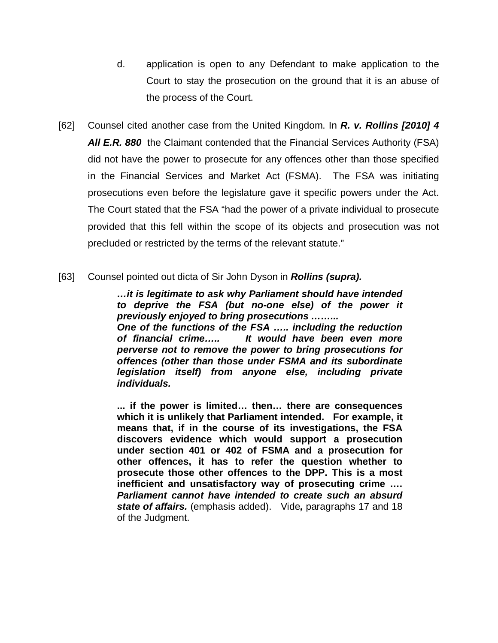- d. application is open to any Defendant to make application to the Court to stay the prosecution on the ground that it is an abuse of the process of the Court.
- [62] Counsel cited another case from the United Kingdom. In *R. v. Rollins [2010] 4*  **All E.R. 880** the Claimant contended that the Financial Services Authority (FSA) did not have the power to prosecute for any offences other than those specified in the Financial Services and Market Act (FSMA). The FSA was initiating prosecutions even before the legislature gave it specific powers under the Act. The Court stated that the FSA "had the power of a private individual to prosecute provided that this fell within the scope of its objects and prosecution was not precluded or restricted by the terms of the relevant statute."
- [63] Counsel pointed out dicta of Sir John Dyson in *Rollins (supra).*

*…it is legitimate to ask why Parliament should have intended to deprive the FSA (but no-one else) of the power it previously enjoyed to bring prosecutions ……... One of the functions of the FSA ….. including the reduction of financial crime….. It would have been even more perverse not to remove the power to bring prosecutions for offences (other than those under FSMA and its subordinate legislation itself) from anyone else, including private individuals.*

**... if the power is limited… then… there are consequences which it is unlikely that Parliament intended. For example, it means that, if in the course of its investigations, the FSA discovers evidence which would support a prosecution under section 401 or 402 of FSMA and a prosecution for other offences, it has to refer the question whether to prosecute those other offences to the DPP. This is a most inefficient and unsatisfactory way of prosecuting crime ….**  *Parliament cannot have intended to create such an absurd state of affairs.* (emphasis added). Vide*,* paragraphs 17 and 18 of the Judgment.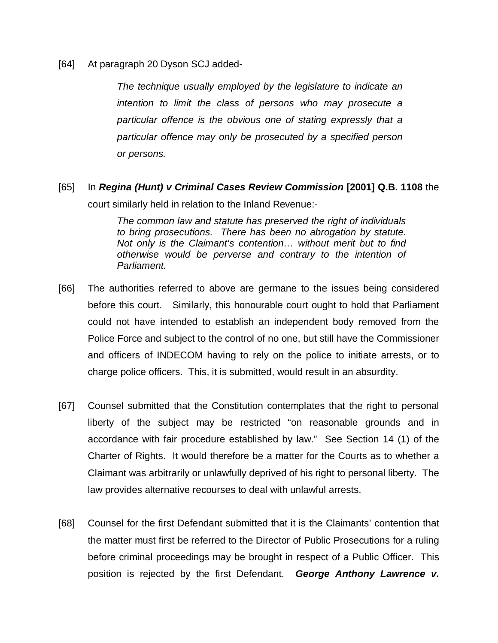[64] At paragraph 20 Dyson SCJ added-

*The technique usually employed by the legislature to indicate an intention to limit the class of persons who may prosecute a particular offence is the obvious one of stating expressly that a particular offence may only be prosecuted by a specified person or persons.*

# [65] In *Regina (Hunt) v Criminal Cases Review Commission* [2001] Q.B. 1108 the

court similarly held in relation to the Inland Revenue:-

*The common law and statute has preserved the right of individuals to bring prosecutions. There has been no abrogation by statute. Not only is the Claimant's contention… without merit but to find otherwise would be perverse and contrary to the intention of Parliament.*

- [66] The authorities referred to above are germane to the issues being considered before this court. Similarly, this honourable court ought to hold that Parliament could not have intended to establish an independent body removed from the Police Force and subject to the control of no one, but still have the Commissioner and officers of INDECOM having to rely on the police to initiate arrests, or to charge police officers. This, it is submitted, would result in an absurdity.
- [67] Counsel submitted that the Constitution contemplates that the right to personal liberty of the subject may be restricted "on reasonable grounds and in accordance with fair procedure established by law." See Section 14 (1) of the Charter of Rights. It would therefore be a matter for the Courts as to whether a Claimant was arbitrarily or unlawfully deprived of his right to personal liberty. The law provides alternative recourses to deal with unlawful arrests.
- [68] Counsel for the first Defendant submitted that it is the Claimants' contention that the matter must first be referred to the Director of Public Prosecutions for a ruling before criminal proceedings may be brought in respect of a Public Officer. This position is rejected by the first Defendant. *George Anthony Lawrence v.*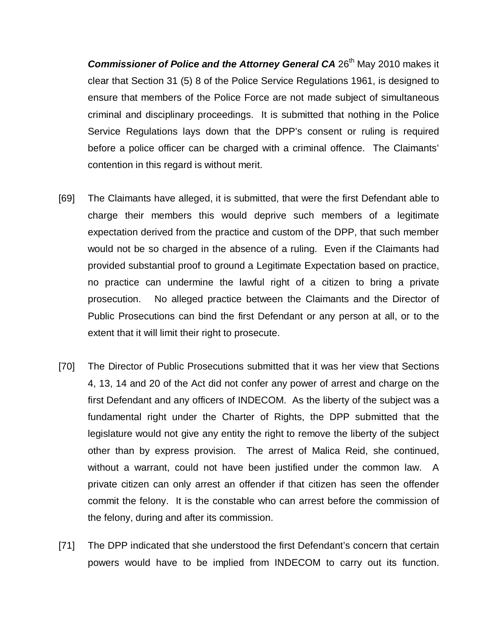**Commissioner of Police and the Attorney General CA 26<sup>th</sup> May 2010 makes it** clear that Section 31 (5) 8 of the Police Service Regulations 1961, is designed to ensure that members of the Police Force are not made subject of simultaneous criminal and disciplinary proceedings. It is submitted that nothing in the Police Service Regulations lays down that the DPP's consent or ruling is required before a police officer can be charged with a criminal offence. The Claimants' contention in this regard is without merit.

- [69] The Claimants have alleged, it is submitted, that were the first Defendant able to charge their members this would deprive such members of a legitimate expectation derived from the practice and custom of the DPP, that such member would not be so charged in the absence of a ruling. Even if the Claimants had provided substantial proof to ground a Legitimate Expectation based on practice, no practice can undermine the lawful right of a citizen to bring a private prosecution. No alleged practice between the Claimants and the Director of Public Prosecutions can bind the first Defendant or any person at all, or to the extent that it will limit their right to prosecute.
- [70] The Director of Public Prosecutions submitted that it was her view that Sections 4, 13, 14 and 20 of the Act did not confer any power of arrest and charge on the first Defendant and any officers of INDECOM. As the liberty of the subject was a fundamental right under the Charter of Rights, the DPP submitted that the legislature would not give any entity the right to remove the liberty of the subject other than by express provision. The arrest of Malica Reid, she continued, without a warrant, could not have been justified under the common law. A private citizen can only arrest an offender if that citizen has seen the offender commit the felony. It is the constable who can arrest before the commission of the felony, during and after its commission.
- [71] The DPP indicated that she understood the first Defendant's concern that certain powers would have to be implied from INDECOM to carry out its function.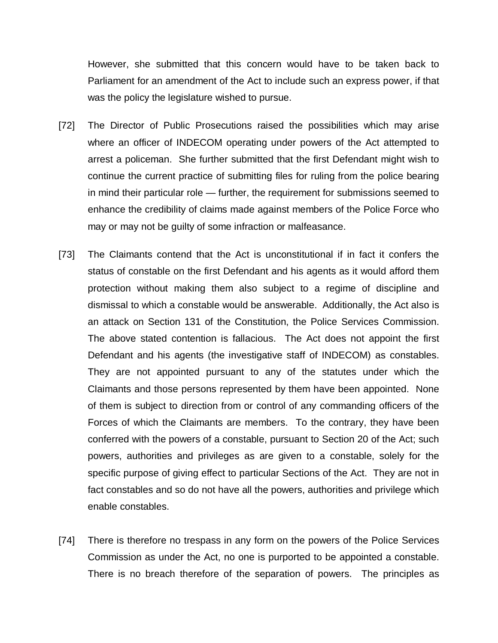However, she submitted that this concern would have to be taken back to Parliament for an amendment of the Act to include such an express power, if that was the policy the legislature wished to pursue.

- [72] The Director of Public Prosecutions raised the possibilities which may arise where an officer of INDECOM operating under powers of the Act attempted to arrest a policeman. She further submitted that the first Defendant might wish to continue the current practice of submitting files for ruling from the police bearing in mind their particular role — further, the requirement for submissions seemed to enhance the credibility of claims made against members of the Police Force who may or may not be guilty of some infraction or malfeasance.
- [73] The Claimants contend that the Act is unconstitutional if in fact it confers the status of constable on the first Defendant and his agents as it would afford them protection without making them also subject to a regime of discipline and dismissal to which a constable would be answerable. Additionally, the Act also is an attack on Section 131 of the Constitution, the Police Services Commission. The above stated contention is fallacious. The Act does not appoint the first Defendant and his agents (the investigative staff of INDECOM) as constables. They are not appointed pursuant to any of the statutes under which the Claimants and those persons represented by them have been appointed. None of them is subject to direction from or control of any commanding officers of the Forces of which the Claimants are members. To the contrary, they have been conferred with the powers of a constable, pursuant to Section 20 of the Act; such powers, authorities and privileges as are given to a constable, solely for the specific purpose of giving effect to particular Sections of the Act. They are not in fact constables and so do not have all the powers, authorities and privilege which enable constables.
- [74] There is therefore no trespass in any form on the powers of the Police Services Commission as under the Act, no one is purported to be appointed a constable. There is no breach therefore of the separation of powers. The principles as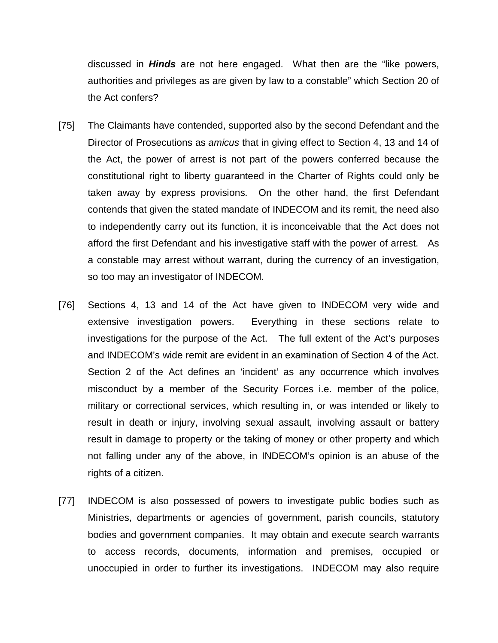discussed in *Hinds* are not here engaged. What then are the "like powers, authorities and privileges as are given by law to a constable" which Section 20 of the Act confers?

- [75] The Claimants have contended, supported also by the second Defendant and the Director of Prosecutions as *amicus* that in giving effect to Section 4, 13 and 14 of the Act, the power of arrest is not part of the powers conferred because the constitutional right to liberty guaranteed in the Charter of Rights could only be taken away by express provisions. On the other hand, the first Defendant contends that given the stated mandate of INDECOM and its remit, the need also to independently carry out its function, it is inconceivable that the Act does not afford the first Defendant and his investigative staff with the power of arrest. As a constable may arrest without warrant, during the currency of an investigation, so too may an investigator of INDECOM.
- [76] Sections 4, 13 and 14 of the Act have given to INDECOM very wide and extensive investigation powers. Everything in these sections relate to investigations for the purpose of the Act. The full extent of the Act's purposes and INDECOM's wide remit are evident in an examination of Section 4 of the Act. Section 2 of the Act defines an 'incident' as any occurrence which involves misconduct by a member of the Security Forces i.e. member of the police, military or correctional services, which resulting in, or was intended or likely to result in death or injury, involving sexual assault, involving assault or battery result in damage to property or the taking of money or other property and which not falling under any of the above, in INDECOM's opinion is an abuse of the rights of a citizen.
- [77] INDECOM is also possessed of powers to investigate public bodies such as Ministries, departments or agencies of government, parish councils, statutory bodies and government companies. It may obtain and execute search warrants to access records, documents, information and premises, occupied or unoccupied in order to further its investigations. INDECOM may also require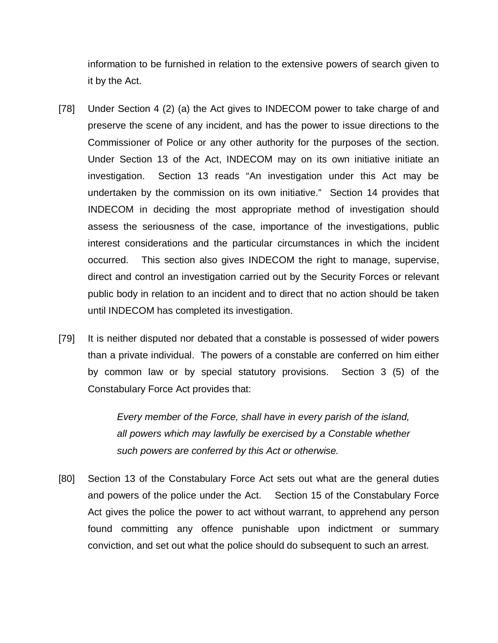information to be furnished in relation to the extensive powers of search given to it by the Act.

- [78] Under Section 4 (2) (a) the Act gives to INDECOM power to take charge of and preserve the scene of any incident, and has the power to issue directions to the Commissioner of Police or any other authority for the purposes of the section. Under Section 13 of the Act, INDECOM may on its own initiative initiate an investigation. Section 13 reads "An investigation under this Act may be undertaken by the commission on its own initiative." Section 14 provides that INDECOM in deciding the most appropriate method of investigation should assess the seriousness of the case, importance of the investigations, public interest considerations and the particular circumstances in which the incident occurred. This section also gives INDECOM the right to manage, supervise, direct and control an investigation carried out by the Security Forces or relevant public body in relation to an incident and to direct that no action should be taken until INDECOM has completed its investigation.
- [79] It is neither disputed nor debated that a constable is possessed of wider powers than a private individual. The powers of a constable are conferred on him either by common law or by special statutory provisions. Section 3 (5) of the Constabulary Force Act provides that:

*Every member of the Force, shall have in every parish of the island, all powers which may lawfully be exercised by a Constable whether such powers are conferred by this Act or otherwise.*

[80] Section 13 of the Constabulary Force Act sets out what are the general duties and powers of the police under the Act. Section 15 of the Constabulary Force Act gives the police the power to act without warrant, to apprehend any person found committing any offence punishable upon indictment or summary conviction, and set out what the police should do subsequent to such an arrest.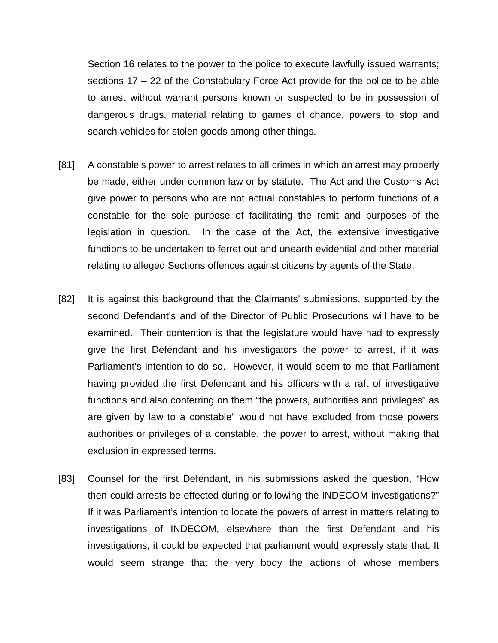Section 16 relates to the power to the police to execute lawfully issued warrants; sections 17 – 22 of the Constabulary Force Act provide for the police to be able to arrest without warrant persons known or suspected to be in possession of dangerous drugs, material relating to games of chance, powers to stop and search vehicles for stolen goods among other things.

- [81] A constable's power to arrest relates to all crimes in which an arrest may properly be made, either under common law or by statute. The Act and the Customs Act give power to persons who are not actual constables to perform functions of a constable for the sole purpose of facilitating the remit and purposes of the legislation in question. In the case of the Act, the extensive investigative functions to be undertaken to ferret out and unearth evidential and other material relating to alleged Sections offences against citizens by agents of the State.
- [82] It is against this background that the Claimants' submissions, supported by the second Defendant's and of the Director of Public Prosecutions will have to be examined. Their contention is that the legislature would have had to expressly give the first Defendant and his investigators the power to arrest, if it was Parliament's intention to do so. However, it would seem to me that Parliament having provided the first Defendant and his officers with a raft of investigative functions and also conferring on them "the powers, authorities and privileges" as are given by law to a constable" would not have excluded from those powers authorities or privileges of a constable, the power to arrest, without making that exclusion in expressed terms.
- [83] Counsel for the first Defendant, in his submissions asked the question, "How then could arrests be effected during or following the INDECOM investigations?" If it was Parliament's intention to locate the powers of arrest in matters relating to investigations of INDECOM, elsewhere than the first Defendant and his investigations, it could be expected that parliament would expressly state that. It would seem strange that the very body the actions of whose members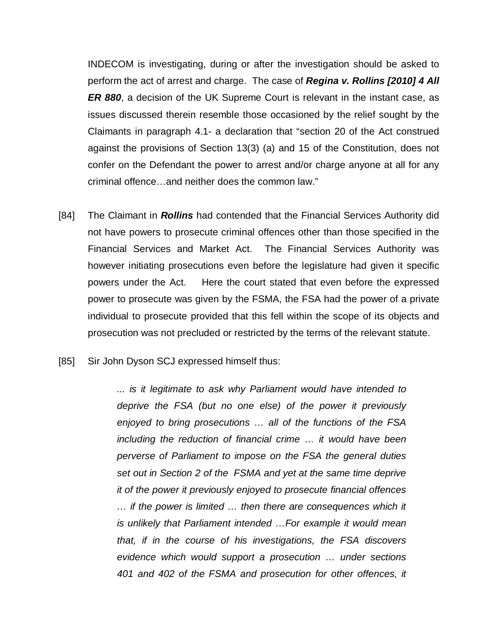INDECOM is investigating, during or after the investigation should be asked to perform the act of arrest and charge. The case of *Regina v. Rollins [2010] 4 All ER 880*, a decision of the UK Supreme Court is relevant in the instant case, as issues discussed therein resemble those occasioned by the relief sought by the Claimants in paragraph 4.1- a declaration that "section 20 of the Act construed against the provisions of Section 13(3) (a) and 15 of the Constitution, does not confer on the Defendant the power to arrest and/or charge anyone at all for any criminal offence…and neither does the common law."

- [84] The Claimant in *Rollins* had contended that the Financial Services Authority did not have powers to prosecute criminal offences other than those specified in the Financial Services and Market Act. The Financial Services Authority was however initiating prosecutions even before the legislature had given it specific powers under the Act. Here the court stated that even before the expressed power to prosecute was given by the FSMA, the FSA had the power of a private individual to prosecute provided that this fell within the scope of its objects and prosecution was not precluded or restricted by the terms of the relevant statute.
- [85] Sir John Dyson SCJ expressed himself thus:

*... is it legitimate to ask why Parliament would have intended to deprive the FSA (but no one else) of the power it previously enjoyed to bring prosecutions … all of the functions of the FSA including the reduction of financial crime … it would have been perverse of Parliament to impose on the FSA the general duties set out in Section 2 of the FSMA and yet at the same time deprive it of the power it previously enjoyed to prosecute financial offences … if the power is limited … then there are consequences which it is unlikely that Parliament intended …For example it would mean that, if in the course of his investigations, the FSA discovers evidence which would support a prosecution … under sections 401 and 402 of the FSMA and prosecution for other offences, it*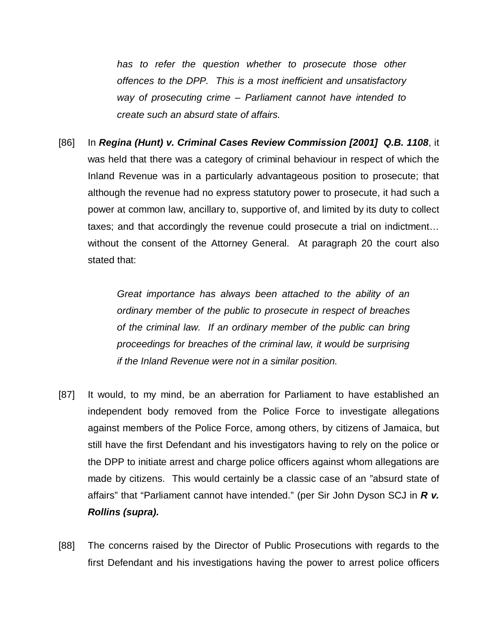has to refer the question whether to prosecute those other *offences to the DPP. This is a most inefficient and unsatisfactory way of prosecuting crime – Parliament cannot have intended to create such an absurd state of affairs.*

[86] In *Regina (Hunt) v. Criminal Cases Review Commission [2001] Q.B. 1108*, it was held that there was a category of criminal behaviour in respect of which the Inland Revenue was in a particularly advantageous position to prosecute; that although the revenue had no express statutory power to prosecute, it had such a power at common law, ancillary to, supportive of, and limited by its duty to collect taxes; and that accordingly the revenue could prosecute a trial on indictment… without the consent of the Attorney General. At paragraph 20 the court also stated that:

> *Great importance has always been attached to the ability of an ordinary member of the public to prosecute in respect of breaches of the criminal law. If an ordinary member of the public can bring proceedings for breaches of the criminal law, it would be surprising if the Inland Revenue were not in a similar position.*

- [87] It would, to my mind, be an aberration for Parliament to have established an independent body removed from the Police Force to investigate allegations against members of the Police Force, among others, by citizens of Jamaica, but still have the first Defendant and his investigators having to rely on the police or the DPP to initiate arrest and charge police officers against whom allegations are made by citizens. This would certainly be a classic case of an "absurd state of affairs" that "Parliament cannot have intended." (per Sir John Dyson SCJ in *R v. Rollins (supra).*
- [88] The concerns raised by the Director of Public Prosecutions with regards to the first Defendant and his investigations having the power to arrest police officers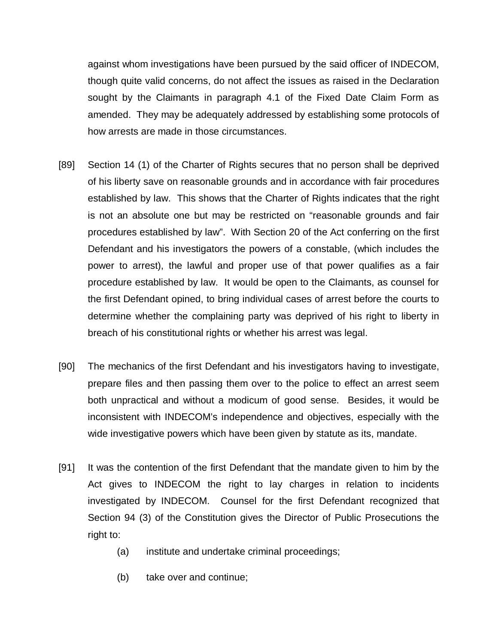against whom investigations have been pursued by the said officer of INDECOM, though quite valid concerns, do not affect the issues as raised in the Declaration sought by the Claimants in paragraph 4.1 of the Fixed Date Claim Form as amended. They may be adequately addressed by establishing some protocols of how arrests are made in those circumstances.

- [89] Section 14 (1) of the Charter of Rights secures that no person shall be deprived of his liberty save on reasonable grounds and in accordance with fair procedures established by law. This shows that the Charter of Rights indicates that the right is not an absolute one but may be restricted on "reasonable grounds and fair procedures established by law". With Section 20 of the Act conferring on the first Defendant and his investigators the powers of a constable, (which includes the power to arrest), the lawful and proper use of that power qualifies as a fair procedure established by law. It would be open to the Claimants, as counsel for the first Defendant opined, to bring individual cases of arrest before the courts to determine whether the complaining party was deprived of his right to liberty in breach of his constitutional rights or whether his arrest was legal.
- [90] The mechanics of the first Defendant and his investigators having to investigate, prepare files and then passing them over to the police to effect an arrest seem both unpractical and without a modicum of good sense. Besides, it would be inconsistent with INDECOM's independence and objectives, especially with the wide investigative powers which have been given by statute as its, mandate.
- [91] It was the contention of the first Defendant that the mandate given to him by the Act gives to INDECOM the right to lay charges in relation to incidents investigated by INDECOM. Counsel for the first Defendant recognized that Section 94 (3) of the Constitution gives the Director of Public Prosecutions the right to:
	- (a) institute and undertake criminal proceedings;
	- (b) take over and continue;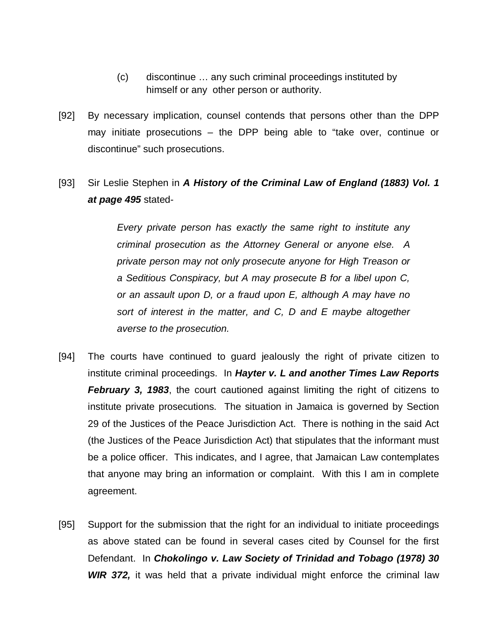- (c) discontinue … any such criminal proceedings instituted by himself or any other person or authority.
- [92] By necessary implication, counsel contends that persons other than the DPP may initiate prosecutions – the DPP being able to "take over, continue or discontinue" such prosecutions.

# [93] Sir Leslie Stephen in *A History of the Criminal Law of England (1883) Vol. 1 at page 495* stated-

*Every private person has exactly the same right to institute any criminal prosecution as the Attorney General or anyone else. A private person may not only prosecute anyone for High Treason or a Seditious Conspiracy, but A may prosecute B for a libel upon C, or an assault upon D, or a fraud upon E, although A may have no sort of interest in the matter, and C, D and E maybe altogether averse to the prosecution.*

- [94] The courts have continued to guard jealously the right of private citizen to institute criminal proceedings. In *Hayter v. L and another Times Law Reports February 3, 1983*, the court cautioned against limiting the right of citizens to institute private prosecutions. The situation in Jamaica is governed by Section 29 of the Justices of the Peace Jurisdiction Act. There is nothing in the said Act (the Justices of the Peace Jurisdiction Act) that stipulates that the informant must be a police officer. This indicates, and I agree, that Jamaican Law contemplates that anyone may bring an information or complaint. With this I am in complete agreement.
- [95] Support for the submission that the right for an individual to initiate proceedings as above stated can be found in several cases cited by Counsel for the first Defendant. In *Chokolingo v. Law Society of Trinidad and Tobago (1978) 30* **WIR 372,** it was held that a private individual might enforce the criminal law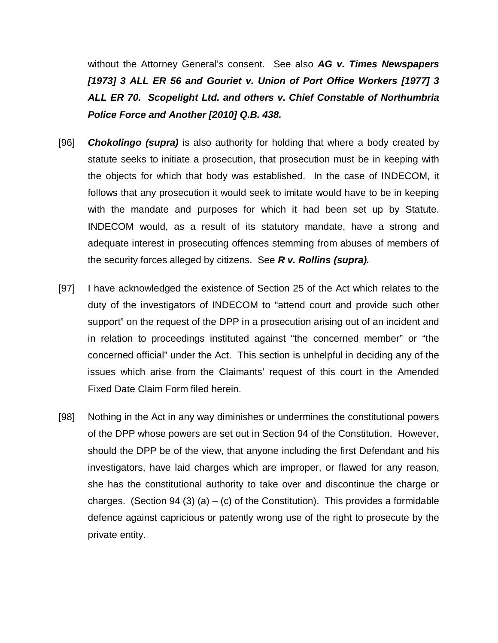without the Attorney General's consent. See also *AG v. Times Newspapers [1973] 3 ALL ER 56 and Gouriet v. Union of Port Office Workers [1977] 3 ALL ER 70. Scopelight Ltd. and others v. Chief Constable of Northumbria Police Force and Another [2010] Q.B. 438.*

- [96] *Chokolingo (supra)* is also authority for holding that where a body created by statute seeks to initiate a prosecution, that prosecution must be in keeping with the objects for which that body was established. In the case of INDECOM, it follows that any prosecution it would seek to imitate would have to be in keeping with the mandate and purposes for which it had been set up by Statute. INDECOM would, as a result of its statutory mandate, have a strong and adequate interest in prosecuting offences stemming from abuses of members of the security forces alleged by citizens. See *R v. Rollins (supra).*
- [97] I have acknowledged the existence of Section 25 of the Act which relates to the duty of the investigators of INDECOM to "attend court and provide such other support" on the request of the DPP in a prosecution arising out of an incident and in relation to proceedings instituted against "the concerned member" or "the concerned official" under the Act. This section is unhelpful in deciding any of the issues which arise from the Claimants' request of this court in the Amended Fixed Date Claim Form filed herein.
- [98] Nothing in the Act in any way diminishes or undermines the constitutional powers of the DPP whose powers are set out in Section 94 of the Constitution. However, should the DPP be of the view, that anyone including the first Defendant and his investigators, have laid charges which are improper, or flawed for any reason, she has the constitutional authority to take over and discontinue the charge or charges. (Section 94 (3) (a)  $-$  (c) of the Constitution). This provides a formidable defence against capricious or patently wrong use of the right to prosecute by the private entity.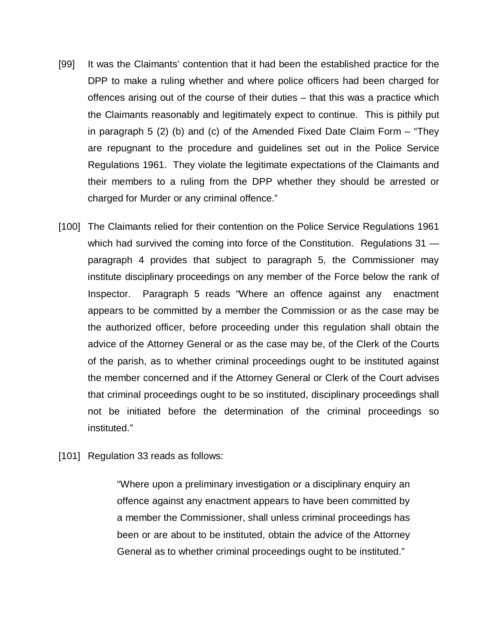- [99] It was the Claimants' contention that it had been the established practice for the DPP to make a ruling whether and where police officers had been charged for offences arising out of the course of their duties – that this was a practice which the Claimants reasonably and legitimately expect to continue. This is pithily put in paragraph 5 (2) (b) and (c) of the Amended Fixed Date Claim Form – "They are repugnant to the procedure and guidelines set out in the Police Service Regulations 1961. They violate the legitimate expectations of the Claimants and their members to a ruling from the DPP whether they should be arrested or charged for Murder or any criminal offence."
- [100] The Claimants relied for their contention on the Police Service Regulations 1961 which had survived the coming into force of the Constitution. Regulations 31 paragraph 4 provides that subject to paragraph 5, the Commissioner may institute disciplinary proceedings on any member of the Force below the rank of Inspector. Paragraph 5 reads "Where an offence against any enactment appears to be committed by a member the Commission or as the case may be the authorized officer, before proceeding under this regulation shall obtain the advice of the Attorney General or as the case may be, of the Clerk of the Courts of the parish, as to whether criminal proceedings ought to be instituted against the member concerned and if the Attorney General or Clerk of the Court advises that criminal proceedings ought to be so instituted, disciplinary proceedings shall not be initiated before the determination of the criminal proceedings so instituted."
- [101] Regulation 33 reads as follows:

"Where upon a preliminary investigation or a disciplinary enquiry an offence against any enactment appears to have been committed by a member the Commissioner, shall unless criminal proceedings has been or are about to be instituted, obtain the advice of the Attorney General as to whether criminal proceedings ought to be instituted."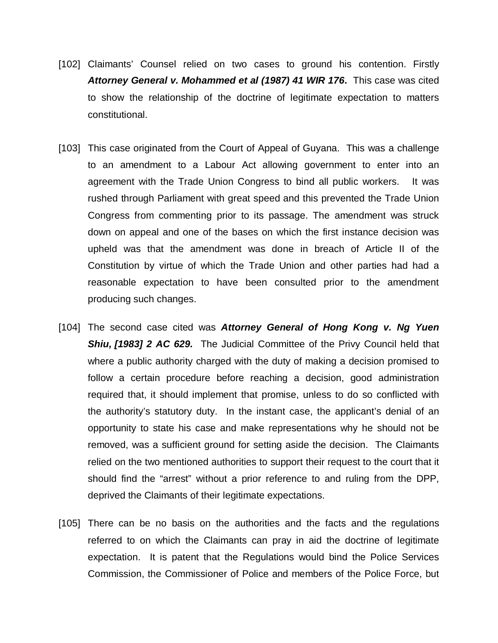- [102] Claimants' Counsel relied on two cases to ground his contention. Firstly *Attorney General v. Mohammed et al (1987) 41 WIR 176***.** This case was cited to show the relationship of the doctrine of legitimate expectation to matters constitutional.
- [103] This case originated from the Court of Appeal of Guyana. This was a challenge to an amendment to a Labour Act allowing government to enter into an agreement with the Trade Union Congress to bind all public workers. It was rushed through Parliament with great speed and this prevented the Trade Union Congress from commenting prior to its passage. The amendment was struck down on appeal and one of the bases on which the first instance decision was upheld was that the amendment was done in breach of Article II of the Constitution by virtue of which the Trade Union and other parties had had a reasonable expectation to have been consulted prior to the amendment producing such changes.
- [104] The second case cited was *Attorney General of Hong Kong v. Ng Yuen Shiu, [1983] 2 AC 629.*The Judicial Committee of the Privy Council held that where a public authority charged with the duty of making a decision promised to follow a certain procedure before reaching a decision, good administration required that, it should implement that promise, unless to do so conflicted with the authority's statutory duty. In the instant case, the applicant's denial of an opportunity to state his case and make representations why he should not be removed, was a sufficient ground for setting aside the decision. The Claimants relied on the two mentioned authorities to support their request to the court that it should find the "arrest" without a prior reference to and ruling from the DPP, deprived the Claimants of their legitimate expectations.
- [105] There can be no basis on the authorities and the facts and the regulations referred to on which the Claimants can pray in aid the doctrine of legitimate expectation. It is patent that the Regulations would bind the Police Services Commission, the Commissioner of Police and members of the Police Force, but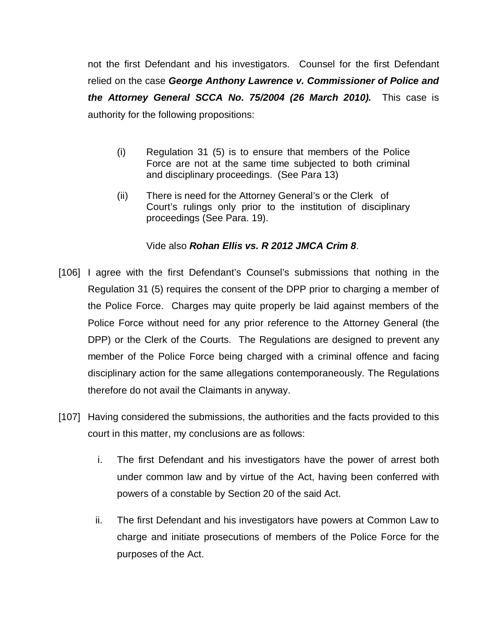not the first Defendant and his investigators. Counsel for the first Defendant relied on the case *George Anthony Lawrence v. Commissioner of Police and the Attorney General SCCA No. 75/2004 (26 March 2010).* This case is authority for the following propositions:

- (i) Regulation 31 (5) is to ensure that members of the Police Force are not at the same time subjected to both criminal and disciplinary proceedings. (See Para 13)
- (ii) There is need for the Attorney General's or the Clerk of Court's rulings only prior to the institution of disciplinary proceedings (See Para. 19).

# Vide also *Rohan Ellis vs. R 2012 JMCA Crim 8*.

- [106] I agree with the first Defendant's Counsel's submissions that nothing in the Regulation 31 (5) requires the consent of the DPP prior to charging a member of the Police Force. Charges may quite properly be laid against members of the Police Force without need for any prior reference to the Attorney General (the DPP) or the Clerk of the Courts. The Regulations are designed to prevent any member of the Police Force being charged with a criminal offence and facing disciplinary action for the same allegations contemporaneously. The Regulations therefore do not avail the Claimants in anyway.
- [107] Having considered the submissions, the authorities and the facts provided to this court in this matter, my conclusions are as follows:
	- i. The first Defendant and his investigators have the power of arrest both under common law and by virtue of the Act, having been conferred with powers of a constable by Section 20 of the said Act.
	- ii. The first Defendant and his investigators have powers at Common Law to charge and initiate prosecutions of members of the Police Force for the purposes of the Act.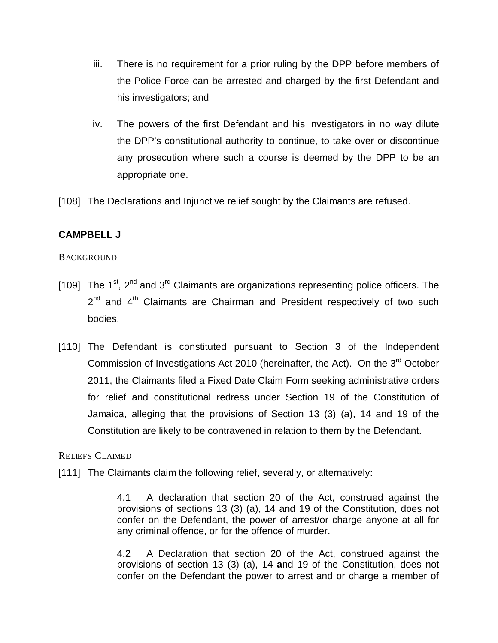- iii. There is no requirement for a prior ruling by the DPP before members of the Police Force can be arrested and charged by the first Defendant and his investigators; and
- iv. The powers of the first Defendant and his investigators in no way dilute the DPP's constitutional authority to continue, to take over or discontinue any prosecution where such a course is deemed by the DPP to be an appropriate one.
- [108] The Declarations and Injunctive relief sought by the Claimants are refused.

## **CAMPBELL J**

## **BACKGROUND**

- [109] The 1<sup>st</sup>, 2<sup>nd</sup> and 3<sup>rd</sup> Claimants are organizations representing police officers. The  $2<sup>nd</sup>$  and  $4<sup>th</sup>$  Claimants are Chairman and President respectively of two such bodies.
- [110] The Defendant is constituted pursuant to Section 3 of the Independent Commission of Investigations Act 2010 (hereinafter, the Act). On the 3<sup>rd</sup> October 2011, the Claimants filed a Fixed Date Claim Form seeking administrative orders for relief and constitutional redress under Section 19 of the Constitution of Jamaica, alleging that the provisions of Section 13 (3) (a), 14 and 19 of the Constitution are likely to be contravened in relation to them by the Defendant.

## RELIEFS CLAIMED

[111] The Claimants claim the following relief, severally, or alternatively:

4.1 A declaration that section 20 of the Act, construed against the provisions of sections 13 (3) (a), 14 and 19 of the Constitution, does not confer on the Defendant, the power of arrest/or charge anyone at all for any criminal offence, or for the offence of murder.

4.2 A Declaration that section 20 of the Act, construed against the provisions of section 13 (3) (a), 14 **a**nd 19 of the Constitution, does not confer on the Defendant the power to arrest and or charge a member of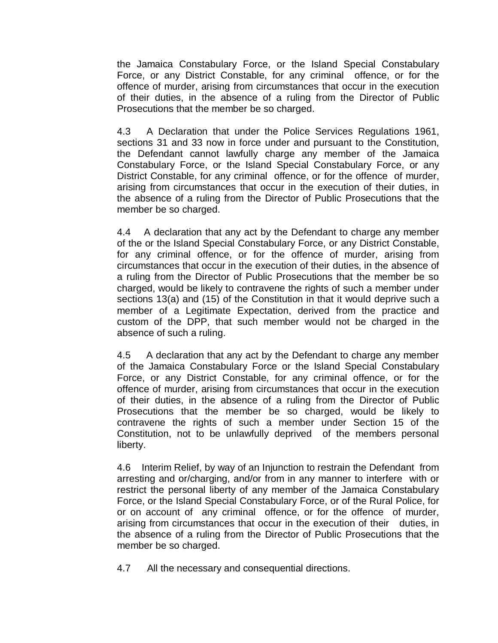the Jamaica Constabulary Force, or the Island Special Constabulary Force, or any District Constable, for any criminal offence, or for the offence of murder, arising from circumstances that occur in the execution of their duties, in the absence of a ruling from the Director of Public Prosecutions that the member be so charged.

4.3 A Declaration that under the Police Services Regulations 1961, sections 31 and 33 now in force under and pursuant to the Constitution, the Defendant cannot lawfully charge any member of the Jamaica Constabulary Force, or the Island Special Constabulary Force, or any District Constable, for any criminal offence, or for the offence of murder, arising from circumstances that occur in the execution of their duties, in the absence of a ruling from the Director of Public Prosecutions that the member be so charged.

4.4 A declaration that any act by the Defendant to charge any member of the or the Island Special Constabulary Force, or any District Constable, for any criminal offence, or for the offence of murder, arising from circumstances that occur in the execution of their duties, in the absence of a ruling from the Director of Public Prosecutions that the member be so charged, would be likely to contravene the rights of such a member under sections 13(a) and (15) of the Constitution in that it would deprive such a member of a Legitimate Expectation, derived from the practice and custom of the DPP, that such member would not be charged in the absence of such a ruling.

4.5 A declaration that any act by the Defendant to charge any member of the Jamaica Constabulary Force or the Island Special Constabulary Force, or any District Constable, for any criminal offence, or for the offence of murder, arising from circumstances that occur in the execution of their duties, in the absence of a ruling from the Director of Public Prosecutions that the member be so charged, would be likely to contravene the rights of such a member under Section 15 of the Constitution, not to be unlawfully deprived of the members personal liberty.

4.6 Interim Relief, by way of an Injunction to restrain the Defendant from arresting and or/charging, and/or from in any manner to interfere with or restrict the personal liberty of any member of the Jamaica Constabulary Force, or the Island Special Constabulary Force, or of the Rural Police, for or on account of any criminal offence, or for the offence of murder, arising from circumstances that occur in the execution of their duties, in the absence of a ruling from the Director of Public Prosecutions that the member be so charged.

4.7 All the necessary and consequential directions.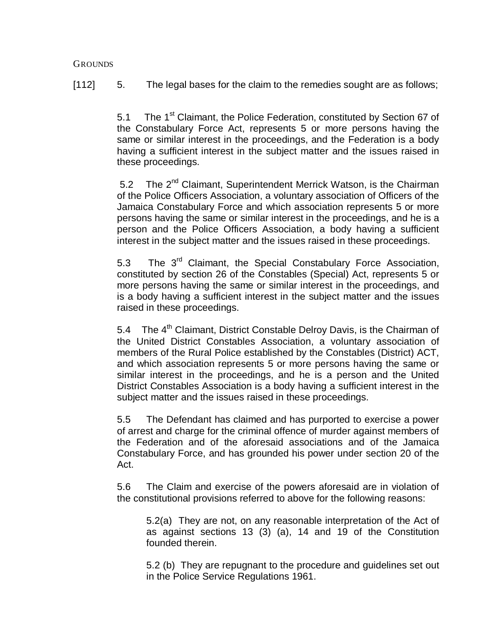## **GROUNDS**

[112] 5. The legal bases for the claim to the remedies sought are as follows;

5.1 The 1<sup>st</sup> Claimant, the Police Federation, constituted by Section 67 of the Constabulary Force Act, represents 5 or more persons having the same or similar interest in the proceedings, and the Federation is a body having a sufficient interest in the subject matter and the issues raised in these proceedings.

5.2 The 2<sup>nd</sup> Claimant, Superintendent Merrick Watson, is the Chairman of the Police Officers Association, a voluntary association of Officers of the Jamaica Constabulary Force and which association represents 5 or more persons having the same or similar interest in the proceedings, and he is a person and the Police Officers Association, a body having a sufficient interest in the subject matter and the issues raised in these proceedings.

5.3 The 3<sup>rd</sup> Claimant, the Special Constabulary Force Association, constituted by section 26 of the Constables (Special) Act, represents 5 or more persons having the same or similar interest in the proceedings, and is a body having a sufficient interest in the subject matter and the issues raised in these proceedings.

5.4 The 4<sup>th</sup> Claimant, District Constable Delroy Davis, is the Chairman of the United District Constables Association, a voluntary association of members of the Rural Police established by the Constables (District) ACT, and which association represents 5 or more persons having the same or similar interest in the proceedings, and he is a person and the United District Constables Association is a body having a sufficient interest in the subject matter and the issues raised in these proceedings.

5.5 The Defendant has claimed and has purported to exercise a power of arrest and charge for the criminal offence of murder against members of the Federation and of the aforesaid associations and of the Jamaica Constabulary Force, and has grounded his power under section 20 of the Act.

5.6 The Claim and exercise of the powers aforesaid are in violation of the constitutional provisions referred to above for the following reasons:

5.2(a) They are not, on any reasonable interpretation of the Act of as against sections 13 (3) (a), 14 and 19 of the Constitution founded therein.

5.2 (b) They are repugnant to the procedure and guidelines set out in the Police Service Regulations 1961.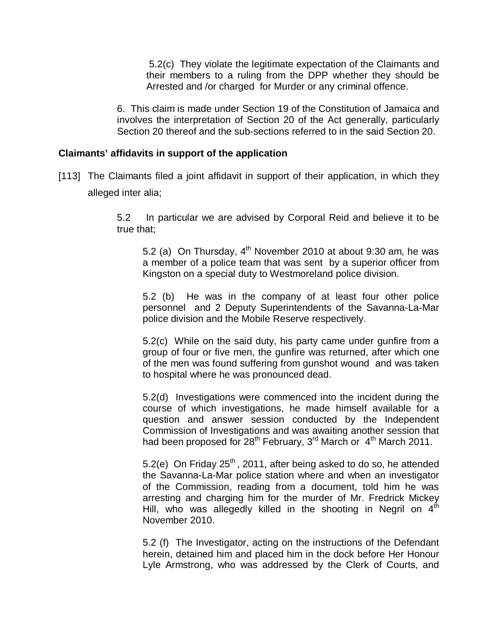5.2(c) They violate the legitimate expectation of the Claimants and their members to a ruling from the DPP whether they should be Arrested and /or charged for Murder or any criminal offence.

6. This claim is made under Section 19 of the Constitution of Jamaica and involves the interpretation of Section 20 of the Act generally, particularly Section 20 thereof and the sub-sections referred to in the said Section 20.

## **Claimants' affidavits in support of the application**

[113] The Claimants filed a joint affidavit in support of their application, in which they alleged inter alia;

> 5.2 In particular we are advised by Corporal Reid and believe it to be true that;

5.2 (a) On Thursday,  $4^{th}$  November 2010 at about 9:30 am, he was a member of a police team that was sent by a superior officer from Kingston on a special duty to Westmoreland police division.

5.2 (b) He was in the company of at least four other police personnel and 2 Deputy Superintendents of the Savanna-La-Mar police division and the Mobile Reserve respectively.

5.2(c) While on the said duty, his party came under gunfire from a group of four or five men, the gunfire was returned, after which one of the men was found suffering from gunshot wound and was taken to hospital where he was pronounced dead.

5.2(d) Investigations were commenced into the incident during the course of which investigations, he made himself available for a question and answer session conducted by the Independent Commission of Investigations and was awaiting another session that had been proposed for 28<sup>th</sup> February, 3<sup>rd</sup> March or 4<sup>th</sup> March 2011.

5.2(e) On Friday  $25<sup>th</sup>$ , 2011, after being asked to do so, he attended the Savanna-La-Mar police station where and when an investigator of the Commission, reading from a document, told him he was arresting and charging him for the murder of Mr. Fredrick Mickey Hill, who was allegedly killed in the shooting in Negril on  $4<sup>th</sup>$ November 2010.

5.2 (f) The Investigator, acting on the instructions of the Defendant herein, detained him and placed him in the dock before Her Honour Lyle Armstrong, who was addressed by the Clerk of Courts, and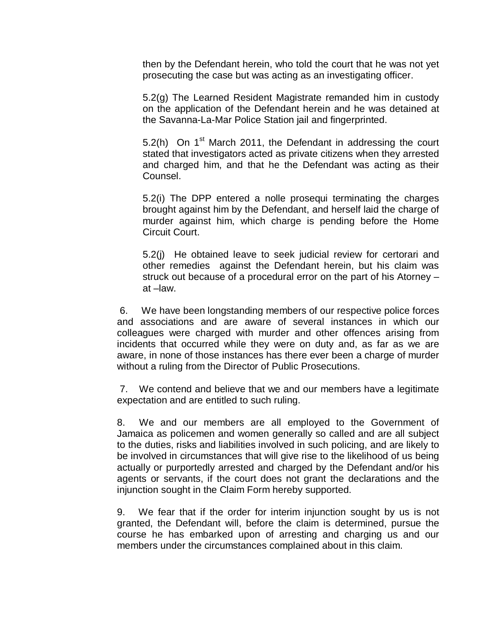then by the Defendant herein, who told the court that he was not yet prosecuting the case but was acting as an investigating officer.

5.2(g) The Learned Resident Magistrate remanded him in custody on the application of the Defendant herein and he was detained at the Savanna-La-Mar Police Station jail and fingerprinted.

5.2(h) On  $1<sup>st</sup>$  March 2011, the Defendant in addressing the court stated that investigators acted as private citizens when they arrested and charged him, and that he the Defendant was acting as their Counsel.

5.2(i) The DPP entered a nolle prosequi terminating the charges brought against him by the Defendant, and herself laid the charge of murder against him, which charge is pending before the Home Circuit Court.

5.2(j) He obtained leave to seek judicial review for certorari and other remedies against the Defendant herein, but his claim was struck out because of a procedural error on the part of his Atorney – at –law.

6. We have been longstanding members of our respective police forces and associations and are aware of several instances in which our colleagues were charged with murder and other offences arising from incidents that occurred while they were on duty and, as far as we are aware, in none of those instances has there ever been a charge of murder without a ruling from the Director of Public Prosecutions.

7. We contend and believe that we and our members have a legitimate expectation and are entitled to such ruling.

8. We and our members are all employed to the Government of Jamaica as policemen and women generally so called and are all subject to the duties, risks and liabilities involved in such policing, and are likely to be involved in circumstances that will give rise to the likelihood of us being actually or purportedly arrested and charged by the Defendant and/or his agents or servants, if the court does not grant the declarations and the injunction sought in the Claim Form hereby supported.

9. We fear that if the order for interim injunction sought by us is not granted, the Defendant will, before the claim is determined, pursue the course he has embarked upon of arresting and charging us and our members under the circumstances complained about in this claim.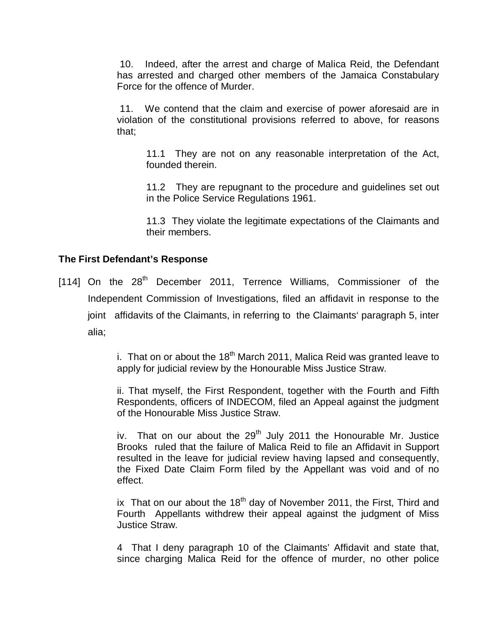10. Indeed, after the arrest and charge of Malica Reid, the Defendant has arrested and charged other members of the Jamaica Constabulary Force for the offence of Murder.

11. We contend that the claim and exercise of power aforesaid are in violation of the constitutional provisions referred to above, for reasons that;

11.1 They are not on any reasonable interpretation of the Act, founded therein.

11.2 They are repugnant to the procedure and guidelines set out in the Police Service Regulations 1961.

11.3 They violate the legitimate expectations of the Claimants and their members.

## **The First Defendant's Response**

[114] On the 28<sup>th</sup> December 2011, Terrence Williams, Commissioner of the Independent Commission of Investigations, filed an affidavit in response to the joint affidavits of the Claimants, in referring to the Claimants' paragraph 5, inter alia;

> i. That on or about the  $18<sup>th</sup>$  March 2011, Malica Reid was granted leave to apply for judicial review by the Honourable Miss Justice Straw.

> ii. That myself, the First Respondent, together with the Fourth and Fifth Respondents, officers of INDECOM, filed an Appeal against the judgment of the Honourable Miss Justice Straw.

> iv. That on our about the  $29<sup>th</sup>$  July 2011 the Honourable Mr. Justice Brooks ruled that the failure of Malica Reid to file an Affidavit in Support resulted in the leave for judicial review having lapsed and consequently, the Fixed Date Claim Form filed by the Appellant was void and of no effect.

> ix That on our about the  $18<sup>th</sup>$  day of November 2011, the First, Third and Fourth Appellants withdrew their appeal against the judgment of Miss Justice Straw.

> 4 That I deny paragraph 10 of the Claimants' Affidavit and state that, since charging Malica Reid for the offence of murder, no other police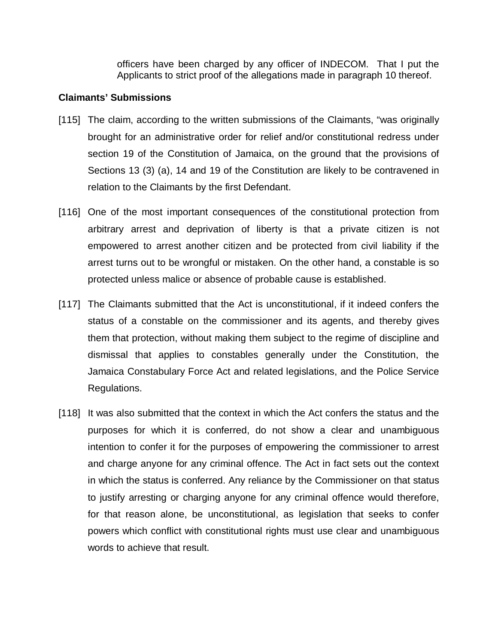officers have been charged by any officer of INDECOM. That I put the Applicants to strict proof of the allegations made in paragraph 10 thereof.

## **Claimants' Submissions**

- [115] The claim, according to the written submissions of the Claimants, "was originally brought for an administrative order for relief and/or constitutional redress under section 19 of the Constitution of Jamaica, on the ground that the provisions of Sections 13 (3) (a), 14 and 19 of the Constitution are likely to be contravened in relation to the Claimants by the first Defendant.
- [116] One of the most important consequences of the constitutional protection from arbitrary arrest and deprivation of liberty is that a private citizen is not empowered to arrest another citizen and be protected from civil liability if the arrest turns out to be wrongful or mistaken. On the other hand, a constable is so protected unless malice or absence of probable cause is established.
- [117] The Claimants submitted that the Act is unconstitutional, if it indeed confers the status of a constable on the commissioner and its agents, and thereby gives them that protection, without making them subject to the regime of discipline and dismissal that applies to constables generally under the Constitution, the Jamaica Constabulary Force Act and related legislations, and the Police Service Regulations.
- [118] It was also submitted that the context in which the Act confers the status and the purposes for which it is conferred, do not show a clear and unambiguous intention to confer it for the purposes of empowering the commissioner to arrest and charge anyone for any criminal offence. The Act in fact sets out the context in which the status is conferred. Any reliance by the Commissioner on that status to justify arresting or charging anyone for any criminal offence would therefore, for that reason alone, be unconstitutional, as legislation that seeks to confer powers which conflict with constitutional rights must use clear and unambiguous words to achieve that result.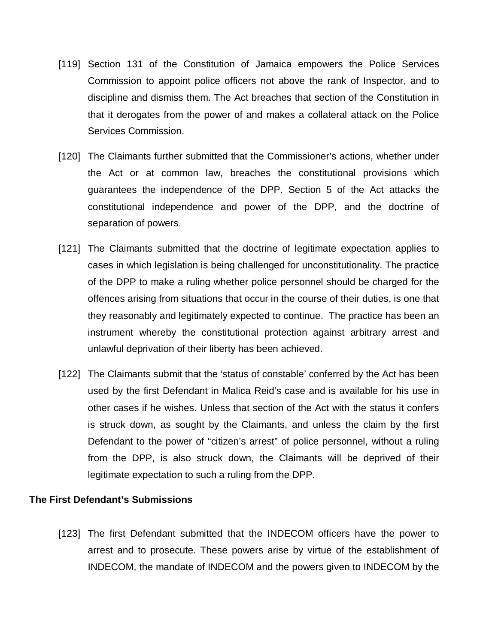- [119] Section 131 of the Constitution of Jamaica empowers the Police Services Commission to appoint police officers not above the rank of Inspector, and to discipline and dismiss them. The Act breaches that section of the Constitution in that it derogates from the power of and makes a collateral attack on the Police Services Commission.
- [120] The Claimants further submitted that the Commissioner's actions, whether under the Act or at common law, breaches the constitutional provisions which guarantees the independence of the DPP. Section 5 of the Act attacks the constitutional independence and power of the DPP, and the doctrine of separation of powers.
- [121] The Claimants submitted that the doctrine of legitimate expectation applies to cases in which legislation is being challenged for unconstitutionality. The practice of the DPP to make a ruling whether police personnel should be charged for the offences arising from situations that occur in the course of their duties, is one that they reasonably and legitimately expected to continue. The practice has been an instrument whereby the constitutional protection against arbitrary arrest and unlawful deprivation of their liberty has been achieved.
- [122] The Claimants submit that the 'status of constable' conferred by the Act has been used by the first Defendant in Malica Reid's case and is available for his use in other cases if he wishes. Unless that section of the Act with the status it confers is struck down, as sought by the Claimants, and unless the claim by the first Defendant to the power of "citizen's arrest" of police personnel, without a ruling from the DPP, is also struck down, the Claimants will be deprived of their legitimate expectation to such a ruling from the DPP.

### **The First Defendant's Submissions**

[123] The first Defendant submitted that the INDECOM officers have the power to arrest and to prosecute. These powers arise by virtue of the establishment of INDECOM, the mandate of INDECOM and the powers given to INDECOM by the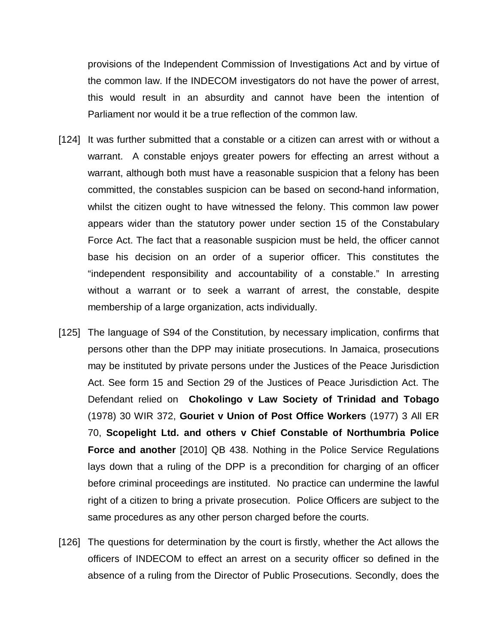provisions of the Independent Commission of Investigations Act and by virtue of the common law. If the INDECOM investigators do not have the power of arrest, this would result in an absurdity and cannot have been the intention of Parliament nor would it be a true reflection of the common law.

- [124] It was further submitted that a constable or a citizen can arrest with or without a warrant. A constable enjoys greater powers for effecting an arrest without a warrant, although both must have a reasonable suspicion that a felony has been committed, the constables suspicion can be based on second-hand information, whilst the citizen ought to have witnessed the felony. This common law power appears wider than the statutory power under section 15 of the Constabulary Force Act. The fact that a reasonable suspicion must be held, the officer cannot base his decision on an order of a superior officer. This constitutes the "independent responsibility and accountability of a constable." In arresting without a warrant or to seek a warrant of arrest, the constable, despite membership of a large organization, acts individually.
- [125] The language of S94 of the Constitution, by necessary implication, confirms that persons other than the DPP may initiate prosecutions. In Jamaica, prosecutions may be instituted by private persons under the Justices of the Peace Jurisdiction Act. See form 15 and Section 29 of the Justices of Peace Jurisdiction Act. The Defendant relied on **Chokolingo v Law Society of Trinidad and Tobago** (1978) 30 WIR 372, **Gouriet v Union of Post Office Workers** (1977) 3 All ER 70, **Scopelight Ltd. and others v Chief Constable of Northumbria Police Force and another** [2010] QB 438. Nothing in the Police Service Regulations lays down that a ruling of the DPP is a precondition for charging of an officer before criminal proceedings are instituted. No practice can undermine the lawful right of a citizen to bring a private prosecution. Police Officers are subject to the same procedures as any other person charged before the courts.
- [126] The questions for determination by the court is firstly, whether the Act allows the officers of INDECOM to effect an arrest on a security officer so defined in the absence of a ruling from the Director of Public Prosecutions. Secondly, does the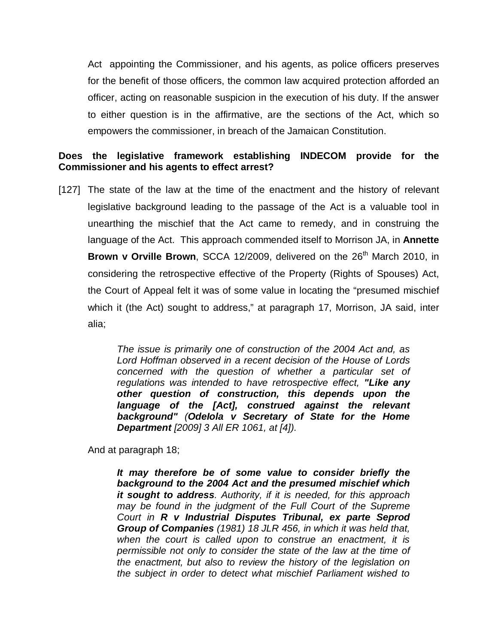Act appointing the Commissioner, and his agents, as police officers preserves for the benefit of those officers, the common law acquired protection afforded an officer, acting on reasonable suspicion in the execution of his duty. If the answer to either question is in the affirmative, are the sections of the Act, which so empowers the commissioner, in breach of the Jamaican Constitution.

## **Does the legislative framework establishing INDECOM provide for the Commissioner and his agents to effect arrest?**

[127] The state of the law at the time of the enactment and the history of relevant legislative background leading to the passage of the Act is a valuable tool in unearthing the mischief that the Act came to remedy, and in construing the language of the Act. This approach commended itself to Morrison JA, in **Annette Brown v Orville Brown**, SCCA 12/2009, delivered on the 26<sup>th</sup> March 2010, in considering the retrospective effective of the Property (Rights of Spouses) Act, the Court of Appeal felt it was of some value in locating the "presumed mischief which it (the Act) sought to address," at paragraph 17, Morrison, JA said, inter alia;

> *The issue is primarily one of construction of the 2004 Act and, as Lord Hoffman observed in a recent decision of the House of Lords concerned with the question of whether a particular set of regulations was intended to have retrospective effect, "Like any other question of construction, this depends upon the language of the [Act], construed against the relevant background" (OdeIola v Secretary of State for the Home Department [2009] 3 All ER 1061, at [4]).*

And at paragraph 18;

*It may therefore be of some value to consider briefly the background to the 2004 Act and the presumed mischief which it sought to address. Authority, if it is needed, for this approach may be found in the judgment of the Full Court of the Supreme Court in R v Industrial Disputes Tribunal, ex parte Seprod Group of Companies (1981) 18 JLR 456, in which it was held that, when the court is called upon to construe an enactment, it is permissible not only to consider the state of the law at the time of the enactment, but also to review the history of the legislation on the subject in order to detect what mischief Parliament wished to*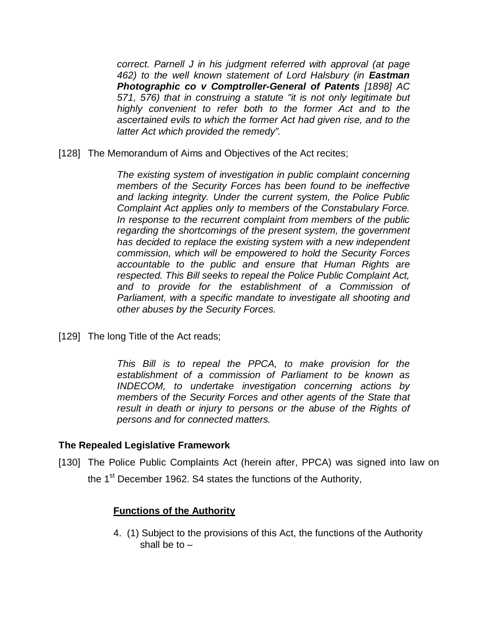*correct. Parnell J in his judgment referred with approval (at page 462) to the well known statement of Lord Halsbury (in Eastman Photographic co v Comptroller-General of Patents [1898] AC 571, 576) that in construing a statute "it is not only legitimate but highly convenient to refer both to the former Act and to the ascertained evils to which the former Act had given rise, and to the latter Act which provided the remedy".*

[128] The Memorandum of Aims and Objectives of the Act recites;

*The existing system of investigation in public complaint concerning members of the Security Forces has been found to be ineffective and lacking integrity. Under the current system, the Police Public Complaint Act applies only to members of the Constabulary Force. In response to the recurrent complaint from members of the public regarding the shortcomings of the present system, the government has decided to replace the existing system with a new independent commission, which will be empowered to hold the Security Forces accountable to the public and ensure that Human Rights are respected. This Bill seeks to repeal the Police Public Complaint Act, and to provide for the establishment of a Commission of Parliament, with a specific mandate to investigate all shooting and other abuses by the Security Forces.*

[129] The long Title of the Act reads;

*This Bill is to repeal the PPCA, to make provision for the establishment of a commission of Parliament to be known as INDECOM, to undertake investigation concerning actions by members of the Security Forces and other agents of the State that*  result in death or injury to persons or the abuse of the Rights of *persons and for connected matters.*

### **The Repealed Legislative Framework**

[130] The Police Public Complaints Act (herein after, PPCA) was signed into law on the  $1<sup>st</sup>$  December 1962. S4 states the functions of the Authority,

### **Functions of the Authority**

4. (1) Subject to the provisions of this Act, the functions of the Authority shall be to  $-$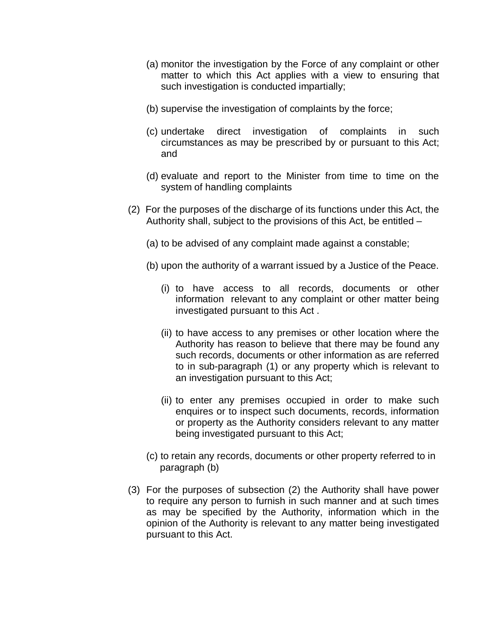- (a) monitor the investigation by the Force of any complaint or other matter to which this Act applies with a view to ensuring that such investigation is conducted impartially;
- (b) supervise the investigation of complaints by the force;
- (c) undertake direct investigation of complaints in such circumstances as may be prescribed by or pursuant to this Act; and
- (d) evaluate and report to the Minister from time to time on the system of handling complaints
- (2) For the purposes of the discharge of its functions under this Act, the Authority shall, subject to the provisions of this Act, be entitled –
	- (a) to be advised of any complaint made against a constable;
	- (b) upon the authority of a warrant issued by a Justice of the Peace.
		- (i) to have access to all records, documents or other information relevant to any complaint or other matter being investigated pursuant to this Act .
		- (ii) to have access to any premises or other location where the Authority has reason to believe that there may be found any such records, documents or other information as are referred to in sub-paragraph (1) or any property which is relevant to an investigation pursuant to this Act;
		- (ii) to enter any premises occupied in order to make such enquires or to inspect such documents, records, information or property as the Authority considers relevant to any matter being investigated pursuant to this Act;
	- (c) to retain any records, documents or other property referred to in paragraph (b)
- (3) For the purposes of subsection (2) the Authority shall have power to require any person to furnish in such manner and at such times as may be specified by the Authority, information which in the opinion of the Authority is relevant to any matter being investigated pursuant to this Act.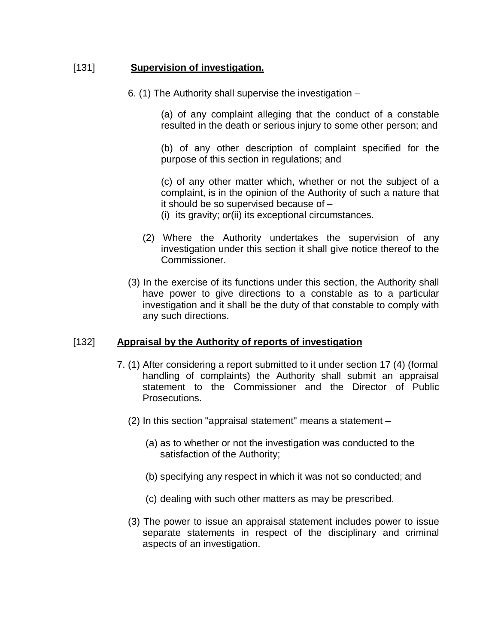## [131] **Supervision of investigation.**

6. (1) The Authority shall supervise the investigation –

(a) of any complaint alleging that the conduct of a constable resulted in the death or serious injury to some other person; and

(b) of any other description of complaint specified for the purpose of this section in regulations; and

(c) of any other matter which, whether or not the subject of a complaint, is in the opinion of the Authority of such a nature that it should be so supervised because of –

(i) its gravity; or(ii) its exceptional circumstances.

- (2) Where the Authority undertakes the supervision of any investigation under this section it shall give notice thereof to the Commissioner.
- (3) In the exercise of its functions under this section, the Authority shall have power to give directions to a constable as to a particular investigation and it shall be the duty of that constable to comply with any such directions.

## [132] **Appraisal by the Authority of reports of investigation**

- 7. (1) After considering a report submitted to it under section 17 (4) (formal handling of complaints) the Authority shall submit an appraisal statement to the Commissioner and the Director of Public Prosecutions.
	- (2) In this section "appraisal statement" means a statement
		- (a) as to whether or not the investigation was conducted to the satisfaction of the Authority;
		- (b) specifying any respect in which it was not so conducted; and
		- (c) dealing with such other matters as may be prescribed.
	- (3) The power to issue an appraisal statement includes power to issue separate statements in respect of the disciplinary and criminal aspects of an investigation.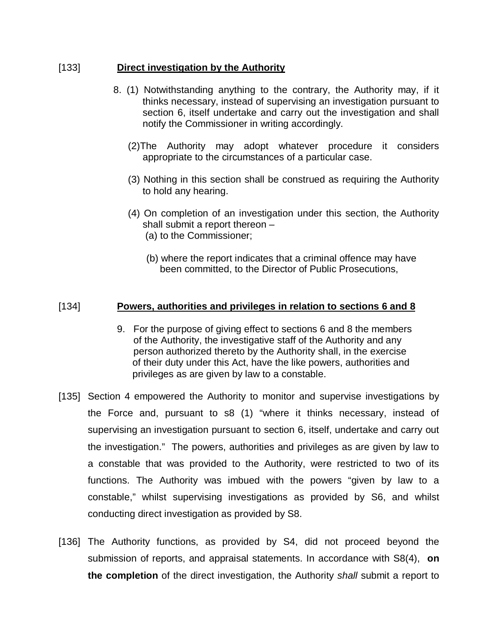## [133] **Direct investigation by the Authority**

- 8. (1) Notwithstanding anything to the contrary, the Authority may, if it thinks necessary, instead of supervising an investigation pursuant to section 6, itself undertake and carry out the investigation and shall notify the Commissioner in writing accordingly.
	- (2)The Authority may adopt whatever procedure it considers appropriate to the circumstances of a particular case.
	- (3) Nothing in this section shall be construed as requiring the Authority to hold any hearing.
	- (4) On completion of an investigation under this section, the Authority shall submit a report thereon – (a) to the Commissioner;
		- (b) where the report indicates that a criminal offence may have been committed, to the Director of Public Prosecutions,

### [134] **Powers, authorities and privileges in relation to sections 6 and 8**

- 9. For the purpose of giving effect to sections 6 and 8 the members of the Authority, the investigative staff of the Authority and any person authorized thereto by the Authority shall, in the exercise of their duty under this Act, have the like powers, authorities and privileges as are given by law to a constable.
- [135] Section 4 empowered the Authority to monitor and supervise investigations by the Force and, pursuant to s8 (1) "where it thinks necessary, instead of supervising an investigation pursuant to section 6, itself, undertake and carry out the investigation." The powers, authorities and privileges as are given by law to a constable that was provided to the Authority, were restricted to two of its functions. The Authority was imbued with the powers "given by law to a constable," whilst supervising investigations as provided by S6, and whilst conducting direct investigation as provided by S8.
- [136] The Authority functions, as provided by S4, did not proceed beyond the submission of reports, and appraisal statements. In accordance with S8(4), **on the completion** of the direct investigation, the Authority *shall* submit a report to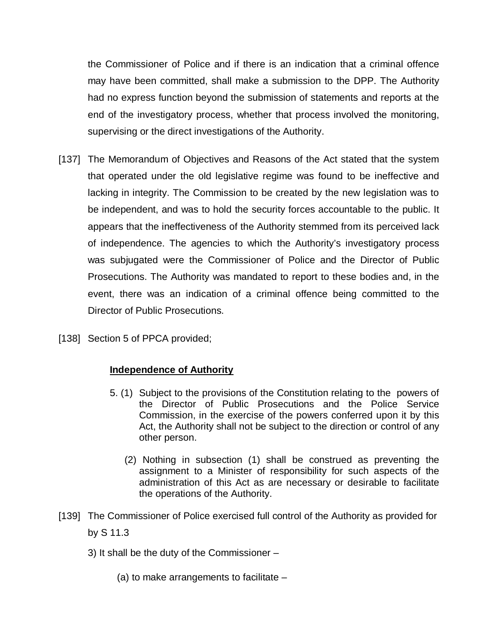the Commissioner of Police and if there is an indication that a criminal offence may have been committed, shall make a submission to the DPP. The Authority had no express function beyond the submission of statements and reports at the end of the investigatory process, whether that process involved the monitoring, supervising or the direct investigations of the Authority.

- [137] The Memorandum of Objectives and Reasons of the Act stated that the system that operated under the old legislative regime was found to be ineffective and lacking in integrity. The Commission to be created by the new legislation was to be independent, and was to hold the security forces accountable to the public. It appears that the ineffectiveness of the Authority stemmed from its perceived lack of independence. The agencies to which the Authority's investigatory process was subjugated were the Commissioner of Police and the Director of Public Prosecutions. The Authority was mandated to report to these bodies and, in the event, there was an indication of a criminal offence being committed to the Director of Public Prosecutions.
- [138] Section 5 of PPCA provided;

# **Independence of Authority**

- 5. (1) Subject to the provisions of the Constitution relating to the powers of the Director of Public Prosecutions and the Police Service Commission, in the exercise of the powers conferred upon it by this Act, the Authority shall not be subject to the direction or control of any other person.
	- (2) Nothing in subsection (1) shall be construed as preventing the assignment to a Minister of responsibility for such aspects of the administration of this Act as are necessary or desirable to facilitate the operations of the Authority.
- [139] The Commissioner of Police exercised full control of the Authority as provided for by S 11.3
	- 3) It shall be the duty of the Commissioner
		- (a) to make arrangements to facilitate –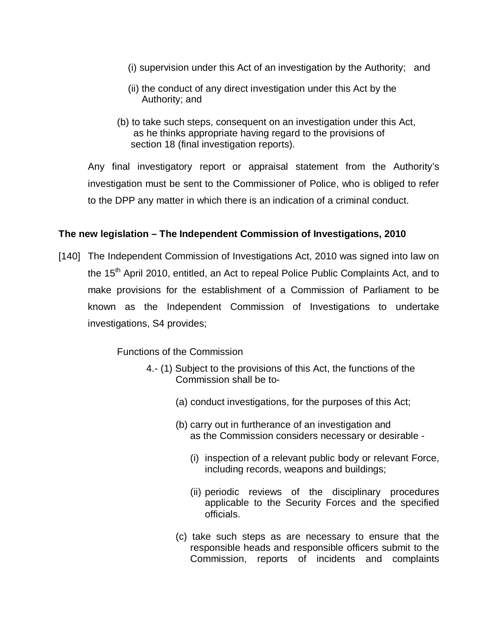- (i) supervision under this Act of an investigation by the Authority; and
- (ii) the conduct of any direct investigation under this Act by the Authority; and
- (b) to take such steps, consequent on an investigation under this Act, as he thinks appropriate having regard to the provisions of section 18 (final investigation reports).

Any final investigatory report or appraisal statement from the Authority's investigation must be sent to the Commissioner of Police, who is obliged to refer to the DPP any matter in which there is an indication of a criminal conduct.

## **The new legislation – The Independent Commission of Investigations, 2010**

[140] The Independent Commission of Investigations Act, 2010 was signed into law on the 15<sup>th</sup> April 2010, entitled, an Act to repeal Police Public Complaints Act, and to make provisions for the establishment of a Commission of Parliament to be known as the Independent Commission of Investigations to undertake investigations, S4 provides;

Functions of the Commission

- 4.- (1) Subject to the provisions of this Act, the functions of the Commission shall be to-
	- (a) conduct investigations, for the purposes of this Act;
	- (b) carry out in furtherance of an investigation and as the Commission considers necessary or desirable -
		- (i) inspection of a relevant public body or relevant Force, including records, weapons and buildings;
		- (ii) periodic reviews of the disciplinary procedures applicable to the Security Forces and the specified officials.
	- (c) take such steps as are necessary to ensure that the responsible heads and responsible officers submit to the Commission, reports of incidents and complaints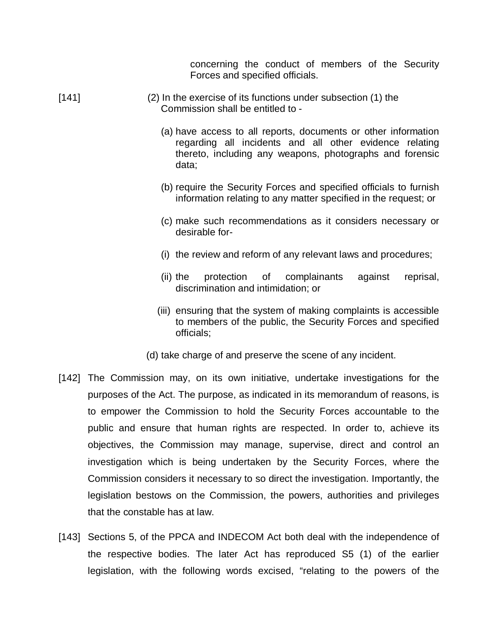concerning the conduct of members of the Security Forces and specified officials.

- [141] (2) In the exercise of its functions under subsection (1) the Commission shall be entitled to -
	- (a) have access to all reports, documents or other information regarding all incidents and all other evidence relating thereto, including any weapons, photographs and forensic data;
	- (b) require the Security Forces and specified officials to furnish information relating to any matter specified in the request; or
	- (c) make such recommendations as it considers necessary or desirable for-
	- (i) the review and reform of any relevant laws and procedures;
	- (ii) the protection of complainants against reprisal, discrimination and intimidation; or
	- (iii) ensuring that the system of making complaints is accessible to members of the public, the Security Forces and specified officials;
	- (d) take charge of and preserve the scene of any incident.
- [142] The Commission may, on its own initiative, undertake investigations for the purposes of the Act. The purpose, as indicated in its memorandum of reasons, is to empower the Commission to hold the Security Forces accountable to the public and ensure that human rights are respected. In order to, achieve its objectives, the Commission may manage, supervise, direct and control an investigation which is being undertaken by the Security Forces, where the Commission considers it necessary to so direct the investigation. Importantly, the legislation bestows on the Commission, the powers, authorities and privileges that the constable has at law.
- [143] Sections 5, of the PPCA and INDECOM Act both deal with the independence of the respective bodies. The later Act has reproduced S5 (1) of the earlier legislation, with the following words excised, "relating to the powers of the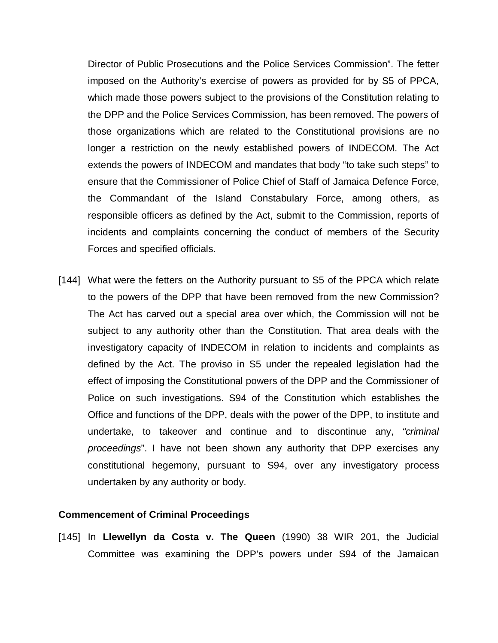Director of Public Prosecutions and the Police Services Commission". The fetter imposed on the Authority's exercise of powers as provided for by S5 of PPCA, which made those powers subject to the provisions of the Constitution relating to the DPP and the Police Services Commission, has been removed. The powers of those organizations which are related to the Constitutional provisions are no longer a restriction on the newly established powers of INDECOM. The Act extends the powers of INDECOM and mandates that body "to take such steps" to ensure that the Commissioner of Police Chief of Staff of Jamaica Defence Force, the Commandant of the Island Constabulary Force, among others, as responsible officers as defined by the Act, submit to the Commission, reports of incidents and complaints concerning the conduct of members of the Security Forces and specified officials.

[144] What were the fetters on the Authority pursuant to S5 of the PPCA which relate to the powers of the DPP that have been removed from the new Commission? The Act has carved out a special area over which, the Commission will not be subject to any authority other than the Constitution. That area deals with the investigatory capacity of INDECOM in relation to incidents and complaints as defined by the Act. The proviso in S5 under the repealed legislation had the effect of imposing the Constitutional powers of the DPP and the Commissioner of Police on such investigations. S94 of the Constitution which establishes the Office and functions of the DPP, deals with the power of the DPP, to institute and undertake, to takeover and continue and to discontinue any, *"criminal proceedings*". I have not been shown any authority that DPP exercises any constitutional hegemony, pursuant to S94, over any investigatory process undertaken by any authority or body.

#### **Commencement of Criminal Proceedings**

[145] In **Llewellyn da Costa v. The Queen** (1990) 38 WIR 201, the Judicial Committee was examining the DPP's powers under S94 of the Jamaican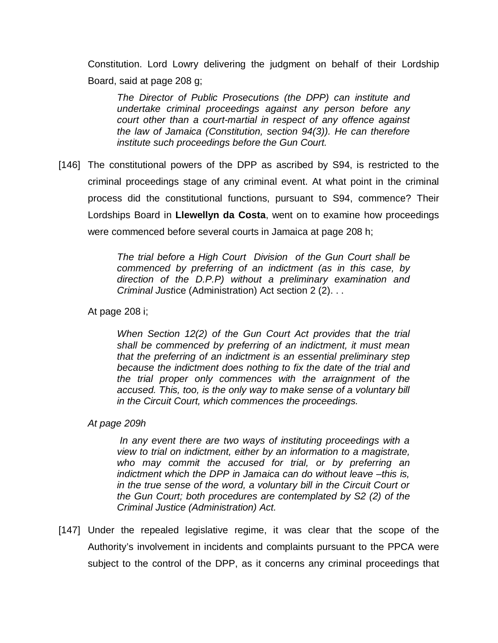Constitution. Lord Lowry delivering the judgment on behalf of their Lordship Board, said at page 208 g;

*The Director of Public Prosecutions (the DPP) can institute and undertake criminal proceedings against any person before any court other than a court-martial in respect of any offence against the law of Jamaica (Constitution, section 94(3)). He can therefore institute such proceedings before the Gun Court.* 

[146] The constitutional powers of the DPP as ascribed by S94, is restricted to the criminal proceedings stage of any criminal event. At what point in the criminal process did the constitutional functions, pursuant to S94, commence? Their Lordships Board in **Llewellyn da Costa**, went on to examine how proceedings were commenced before several courts in Jamaica at page 208 h;

> *The trial before a High Court Division of the Gun Court shall be commenced by preferring of an indictment (as in this case, by direction of the D.P.P) without a preliminary examination and Criminal Just*ice (Administration) Act section 2 (2). . .

At page 208 i;

*When Section 12(2) of the Gun Court Act provides that the trial shall be commenced by preferring of an indictment, it must mean that the preferring of an indictment is an essential preliminary step because the indictment does nothing to fix the date of the trial and the trial proper only commences with the arraignment of the accused. This, too, is the only way to make sense of a voluntary bill in the Circuit Court, which commences the proceedings.*

*At page 209h*

*In any event there are two ways of instituting proceedings with a view to trial on indictment, either by an information to a magistrate, who may commit the accused for trial, or by preferring an indictment which the DPP in Jamaica can do without leave –this is, in the true sense of the word, a voluntary bill in the Circuit Court or the Gun Court; both procedures are contemplated by S2 (2) of the Criminal Justice (Administration) Act.* 

[147] Under the repealed legislative regime, it was clear that the scope of the Authority's involvement in incidents and complaints pursuant to the PPCA were subject to the control of the DPP, as it concerns any criminal proceedings that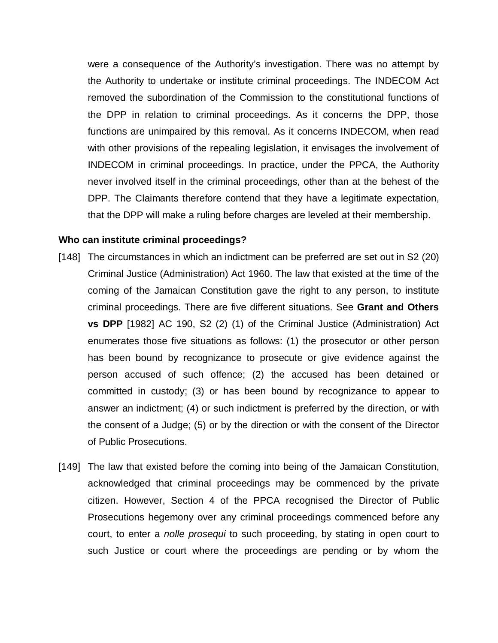were a consequence of the Authority's investigation. There was no attempt by the Authority to undertake or institute criminal proceedings. The INDECOM Act removed the subordination of the Commission to the constitutional functions of the DPP in relation to criminal proceedings. As it concerns the DPP, those functions are unimpaired by this removal. As it concerns INDECOM, when read with other provisions of the repealing legislation, it envisages the involvement of INDECOM in criminal proceedings. In practice, under the PPCA, the Authority never involved itself in the criminal proceedings, other than at the behest of the DPP. The Claimants therefore contend that they have a legitimate expectation, that the DPP will make a ruling before charges are leveled at their membership.

#### **Who can institute criminal proceedings?**

- [148] The circumstances in which an indictment can be preferred are set out in S2 (20) Criminal Justice (Administration) Act 1960. The law that existed at the time of the coming of the Jamaican Constitution gave the right to any person, to institute criminal proceedings. There are five different situations. See **Grant and Others vs DPP** [1982] AC 190, S2 (2) (1) of the Criminal Justice (Administration) Act enumerates those five situations as follows: (1) the prosecutor or other person has been bound by recognizance to prosecute or give evidence against the person accused of such offence; (2) the accused has been detained or committed in custody; (3) or has been bound by recognizance to appear to answer an indictment; (4) or such indictment is preferred by the direction, or with the consent of a Judge; (5) or by the direction or with the consent of the Director of Public Prosecutions.
- [149] The law that existed before the coming into being of the Jamaican Constitution, acknowledged that criminal proceedings may be commenced by the private citizen. However, Section 4 of the PPCA recognised the Director of Public Prosecutions hegemony over any criminal proceedings commenced before any court, to enter a *nolle prosequi* to such proceeding, by stating in open court to such Justice or court where the proceedings are pending or by whom the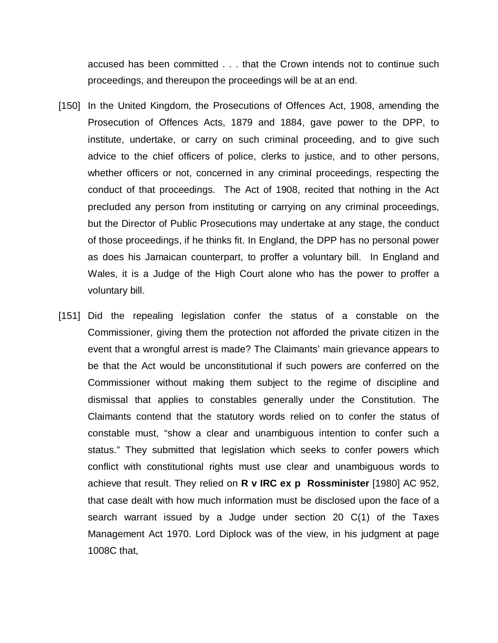accused has been committed . . . that the Crown intends not to continue such proceedings, and thereupon the proceedings will be at an end.

- [150] In the United Kingdom, the Prosecutions of Offences Act, 1908, amending the Prosecution of Offences Acts, 1879 and 1884, gave power to the DPP, to institute, undertake, or carry on such criminal proceeding, and to give such advice to the chief officers of police, clerks to justice, and to other persons, whether officers or not, concerned in any criminal proceedings, respecting the conduct of that proceedings. The Act of 1908, recited that nothing in the Act precluded any person from instituting or carrying on any criminal proceedings, but the Director of Public Prosecutions may undertake at any stage, the conduct of those proceedings, if he thinks fit. In England, the DPP has no personal power as does his Jamaican counterpart, to proffer a voluntary bill. In England and Wales, it is a Judge of the High Court alone who has the power to proffer a voluntary bill.
- [151] Did the repealing legislation confer the status of a constable on the Commissioner, giving them the protection not afforded the private citizen in the event that a wrongful arrest is made? The Claimants' main grievance appears to be that the Act would be unconstitutional if such powers are conferred on the Commissioner without making them subject to the regime of discipline and dismissal that applies to constables generally under the Constitution. The Claimants contend that the statutory words relied on to confer the status of constable must, "show a clear and unambiguous intention to confer such a status." They submitted that legislation which seeks to confer powers which conflict with constitutional rights must use clear and unambiguous words to achieve that result. They relied on **R v IRC ex p Rossminister** [1980] AC 952, that case dealt with how much information must be disclosed upon the face of a search warrant issued by a Judge under section 20 C(1) of the Taxes Management Act 1970. Lord Diplock was of the view, in his judgment at page 1008C that,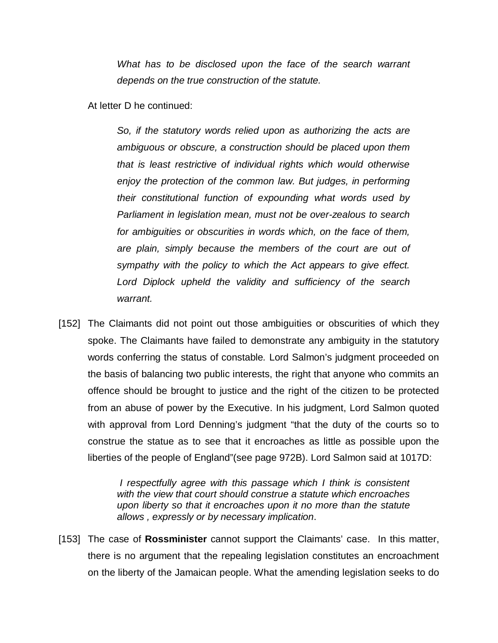*What has to be disclosed upon the face of the search warrant depends on the true construction of the statute.*

At letter D he continued:

*So, if the statutory words relied upon as authorizing the acts are ambiguous or obscure, a construction should be placed upon them that is least restrictive of individual rights which would otherwise enjoy the protection of the common law. But judges, in performing their constitutional function of expounding what words used by Parliament in legislation mean, must not be over-zealous to search for ambiguities or obscurities in words which, on the face of them, are plain, simply because the members of the court are out of sympathy with the policy to which the Act appears to give effect. Lord Diplock upheld the validity and sufficiency of the search warrant.*

[152] The Claimants did not point out those ambiguities or obscurities of which they spoke. The Claimants have failed to demonstrate any ambiguity in the statutory words conferring the status of constable*.* Lord Salmon's judgment proceeded on the basis of balancing two public interests, the right that anyone who commits an offence should be brought to justice and the right of the citizen to be protected from an abuse of power by the Executive. In his judgment, Lord Salmon quoted with approval from Lord Denning's judgment "that the duty of the courts so to construe the statue as to see that it encroaches as little as possible upon the liberties of the people of England"(see page 972B). Lord Salmon said at 1017D:

> *I* respectfully agree with this passage which *I* think is consistent *with the view that court should construe a statute which encroaches upon liberty so that it encroaches upon it no more than the statute allows , expressly or by necessary implication*.

[153] The case of **Rossminister** cannot support the Claimants' case. In this matter, there is no argument that the repealing legislation constitutes an encroachment on the liberty of the Jamaican people. What the amending legislation seeks to do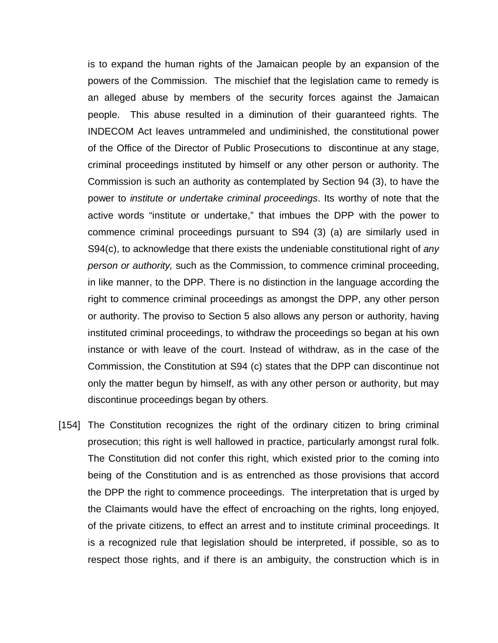is to expand the human rights of the Jamaican people by an expansion of the powers of the Commission. The mischief that the legislation came to remedy is an alleged abuse by members of the security forces against the Jamaican people. This abuse resulted in a diminution of their guaranteed rights. The INDECOM Act leaves untrammeled and undiminished, the constitutional power of the Office of the Director of Public Prosecutions to discontinue at any stage, criminal proceedings instituted by himself or any other person or authority. The Commission is such an authority as contemplated by Section 94 (3), to have the power to *institute or undertake criminal proceedings*. Its worthy of note that the active words "institute or undertake," that imbues the DPP with the power to commence criminal proceedings pursuant to S94 (3) (a) are similarly used in S94(c), to acknowledge that there exists the undeniable constitutional right of *any person or authority,* such as the Commission, to commence criminal proceeding, in like manner, to the DPP. There is no distinction in the language according the right to commence criminal proceedings as amongst the DPP, any other person or authority. The proviso to Section 5 also allows any person or authority, having instituted criminal proceedings, to withdraw the proceedings so began at his own instance or with leave of the court. Instead of withdraw, as in the case of the Commission, the Constitution at S94 (c) states that the DPP can discontinue not only the matter begun by himself, as with any other person or authority, but may discontinue proceedings began by others.

[154] The Constitution recognizes the right of the ordinary citizen to bring criminal prosecution; this right is well hallowed in practice, particularly amongst rural folk. The Constitution did not confer this right, which existed prior to the coming into being of the Constitution and is as entrenched as those provisions that accord the DPP the right to commence proceedings. The interpretation that is urged by the Claimants would have the effect of encroaching on the rights, long enjoyed, of the private citizens, to effect an arrest and to institute criminal proceedings. It is a recognized rule that legislation should be interpreted, if possible, so as to respect those rights, and if there is an ambiguity, the construction which is in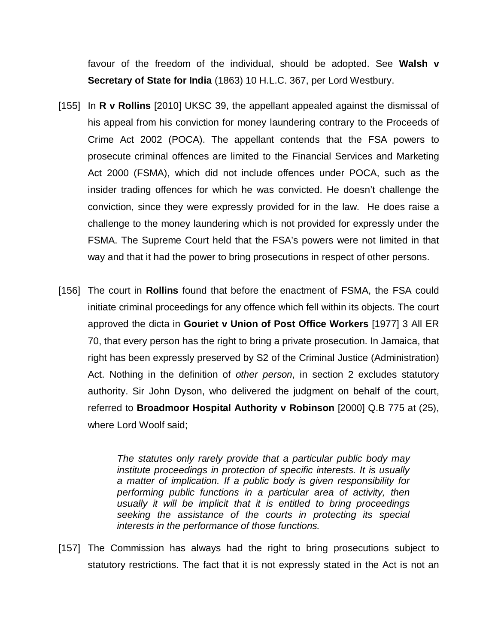favour of the freedom of the individual, should be adopted. See **Walsh v Secretary of State for India** (1863) 10 H.L.C. 367, per Lord Westbury.

- [155] In **R v Rollins** [2010] UKSC 39, the appellant appealed against the dismissal of his appeal from his conviction for money laundering contrary to the Proceeds of Crime Act 2002 (POCA). The appellant contends that the FSA powers to prosecute criminal offences are limited to the Financial Services and Marketing Act 2000 (FSMA), which did not include offences under POCA, such as the insider trading offences for which he was convicted. He doesn't challenge the conviction, since they were expressly provided for in the law. He does raise a challenge to the money laundering which is not provided for expressly under the FSMA. The Supreme Court held that the FSA's powers were not limited in that way and that it had the power to bring prosecutions in respect of other persons.
- [156] The court in **Rollins** found that before the enactment of FSMA, the FSA could initiate criminal proceedings for any offence which fell within its objects. The court approved the dicta in **Gouriet v Union of Post Office Workers** [1977] 3 All ER 70, that every person has the right to bring a private prosecution. In Jamaica, that right has been expressly preserved by S2 of the Criminal Justice (Administration) Act. Nothing in the definition of *other person*, in section 2 excludes statutory authority. Sir John Dyson, who delivered the judgment on behalf of the court, referred to **Broadmoor Hospital Authority v Robinson** [2000] Q.B 775 at (25), where Lord Woolf said;

*The statutes only rarely provide that a particular public body may institute proceedings in protection of specific interests. It is usually a matter of implication. If a public body is given responsibility for performing public functions in a particular area of activity, then usually it will be implicit that it is entitled to bring proceedings seeking the assistance of the courts in protecting its special interests in the performance of those functions.*

[157] The Commission has always had the right to bring prosecutions subject to statutory restrictions. The fact that it is not expressly stated in the Act is not an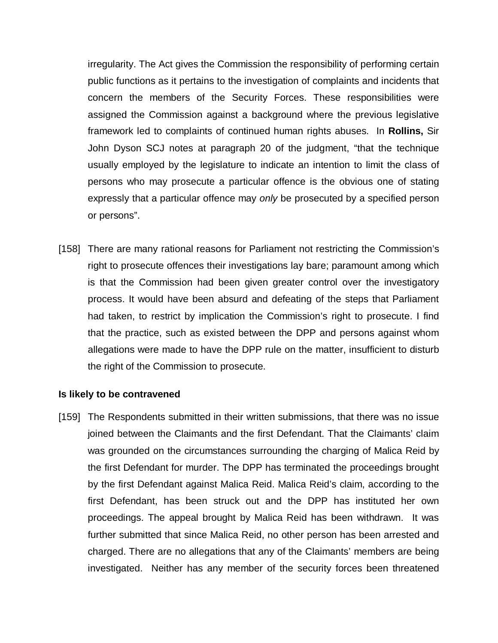irregularity. The Act gives the Commission the responsibility of performing certain public functions as it pertains to the investigation of complaints and incidents that concern the members of the Security Forces. These responsibilities were assigned the Commission against a background where the previous legislative framework led to complaints of continued human rights abuses. In **Rollins,** Sir John Dyson SCJ notes at paragraph 20 of the judgment, "that the technique usually employed by the legislature to indicate an intention to limit the class of persons who may prosecute a particular offence is the obvious one of stating expressly that a particular offence may *only* be prosecuted by a specified person or persons".

[158] There are many rational reasons for Parliament not restricting the Commission's right to prosecute offences their investigations lay bare; paramount among which is that the Commission had been given greater control over the investigatory process. It would have been absurd and defeating of the steps that Parliament had taken, to restrict by implication the Commission's right to prosecute. I find that the practice, such as existed between the DPP and persons against whom allegations were made to have the DPP rule on the matter, insufficient to disturb the right of the Commission to prosecute.

### **Is likely to be contravened**

[159] The Respondents submitted in their written submissions, that there was no issue joined between the Claimants and the first Defendant. That the Claimants' claim was grounded on the circumstances surrounding the charging of Malica Reid by the first Defendant for murder. The DPP has terminated the proceedings brought by the first Defendant against Malica Reid. Malica Reid's claim, according to the first Defendant, has been struck out and the DPP has instituted her own proceedings. The appeal brought by Malica Reid has been withdrawn. It was further submitted that since Malica Reid, no other person has been arrested and charged. There are no allegations that any of the Claimants' members are being investigated. Neither has any member of the security forces been threatened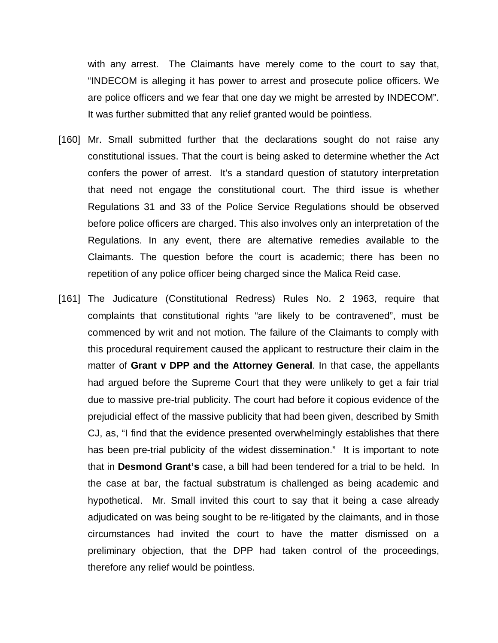with any arrest. The Claimants have merely come to the court to say that, "INDECOM is alleging it has power to arrest and prosecute police officers. We are police officers and we fear that one day we might be arrested by INDECOM". It was further submitted that any relief granted would be pointless.

- [160] Mr. Small submitted further that the declarations sought do not raise any constitutional issues. That the court is being asked to determine whether the Act confers the power of arrest. It's a standard question of statutory interpretation that need not engage the constitutional court. The third issue is whether Regulations 31 and 33 of the Police Service Regulations should be observed before police officers are charged. This also involves only an interpretation of the Regulations. In any event, there are alternative remedies available to the Claimants. The question before the court is academic; there has been no repetition of any police officer being charged since the Malica Reid case.
- [161] The Judicature (Constitutional Redress) Rules No. 2 1963, require that complaints that constitutional rights "are likely to be contravened", must be commenced by writ and not motion. The failure of the Claimants to comply with this procedural requirement caused the applicant to restructure their claim in the matter of **Grant v DPP and the Attorney General**. In that case, the appellants had argued before the Supreme Court that they were unlikely to get a fair trial due to massive pre-trial publicity. The court had before it copious evidence of the prejudicial effect of the massive publicity that had been given, described by Smith CJ, as, "I find that the evidence presented overwhelmingly establishes that there has been pre-trial publicity of the widest dissemination." It is important to note that in **Desmond Grant's** case, a bill had been tendered for a trial to be held. In the case at bar, the factual substratum is challenged as being academic and hypothetical. Mr. Small invited this court to say that it being a case already adjudicated on was being sought to be re-litigated by the claimants, and in those circumstances had invited the court to have the matter dismissed on a preliminary objection, that the DPP had taken control of the proceedings, therefore any relief would be pointless.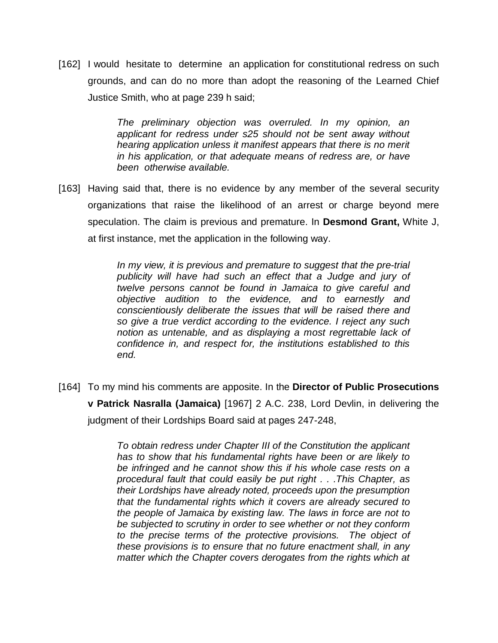[162] I would hesitate to determine an application for constitutional redress on such grounds, and can do no more than adopt the reasoning of the Learned Chief Justice Smith, who at page 239 h said;

> *The preliminary objection was overruled. In my opinion, an applicant for redress under s25 should not be sent away without hearing application unless it manifest appears that there is no merit in his application, or that adequate means of redress are, or have been otherwise available.*

[163] Having said that, there is no evidence by any member of the several security organizations that raise the likelihood of an arrest or charge beyond mere speculation. The claim is previous and premature. In **Desmond Grant,** White J, at first instance, met the application in the following way.

> *In my view, it is previous and premature to suggest that the pre-trial publicity will have had such an effect that a Judge and jury of twelve persons cannot be found in Jamaica to give careful and objective audition to the evidence, and to earnestly and conscientiously deliberate the issues that will be raised there and so give a true verdict according to the evidence. I reject any such notion as untenable, and as displaying a most regrettable lack of confidence in, and respect for, the institutions established to this end.*

[164] To my mind his comments are apposite. In the **Director of Public Prosecutions v Patrick Nasralla (Jamaica)** [1967] 2 A.C. 238, Lord Devlin, in delivering the judgment of their Lordships Board said at pages 247-248,

> *To obtain redress under Chapter III of the Constitution the applicant has to show that his fundamental rights have been or are likely to be infringed and he cannot show this if his whole case rests on a procedural fault that could easily be put right . . .This Chapter, as their Lordships have already noted, proceeds upon the presumption that the fundamental rights which it covers are already secured to the people of Jamaica by existing law. The laws in force are not to be subjected to scrutiny in order to see whether or not they conform to the precise terms of the protective provisions. The object of these provisions is to ensure that no future enactment shall, in any matter which the Chapter covers derogates from the rights which at*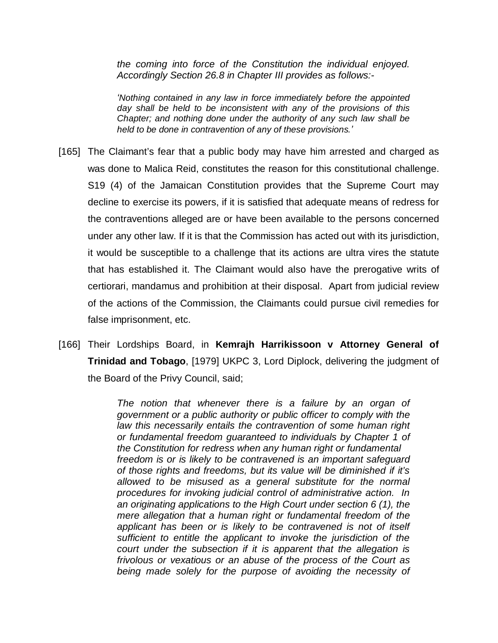*the coming into force of the Constitution the individual enjoyed. Accordingly Section 26.8 in Chapter III provides as follows:-*

*'Nothing contained in any law in force immediately before the appointed day shall be held to be inconsistent with any of the provisions of this Chapter; and nothing done under the authority of any such law shall be held to be done in contravention of any of these provisions.'*

- [165] The Claimant's fear that a public body may have him arrested and charged as was done to Malica Reid, constitutes the reason for this constitutional challenge. S19 (4) of the Jamaican Constitution provides that the Supreme Court may decline to exercise its powers, if it is satisfied that adequate means of redress for the contraventions alleged are or have been available to the persons concerned under any other law. If it is that the Commission has acted out with its jurisdiction, it would be susceptible to a challenge that its actions are ultra vires the statute that has established it. The Claimant would also have the prerogative writs of certiorari, mandamus and prohibition at their disposal. Apart from judicial review of the actions of the Commission, the Claimants could pursue civil remedies for false imprisonment, etc.
- [166] Their Lordships Board, in **Kemrajh Harrikissoon v Attorney General of Trinidad and Tobago**, [1979] UKPC 3, Lord Diplock, delivering the judgment of the Board of the Privy Council, said;

*The notion that whenever there is a failure by an organ of government or a public authority or public officer to comply with the law this necessarily entails the contravention of some human right or fundamental freedom guaranteed to individuals by Chapter 1 of the Constitution for redress when any human right or fundamental freedom is or is likely to be contravened is an important safeguard of those rights and freedoms, but its value will be diminished if it's allowed to be misused as a general substitute for the normal procedures for invoking judicial control of administrative action. In an originating applications to the High Court under section 6 (1), the mere allegation that a human right or fundamental freedom of the applicant has been or is likely to be contravened is not of itself sufficient to entitle the applicant to invoke the jurisdiction of the court under the subsection if it is apparent that the allegation is frivolous or vexatious or an abuse of the process of the Court as being made solely for the purpose of avoiding the necessity of*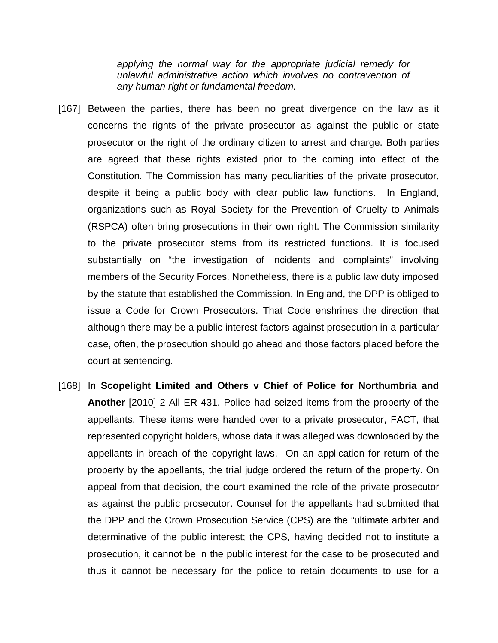*applying the normal way for the appropriate judicial remedy for unlawful administrative action which involves no contravention of any human right or fundamental freedom.*

- [167] Between the parties, there has been no great divergence on the law as it concerns the rights of the private prosecutor as against the public or state prosecutor or the right of the ordinary citizen to arrest and charge. Both parties are agreed that these rights existed prior to the coming into effect of the Constitution. The Commission has many peculiarities of the private prosecutor, despite it being a public body with clear public law functions. In England, organizations such as Royal Society for the Prevention of Cruelty to Animals (RSPCA) often bring prosecutions in their own right. The Commission similarity to the private prosecutor stems from its restricted functions. It is focused substantially on "the investigation of incidents and complaints" involving members of the Security Forces. Nonetheless, there is a public law duty imposed by the statute that established the Commission. In England, the DPP is obliged to issue a Code for Crown Prosecutors. That Code enshrines the direction that although there may be a public interest factors against prosecution in a particular case, often, the prosecution should go ahead and those factors placed before the court at sentencing.
- [168] In **Scopelight Limited and Others v Chief of Police for Northumbria and Another** [2010] 2 All ER 431. Police had seized items from the property of the appellants. These items were handed over to a private prosecutor, FACT, that represented copyright holders, whose data it was alleged was downloaded by the appellants in breach of the copyright laws. On an application for return of the property by the appellants, the trial judge ordered the return of the property. On appeal from that decision, the court examined the role of the private prosecutor as against the public prosecutor. Counsel for the appellants had submitted that the DPP and the Crown Prosecution Service (CPS) are the "ultimate arbiter and determinative of the public interest; the CPS, having decided not to institute a prosecution, it cannot be in the public interest for the case to be prosecuted and thus it cannot be necessary for the police to retain documents to use for a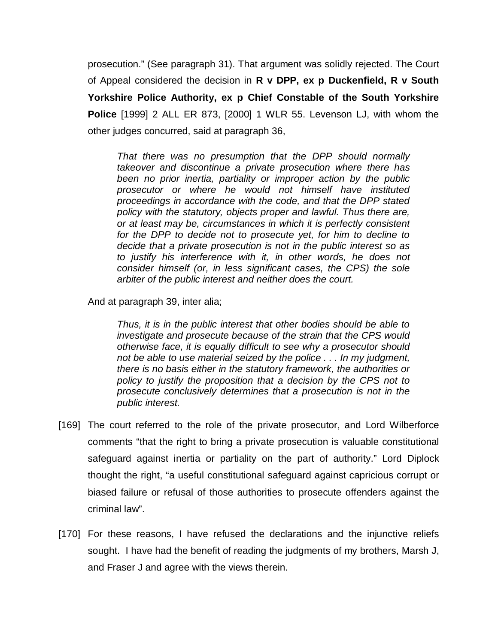prosecution." (See paragraph 31). That argument was solidly rejected. The Court of Appeal considered the decision in **R v DPP, ex p Duckenfield, R v South Yorkshire Police Authority, ex p Chief Constable of the South Yorkshire Police** [1999] 2 ALL ER 873, [2000] 1 WLR 55. Levenson LJ, with whom the other judges concurred, said at paragraph 36,

*That there was no presumption that the DPP should normally takeover and discontinue a private prosecution where there has been no prior inertia, partiality or improper action by the public prosecutor or where he would not himself have instituted proceedings in accordance with the code, and that the DPP stated policy with the statutory, objects proper and lawful. Thus there are, or at least may be, circumstances in which it is perfectly consistent for the DPP to decide not to prosecute yet, for him to decline to decide that a private prosecution is not in the public interest so as to justify his interference with it, in other words, he does not consider himself (or, in less significant cases, the CPS) the sole arbiter of the public interest and neither does the court.* 

And at paragraph 39, inter alia;

*Thus, it is in the public interest that other bodies should be able to investigate and prosecute because of the strain that the CPS would otherwise face, it is equally difficult to see why a prosecutor should not be able to use material seized by the police . . . In my judgment, there is no basis either in the statutory framework, the authorities or policy to justify the proposition that a decision by the CPS not to prosecute conclusively determines that a prosecution is not in the public interest.*

- [169] The court referred to the role of the private prosecutor, and Lord Wilberforce comments "that the right to bring a private prosecution is valuable constitutional safeguard against inertia or partiality on the part of authority." Lord Diplock thought the right, "a useful constitutional safeguard against capricious corrupt or biased failure or refusal of those authorities to prosecute offenders against the criminal law".
- [170] For these reasons, I have refused the declarations and the injunctive reliefs sought. I have had the benefit of reading the judgments of my brothers, Marsh J, and Fraser J and agree with the views therein.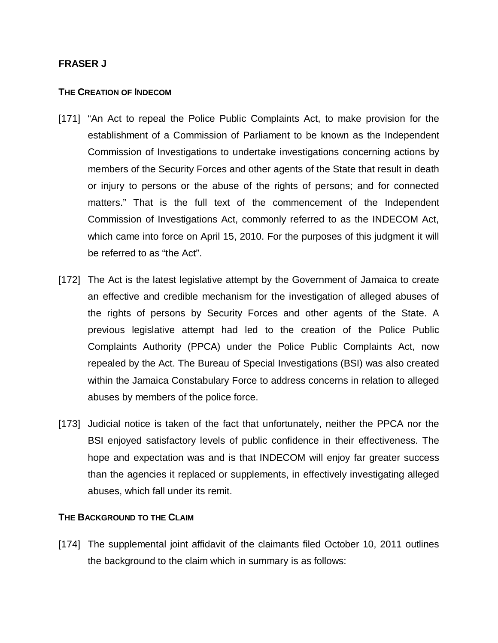## **FRASER J**

### **THE CREATION OF INDECOM**

- [171] "An Act to repeal the Police Public Complaints Act, to make provision for the establishment of a Commission of Parliament to be known as the Independent Commission of Investigations to undertake investigations concerning actions by members of the Security Forces and other agents of the State that result in death or injury to persons or the abuse of the rights of persons; and for connected matters." That is the full text of the commencement of the Independent Commission of Investigations Act, commonly referred to as the INDECOM Act, which came into force on April 15, 2010. For the purposes of this judgment it will be referred to as "the Act".
- [172] The Act is the latest legislative attempt by the Government of Jamaica to create an effective and credible mechanism for the investigation of alleged abuses of the rights of persons by Security Forces and other agents of the State. A previous legislative attempt had led to the creation of the Police Public Complaints Authority (PPCA) under the Police Public Complaints Act, now repealed by the Act. The Bureau of Special Investigations (BSI) was also created within the Jamaica Constabulary Force to address concerns in relation to alleged abuses by members of the police force.
- [173] Judicial notice is taken of the fact that unfortunately, neither the PPCA nor the BSI enjoyed satisfactory levels of public confidence in their effectiveness. The hope and expectation was and is that INDECOM will enjoy far greater success than the agencies it replaced or supplements, in effectively investigating alleged abuses, which fall under its remit.

### **THE BACKGROUND TO THE CLAIM**

[174] The supplemental joint affidavit of the claimants filed October 10, 2011 outlines the background to the claim which in summary is as follows: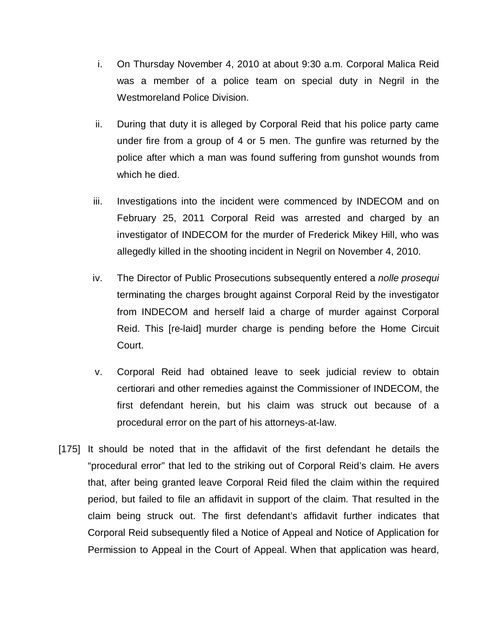- i. On Thursday November 4, 2010 at about 9:30 a.m. Corporal Malica Reid was a member of a police team on special duty in Negril in the Westmoreland Police Division.
- ii. During that duty it is alleged by Corporal Reid that his police party came under fire from a group of 4 or 5 men. The gunfire was returned by the police after which a man was found suffering from gunshot wounds from which he died.
- iii. Investigations into the incident were commenced by INDECOM and on February 25, 2011 Corporal Reid was arrested and charged by an investigator of INDECOM for the murder of Frederick Mikey Hill, who was allegedly killed in the shooting incident in Negril on November 4, 2010.
- iv. The Director of Public Prosecutions subsequently entered a *nolle prosequi* terminating the charges brought against Corporal Reid by the investigator from INDECOM and herself laid a charge of murder against Corporal Reid. This [re-laid] murder charge is pending before the Home Circuit Court.
- v. Corporal Reid had obtained leave to seek judicial review to obtain certiorari and other remedies against the Commissioner of INDECOM, the first defendant herein, but his claim was struck out because of a procedural error on the part of his attorneys-at-law.
- [175] It should be noted that in the affidavit of the first defendant he details the "procedural error" that led to the striking out of Corporal Reid's claim. He avers that, after being granted leave Corporal Reid filed the claim within the required period, but failed to file an affidavit in support of the claim. That resulted in the claim being struck out. The first defendant's affidavit further indicates that Corporal Reid subsequently filed a Notice of Appeal and Notice of Application for Permission to Appeal in the Court of Appeal. When that application was heard,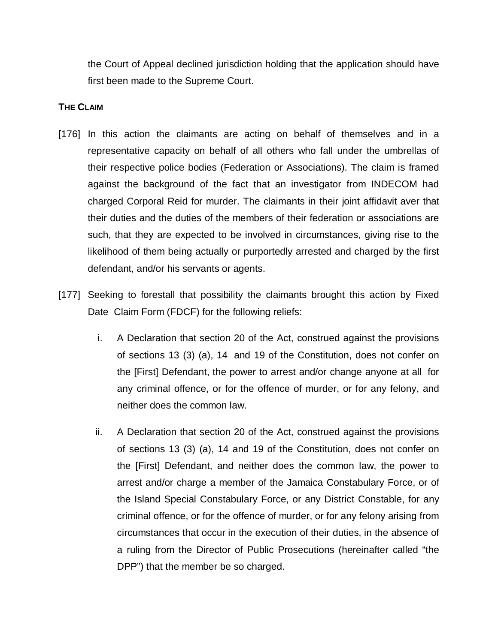the Court of Appeal declined jurisdiction holding that the application should have first been made to the Supreme Court.

## **THE CLAIM**

- [176] In this action the claimants are acting on behalf of themselves and in a representative capacity on behalf of all others who fall under the umbrellas of their respective police bodies (Federation or Associations). The claim is framed against the background of the fact that an investigator from INDECOM had charged Corporal Reid for murder. The claimants in their joint affidavit aver that their duties and the duties of the members of their federation or associations are such, that they are expected to be involved in circumstances, giving rise to the likelihood of them being actually or purportedly arrested and charged by the first defendant, and/or his servants or agents.
- [177] Seeking to forestall that possibility the claimants brought this action by Fixed Date Claim Form (FDCF) for the following reliefs:
	- i. A Declaration that section 20 of the Act, construed against the provisions of sections 13 (3) (a), 14 and 19 of the Constitution, does not confer on the [First] Defendant, the power to arrest and/or change anyone at all for any criminal offence, or for the offence of murder, or for any felony, and neither does the common law.
	- ii. A Declaration that section 20 of the Act, construed against the provisions of sections 13 (3) (a), 14 and 19 of the Constitution, does not confer on the [First] Defendant, and neither does the common law, the power to arrest and/or charge a member of the Jamaica Constabulary Force, or of the Island Special Constabulary Force, or any District Constable, for any criminal offence, or for the offence of murder, or for any felony arising from circumstances that occur in the execution of their duties, in the absence of a ruling from the Director of Public Prosecutions (hereinafter called "the DPP") that the member be so charged.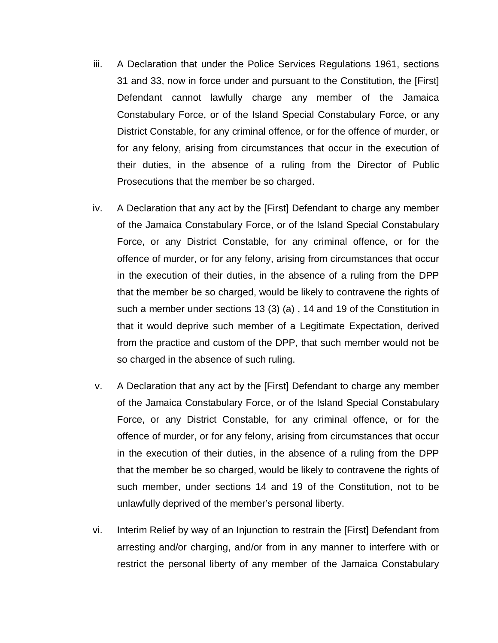- iii. A Declaration that under the Police Services Regulations 1961, sections 31 and 33, now in force under and pursuant to the Constitution, the [First] Defendant cannot lawfully charge any member of the Jamaica Constabulary Force, or of the Island Special Constabulary Force, or any District Constable, for any criminal offence, or for the offence of murder, or for any felony, arising from circumstances that occur in the execution of their duties, in the absence of a ruling from the Director of Public Prosecutions that the member be so charged.
- iv. A Declaration that any act by the [First] Defendant to charge any member of the Jamaica Constabulary Force, or of the Island Special Constabulary Force, or any District Constable, for any criminal offence, or for the offence of murder, or for any felony, arising from circumstances that occur in the execution of their duties, in the absence of a ruling from the DPP that the member be so charged, would be likely to contravene the rights of such a member under sections 13 (3) (a) , 14 and 19 of the Constitution in that it would deprive such member of a Legitimate Expectation, derived from the practice and custom of the DPP, that such member would not be so charged in the absence of such ruling.
- v. A Declaration that any act by the [First] Defendant to charge any member of the Jamaica Constabulary Force, or of the Island Special Constabulary Force, or any District Constable, for any criminal offence, or for the offence of murder, or for any felony, arising from circumstances that occur in the execution of their duties, in the absence of a ruling from the DPP that the member be so charged, would be likely to contravene the rights of such member, under sections 14 and 19 of the Constitution, not to be unlawfully deprived of the member's personal liberty.
- vi. Interim Relief by way of an Injunction to restrain the [First] Defendant from arresting and/or charging, and/or from in any manner to interfere with or restrict the personal liberty of any member of the Jamaica Constabulary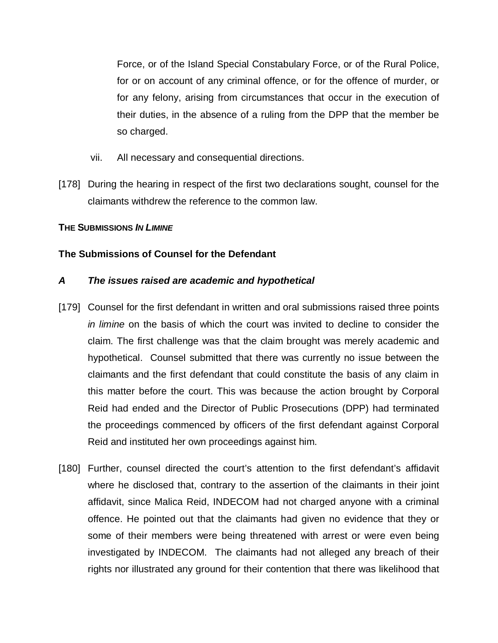Force, or of the Island Special Constabulary Force, or of the Rural Police, for or on account of any criminal offence, or for the offence of murder, or for any felony, arising from circumstances that occur in the execution of their duties, in the absence of a ruling from the DPP that the member be so charged.

- vii. All necessary and consequential directions.
- [178] During the hearing in respect of the first two declarations sought, counsel for the claimants withdrew the reference to the common law.

## **THE SUBMISSIONS** *IN LIMINE*

## **The Submissions of Counsel for the Defendant**

## *A The issues raised are academic and hypothetical*

- [179] Counsel for the first defendant in written and oral submissions raised three points *in limine* on the basis of which the court was invited to decline to consider the claim. The first challenge was that the claim brought was merely academic and hypothetical. Counsel submitted that there was currently no issue between the claimants and the first defendant that could constitute the basis of any claim in this matter before the court. This was because the action brought by Corporal Reid had ended and the Director of Public Prosecutions (DPP) had terminated the proceedings commenced by officers of the first defendant against Corporal Reid and instituted her own proceedings against him.
- [180] Further, counsel directed the court's attention to the first defendant's affidavit where he disclosed that, contrary to the assertion of the claimants in their joint affidavit, since Malica Reid, INDECOM had not charged anyone with a criminal offence. He pointed out that the claimants had given no evidence that they or some of their members were being threatened with arrest or were even being investigated by INDECOM. The claimants had not alleged any breach of their rights nor illustrated any ground for their contention that there was likelihood that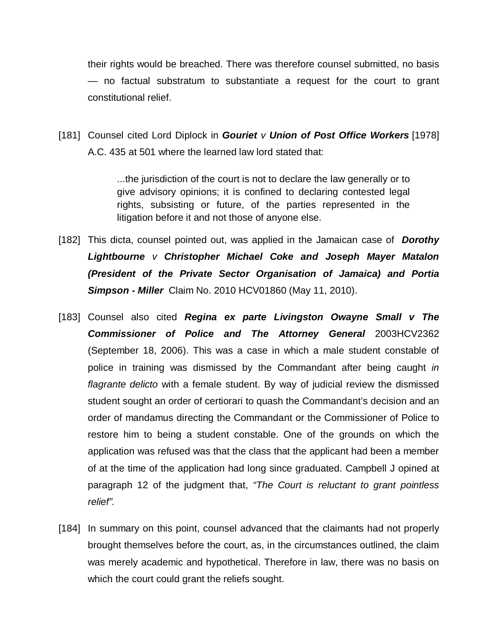their rights would be breached. There was therefore counsel submitted, no basis — no factual substratum to substantiate a request for the court to grant constitutional relief.

[181] Counsel cited Lord Diplock in *Gouriet v Union of Post Office Workers* [1978] A.C. 435 at 501 where the learned law lord stated that:

> ...the jurisdiction of the court is not to declare the law generally or to give advisory opinions; it is confined to declaring contested legal rights, subsisting or future, of the parties represented in the litigation before it and not those of anyone else.

- [182] This dicta, counsel pointed out, was applied in the Jamaican case of *Dorothy Lightbourne v Christopher Michael Coke and Joseph Mayer Matalon (President of the Private Sector Organisation of Jamaica) and Portia Simpson - Miller* Claim No. 2010 HCV01860 (May 11, 2010).
- [183] Counsel also cited *Regina ex parte Livingston Owayne Small v The Commissioner of Police and The Attorney General* 2003HCV2362 (September 18, 2006). This was a case in which a male student constable of police in training was dismissed by the Commandant after being caught *in flagrante delicto* with a female student. By way of judicial review the dismissed student sought an order of certiorari to quash the Commandant's decision and an order of mandamus directing the Commandant or the Commissioner of Police to restore him to being a student constable. One of the grounds on which the application was refused was that the class that the applicant had been a member of at the time of the application had long since graduated. Campbell J opined at paragraph 12 of the judgment that, *"The Court is reluctant to grant pointless relief".*
- [184] In summary on this point, counsel advanced that the claimants had not properly brought themselves before the court, as, in the circumstances outlined, the claim was merely academic and hypothetical. Therefore in law, there was no basis on which the court could grant the reliefs sought.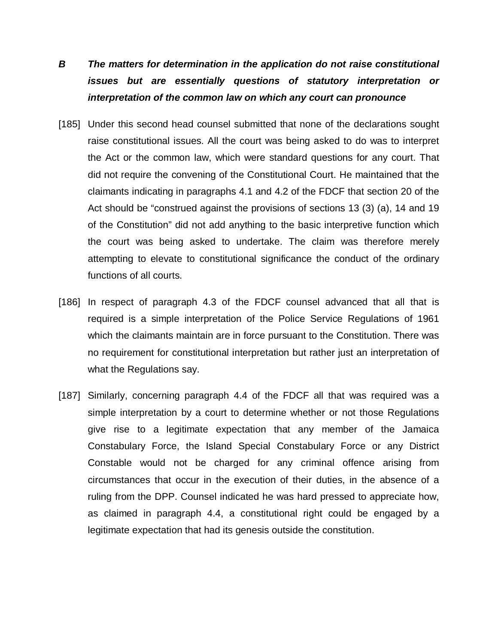- *B The matters for determination in the application do not raise constitutional issues but are essentially questions of statutory interpretation or interpretation of the common law on which any court can pronounce*
- [185] Under this second head counsel submitted that none of the declarations sought raise constitutional issues. All the court was being asked to do was to interpret the Act or the common law, which were standard questions for any court. That did not require the convening of the Constitutional Court. He maintained that the claimants indicating in paragraphs 4.1 and 4.2 of the FDCF that section 20 of the Act should be "construed against the provisions of sections 13 (3) (a), 14 and 19 of the Constitution" did not add anything to the basic interpretive function which the court was being asked to undertake. The claim was therefore merely attempting to elevate to constitutional significance the conduct of the ordinary functions of all courts.
- [186] In respect of paragraph 4.3 of the FDCF counsel advanced that all that is required is a simple interpretation of the Police Service Regulations of 1961 which the claimants maintain are in force pursuant to the Constitution. There was no requirement for constitutional interpretation but rather just an interpretation of what the Regulations say.
- [187] Similarly, concerning paragraph 4.4 of the FDCF all that was required was a simple interpretation by a court to determine whether or not those Regulations give rise to a legitimate expectation that any member of the Jamaica Constabulary Force, the Island Special Constabulary Force or any District Constable would not be charged for any criminal offence arising from circumstances that occur in the execution of their duties, in the absence of a ruling from the DPP. Counsel indicated he was hard pressed to appreciate how, as claimed in paragraph 4.4, a constitutional right could be engaged by a legitimate expectation that had its genesis outside the constitution.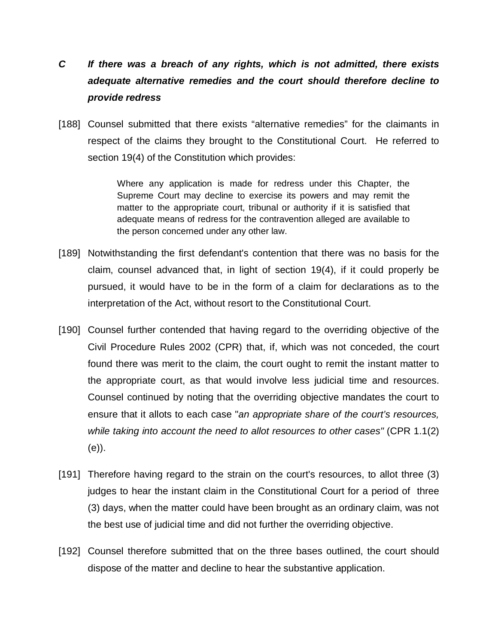- *C If there was a breach of any rights, which is not admitted, there exists adequate alternative remedies and the court should therefore decline to provide redress*
- [188] Counsel submitted that there exists "alternative remedies" for the claimants in respect of the claims they brought to the Constitutional Court. He referred to section 19(4) of the Constitution which provides:

Where any application is made for redress under this Chapter, the Supreme Court may decline to exercise its powers and may remit the matter to the appropriate court, tribunal or authority if it is satisfied that adequate means of redress for the contravention alleged are available to the person concerned under any other law.

- [189] Notwithstanding the first defendant's contention that there was no basis for the claim, counsel advanced that, in light of section 19(4), if it could properly be pursued, it would have to be in the form of a claim for declarations as to the interpretation of the Act, without resort to the Constitutional Court.
- [190] Counsel further contended that having regard to the overriding objective of the Civil Procedure Rules 2002 (CPR) that, if, which was not conceded, the court found there was merit to the claim, the court ought to remit the instant matter to the appropriate court, as that would involve less judicial time and resources. Counsel continued by noting that the overriding objective mandates the court to ensure that it allots to each case "*an appropriate share of the court's resources, while taking into account the need to allot resources to other cases"* (CPR 1.1(2) (e)).
- [191] Therefore having regard to the strain on the court's resources, to allot three (3) judges to hear the instant claim in the Constitutional Court for a period of three (3) days, when the matter could have been brought as an ordinary claim, was not the best use of judicial time and did not further the overriding objective.
- [192] Counsel therefore submitted that on the three bases outlined, the court should dispose of the matter and decline to hear the substantive application.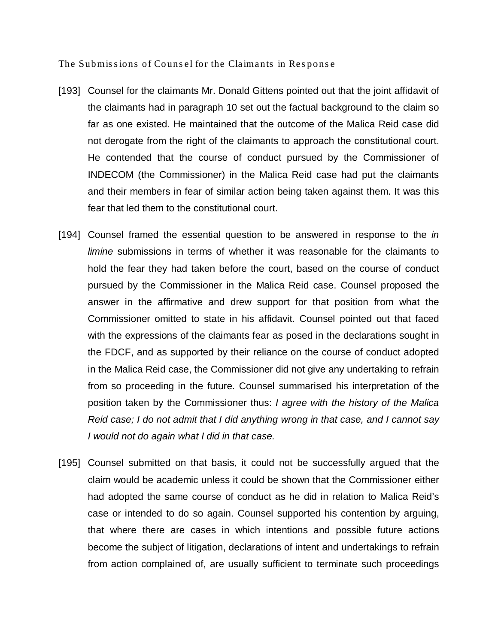The Submissions of Counsel for the Claimants in Response

- [193] Counsel for the claimants Mr. Donald Gittens pointed out that the joint affidavit of the claimants had in paragraph 10 set out the factual background to the claim so far as one existed. He maintained that the outcome of the Malica Reid case did not derogate from the right of the claimants to approach the constitutional court. He contended that the course of conduct pursued by the Commissioner of INDECOM (the Commissioner) in the Malica Reid case had put the claimants and their members in fear of similar action being taken against them. It was this fear that led them to the constitutional court.
- [194] Counsel framed the essential question to be answered in response to the *in limine* submissions in terms of whether it was reasonable for the claimants to hold the fear they had taken before the court, based on the course of conduct pursued by the Commissioner in the Malica Reid case. Counsel proposed the answer in the affirmative and drew support for that position from what the Commissioner omitted to state in his affidavit. Counsel pointed out that faced with the expressions of the claimants fear as posed in the declarations sought in the FDCF, and as supported by their reliance on the course of conduct adopted in the Malica Reid case, the Commissioner did not give any undertaking to refrain from so proceeding in the future. Counsel summarised his interpretation of the position taken by the Commissioner thus: *I agree with the history of the Malica Reid case; I do not admit that I did anything wrong in that case, and I cannot say I would not do again what I did in that case.*
- [195] Counsel submitted on that basis, it could not be successfully argued that the claim would be academic unless it could be shown that the Commissioner either had adopted the same course of conduct as he did in relation to Malica Reid's case or intended to do so again. Counsel supported his contention by arguing, that where there are cases in which intentions and possible future actions become the subject of litigation, declarations of intent and undertakings to refrain from action complained of, are usually sufficient to terminate such proceedings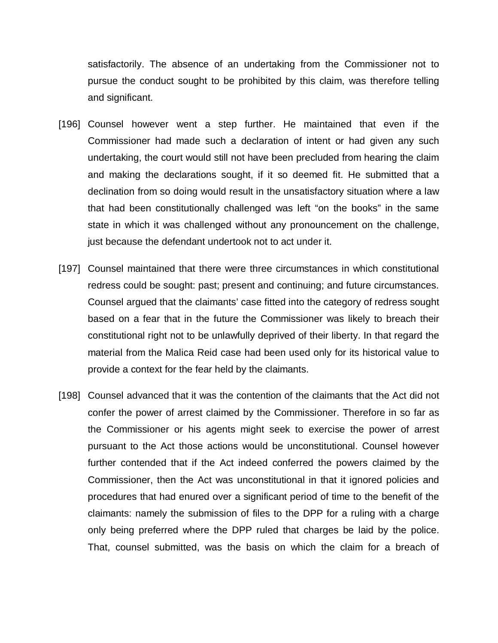satisfactorily. The absence of an undertaking from the Commissioner not to pursue the conduct sought to be prohibited by this claim, was therefore telling and significant.

- [196] Counsel however went a step further. He maintained that even if the Commissioner had made such a declaration of intent or had given any such undertaking, the court would still not have been precluded from hearing the claim and making the declarations sought, if it so deemed fit. He submitted that a declination from so doing would result in the unsatisfactory situation where a law that had been constitutionally challenged was left "on the books" in the same state in which it was challenged without any pronouncement on the challenge, just because the defendant undertook not to act under it.
- [197] Counsel maintained that there were three circumstances in which constitutional redress could be sought: past; present and continuing; and future circumstances. Counsel argued that the claimants' case fitted into the category of redress sought based on a fear that in the future the Commissioner was likely to breach their constitutional right not to be unlawfully deprived of their liberty. In that regard the material from the Malica Reid case had been used only for its historical value to provide a context for the fear held by the claimants.
- [198] Counsel advanced that it was the contention of the claimants that the Act did not confer the power of arrest claimed by the Commissioner. Therefore in so far as the Commissioner or his agents might seek to exercise the power of arrest pursuant to the Act those actions would be unconstitutional. Counsel however further contended that if the Act indeed conferred the powers claimed by the Commissioner, then the Act was unconstitutional in that it ignored policies and procedures that had enured over a significant period of time to the benefit of the claimants: namely the submission of files to the DPP for a ruling with a charge only being preferred where the DPP ruled that charges be laid by the police. That, counsel submitted, was the basis on which the claim for a breach of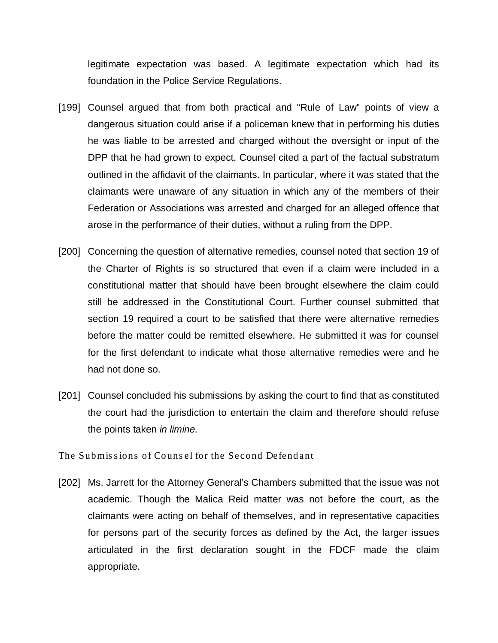legitimate expectation was based. A legitimate expectation which had its foundation in the Police Service Regulations.

- [199] Counsel argued that from both practical and "Rule of Law" points of view a dangerous situation could arise if a policeman knew that in performing his duties he was liable to be arrested and charged without the oversight or input of the DPP that he had grown to expect. Counsel cited a part of the factual substratum outlined in the affidavit of the claimants. In particular, where it was stated that the claimants were unaware of any situation in which any of the members of their Federation or Associations was arrested and charged for an alleged offence that arose in the performance of their duties, without a ruling from the DPP.
- [200] Concerning the question of alternative remedies, counsel noted that section 19 of the Charter of Rights is so structured that even if a claim were included in a constitutional matter that should have been brought elsewhere the claim could still be addressed in the Constitutional Court. Further counsel submitted that section 19 required a court to be satisfied that there were alternative remedies before the matter could be remitted elsewhere. He submitted it was for counsel for the first defendant to indicate what those alternative remedies were and he had not done so.
- [201] Counsel concluded his submissions by asking the court to find that as constituted the court had the jurisdiction to entertain the claim and therefore should refuse the points taken *in limine.*

The Submissions of Counsel for the Second Defendant

[202] Ms. Jarrett for the Attorney General's Chambers submitted that the issue was not academic. Though the Malica Reid matter was not before the court, as the claimants were acting on behalf of themselves, and in representative capacities for persons part of the security forces as defined by the Act, the larger issues articulated in the first declaration sought in the FDCF made the claim appropriate.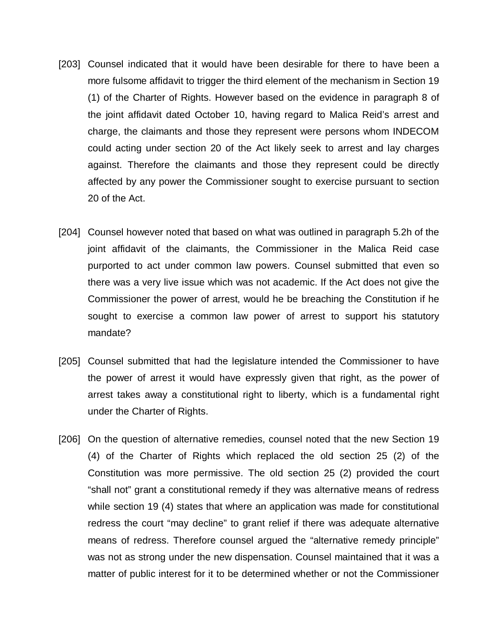- [203] Counsel indicated that it would have been desirable for there to have been a more fulsome affidavit to trigger the third element of the mechanism in Section 19 (1) of the Charter of Rights. However based on the evidence in paragraph 8 of the joint affidavit dated October 10, having regard to Malica Reid's arrest and charge, the claimants and those they represent were persons whom INDECOM could acting under section 20 of the Act likely seek to arrest and lay charges against. Therefore the claimants and those they represent could be directly affected by any power the Commissioner sought to exercise pursuant to section 20 of the Act.
- [204] Counsel however noted that based on what was outlined in paragraph 5.2h of the joint affidavit of the claimants, the Commissioner in the Malica Reid case purported to act under common law powers. Counsel submitted that even so there was a very live issue which was not academic. If the Act does not give the Commissioner the power of arrest, would he be breaching the Constitution if he sought to exercise a common law power of arrest to support his statutory mandate?
- [205] Counsel submitted that had the legislature intended the Commissioner to have the power of arrest it would have expressly given that right, as the power of arrest takes away a constitutional right to liberty, which is a fundamental right under the Charter of Rights.
- [206] On the question of alternative remedies, counsel noted that the new Section 19 (4) of the Charter of Rights which replaced the old section 25 (2) of the Constitution was more permissive. The old section 25 (2) provided the court "shall not" grant a constitutional remedy if they was alternative means of redress while section 19 (4) states that where an application was made for constitutional redress the court "may decline" to grant relief if there was adequate alternative means of redress. Therefore counsel argued the "alternative remedy principle" was not as strong under the new dispensation. Counsel maintained that it was a matter of public interest for it to be determined whether or not the Commissioner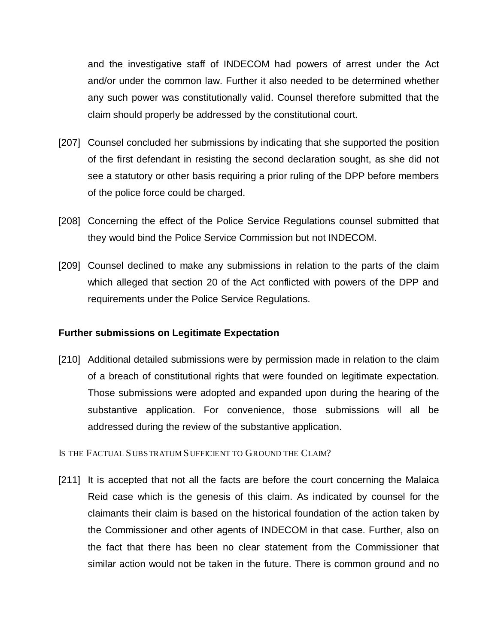and the investigative staff of INDECOM had powers of arrest under the Act and/or under the common law. Further it also needed to be determined whether any such power was constitutionally valid. Counsel therefore submitted that the claim should properly be addressed by the constitutional court.

- [207] Counsel concluded her submissions by indicating that she supported the position of the first defendant in resisting the second declaration sought, as she did not see a statutory or other basis requiring a prior ruling of the DPP before members of the police force could be charged.
- [208] Concerning the effect of the Police Service Regulations counsel submitted that they would bind the Police Service Commission but not INDECOM.
- [209] Counsel declined to make any submissions in relation to the parts of the claim which alleged that section 20 of the Act conflicted with powers of the DPP and requirements under the Police Service Regulations.

#### **Further submissions on Legitimate Expectation**

[210] Additional detailed submissions were by permission made in relation to the claim of a breach of constitutional rights that were founded on legitimate expectation. Those submissions were adopted and expanded upon during the hearing of the substantive application. For convenience, those submissions will all be addressed during the review of the substantive application.

IS THE FACTUAL SUBSTRATUM SUFFICIENT TO GROUND THE CLAIM?

[211] It is accepted that not all the facts are before the court concerning the Malaica Reid case which is the genesis of this claim. As indicated by counsel for the claimants their claim is based on the historical foundation of the action taken by the Commissioner and other agents of INDECOM in that case. Further, also on the fact that there has been no clear statement from the Commissioner that similar action would not be taken in the future. There is common ground and no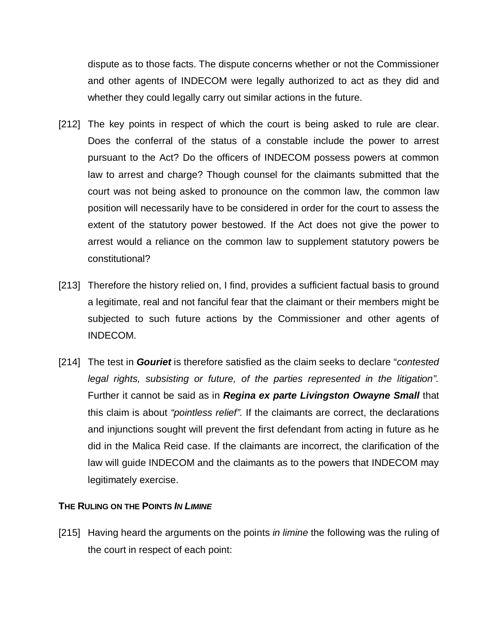dispute as to those facts. The dispute concerns whether or not the Commissioner and other agents of INDECOM were legally authorized to act as they did and whether they could legally carry out similar actions in the future.

- [212] The key points in respect of which the court is being asked to rule are clear. Does the conferral of the status of a constable include the power to arrest pursuant to the Act? Do the officers of INDECOM possess powers at common law to arrest and charge? Though counsel for the claimants submitted that the court was not being asked to pronounce on the common law, the common law position will necessarily have to be considered in order for the court to assess the extent of the statutory power bestowed. If the Act does not give the power to arrest would a reliance on the common law to supplement statutory powers be constitutional?
- [213] Therefore the history relied on, I find, provides a sufficient factual basis to ground a legitimate, real and not fanciful fear that the claimant or their members might be subjected to such future actions by the Commissioner and other agents of INDECOM.
- [214] The test in *Gouriet* is therefore satisfied as the claim seeks to declare "*contested legal rights, subsisting or future, of the parties represented in the litigation".* Further it cannot be said as in *Regina ex parte Livingston Owayne Small* that this claim is about *"pointless relief".* If the claimants are correct, the declarations and injunctions sought will prevent the first defendant from acting in future as he did in the Malica Reid case. If the claimants are incorrect, the clarification of the law will guide INDECOM and the claimants as to the powers that INDECOM may legitimately exercise.

### **THE RULING ON THE POINTS** *IN LIMINE*

[215] Having heard the arguments on the points *in limine* the following was the ruling of the court in respect of each point: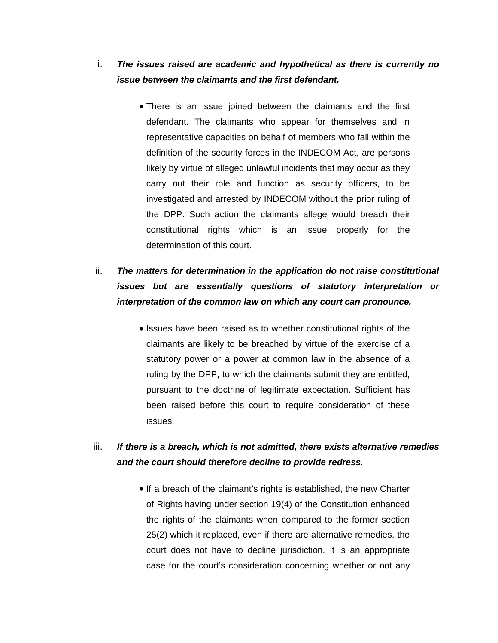## i. *The issues raised are academic and hypothetical as there is currently no issue between the claimants and the first defendant.*

• There is an issue joined between the claimants and the first defendant. The claimants who appear for themselves and in representative capacities on behalf of members who fall within the definition of the security forces in the INDECOM Act, are persons likely by virtue of alleged unlawful incidents that may occur as they carry out their role and function as security officers, to be investigated and arrested by INDECOM without the prior ruling of the DPP. Such action the claimants allege would breach their constitutional rights which is an issue properly for the determination of this court.

# ii. *The matters for determination in the application do not raise constitutional issues but are essentially questions of statutory interpretation or interpretation of the common law on which any court can pronounce.*

• Issues have been raised as to whether constitutional rights of the claimants are likely to be breached by virtue of the exercise of a statutory power or a power at common law in the absence of a ruling by the DPP, to which the claimants submit they are entitled, pursuant to the doctrine of legitimate expectation. Sufficient has been raised before this court to require consideration of these issues.

## iii. *If there is a breach, which is not admitted, there exists alternative remedies and the court should therefore decline to provide redress.*

• If a breach of the claimant's rights is established, the new Charter of Rights having under section 19(4) of the Constitution enhanced the rights of the claimants when compared to the former section 25(2) which it replaced, even if there are alternative remedies, the court does not have to decline jurisdiction. It is an appropriate case for the court's consideration concerning whether or not any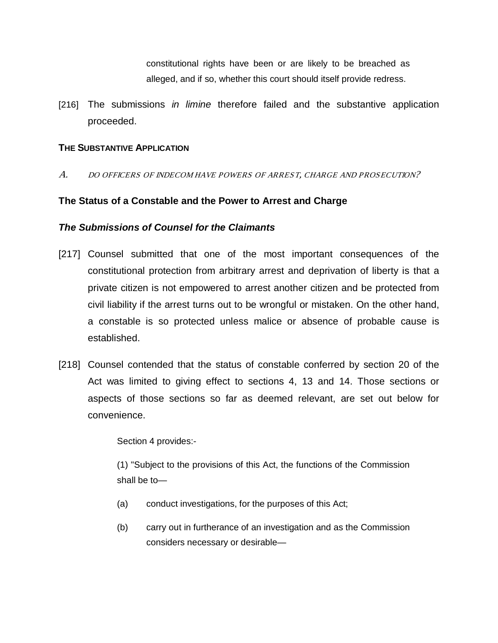constitutional rights have been or are likely to be breached as alleged, and if so, whether this court should itself provide redress.

[216] The submissions *in limine* therefore failed and the substantive application proceeded.

#### **THE SUBSTANTIVE APPLICATION**

A. DO OFFICERS OF INDECOM HAVE POWERS OF ARREST, CHARGE AND PROSECUTION?

### **The Status of a Constable and the Power to Arrest and Charge**

#### *The Submissions of Counsel for the Claimants*

- [217] Counsel submitted that one of the most important consequences of the constitutional protection from arbitrary arrest and deprivation of liberty is that a private citizen is not empowered to arrest another citizen and be protected from civil liability if the arrest turns out to be wrongful or mistaken. On the other hand, a constable is so protected unless malice or absence of probable cause is established.
- [218] Counsel contended that the status of constable conferred by section 20 of the Act was limited to giving effect to sections 4, 13 and 14. Those sections or aspects of those sections so far as deemed relevant, are set out below for convenience.

Section 4 provides:-

(1) "Subject to the provisions of this Act, the functions of the Commission shall be to—

- (a) conduct investigations, for the purposes of this Act;
- (b) carry out in furtherance of an investigation and as the Commission considers necessary or desirable—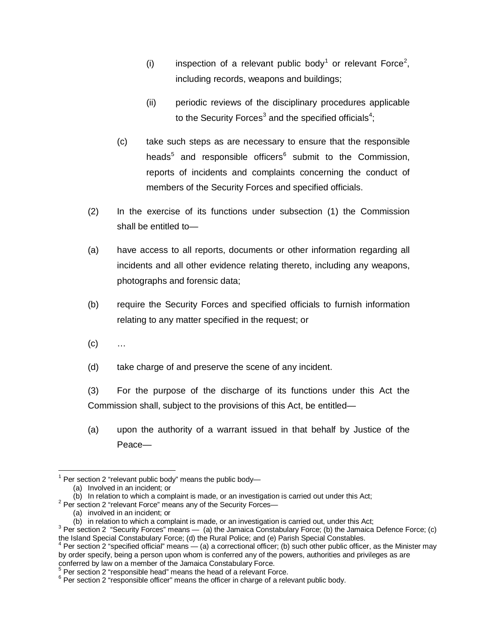- (i) inspection of a relevant public body<sup>[1](#page-83-0)</sup> or relevant Force<sup>[2](#page-83-1)</sup>, including records, weapons and buildings;
- (ii) periodic reviews of the disciplinary procedures applicable to the Security Forces<sup>[3](#page-83-2)</sup> and the specified officials<sup>[4](#page-83-3)</sup>;
- (c) take such steps as are necessary to ensure that the responsible heads<sup>[5](#page-83-4)</sup> and responsible officers<sup>[6](#page-83-5)</sup> submit to the Commission, reports of incidents and complaints concerning the conduct of members of the Security Forces and specified officials.
- (2) In the exercise of its functions under subsection (1) the Commission shall be entitled to—
- (a) have access to all reports, documents or other information regarding all incidents and all other evidence relating thereto, including any weapons, photographs and forensic data;
- (b) require the Security Forces and specified officials to furnish information relating to any matter specified in the request; or
- $(c)$  …
- (d) take charge of and preserve the scene of any incident.
- (3) For the purpose of the discharge of its functions under this Act the Commission shall, subject to the provisions of this Act, be entitled—
- (a) upon the authority of a warrant issued in that behalf by Justice of the Peace—

<span id="page-83-0"></span> $1$  Per section 2 "relevant public body" means the public body-

<sup>(</sup>a) Involved in an incident; or<br>(b) In relation to which a complaint is made, or an investigation is carried out under this Act;

<span id="page-83-1"></span> $2$  Per section 2 "relevant Force" means any of the Security Forces—

<sup>(</sup>a) involved in an incident; or<br>(b) in relation to which a complaint is made, or an investigation is carried out, under this Act:

<span id="page-83-2"></span> $3$  Per section 2 "Security Forces" means — (a) the Jamaica Constabulary Force; (b) the Jamaica Defence Force; (c) the Island Special Constabulary Force; (d) the Rural Police; and (e) Parish Special Constables.<br><sup>4</sup> Per section 2 "specified official" means — (a) a correctional officer; (b) such other public officer, as the Minister may

<span id="page-83-3"></span>by order specify, being a person upon whom is conferred any of the powers, authorities and privileges as are conferred by law on a member of the Jamaica Constabulary Force.<br><sup>5</sup> Per section 2 "responsible head" means the head of a relevant Force.

<span id="page-83-5"></span><span id="page-83-4"></span> $6$  Per section 2 "responsible officer" means the officer in charge of a relevant public body.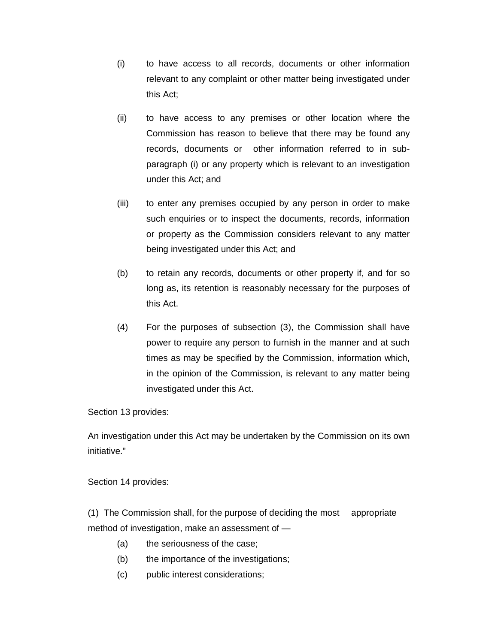- (i) to have access to all records, documents or other information relevant to any complaint or other matter being investigated under this Act;
- (ii) to have access to any premises or other location where the Commission has reason to believe that there may be found any records, documents or other information referred to in subparagraph (i) or any property which is relevant to an investigation under this Act; and
- (iii) to enter any premises occupied by any person in order to make such enquiries or to inspect the documents, records, information or property as the Commission considers relevant to any matter being investigated under this Act; and
- (b) to retain any records, documents or other property if, and for so long as, its retention is reasonably necessary for the purposes of this Act.
- (4) For the purposes of subsection (3), the Commission shall have power to require any person to furnish in the manner and at such times as may be specified by the Commission, information which, in the opinion of the Commission, is relevant to any matter being investigated under this Act.

Section 13 provides:

An investigation under this Act may be undertaken by the Commission on its own initiative."

Section 14 provides:

(1) The Commission shall, for the purpose of deciding the most appropriate method of investigation, make an assessment of —

- (a) the seriousness of the case;
- (b) the importance of the investigations;
- (c) public interest considerations;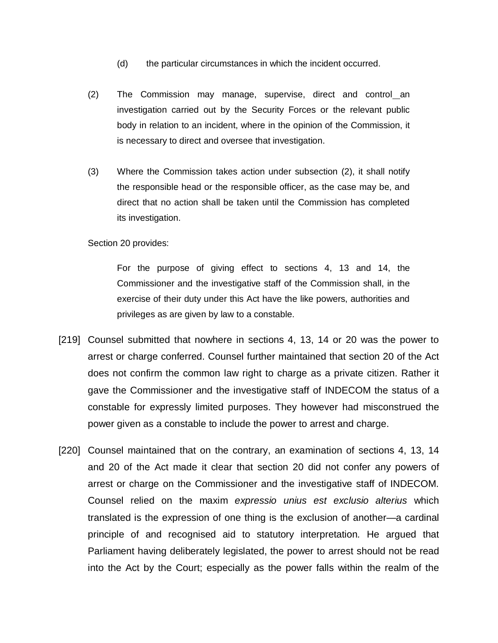- (d) the particular circumstances in which the incident occurred.
- (2) The Commission may manage, supervise, direct and control an investigation carried out by the Security Forces or the relevant public body in relation to an incident, where in the opinion of the Commission, it is necessary to direct and oversee that investigation.
- (3) Where the Commission takes action under subsection (2), it shall notify the responsible head or the responsible officer, as the case may be, and direct that no action shall be taken until the Commission has completed its investigation.

Section 20 provides:

For the purpose of giving effect to sections 4, 13 and 14, the Commissioner and the investigative staff of the Commission shall, in the exercise of their duty under this Act have the like powers, authorities and privileges as are given by law to a constable.

- [219] Counsel submitted that nowhere in sections 4, 13, 14 or 20 was the power to arrest or charge conferred. Counsel further maintained that section 20 of the Act does not confirm the common law right to charge as a private citizen. Rather it gave the Commissioner and the investigative staff of INDECOM the status of a constable for expressly limited purposes. They however had misconstrued the power given as a constable to include the power to arrest and charge.
- [220] Counsel maintained that on the contrary, an examination of sections 4, 13, 14 and 20 of the Act made it clear that section 20 did not confer any powers of arrest or charge on the Commissioner and the investigative staff of INDECOM. Counsel relied on the maxim *expressio unius est exclusio alterius* which translated is the expression of one thing is the exclusion of another—a cardinal principle of and recognised aid to statutory interpretation*.* He argued that Parliament having deliberately legislated, the power to arrest should not be read into the Act by the Court; especially as the power falls within the realm of the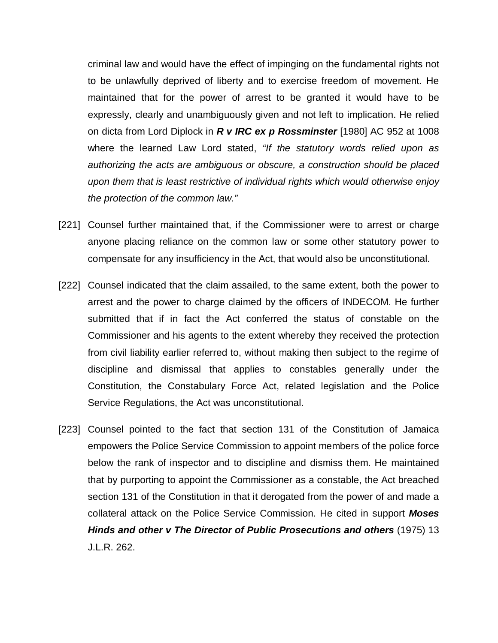criminal law and would have the effect of impinging on the fundamental rights not to be unlawfully deprived of liberty and to exercise freedom of movement. He maintained that for the power of arrest to be granted it would have to be expressly, clearly and unambiguously given and not left to implication. He relied on dicta from Lord Diplock in *R v IRC ex p Rossminster* [1980] AC 952 at 1008 where the learned Law Lord stated, *"If the statutory words relied upon as authorizing the acts are ambiguous or obscure, a construction should be placed upon them that is least restrictive of individual rights which would otherwise enjoy the protection of the common law."*

- [221] Counsel further maintained that, if the Commissioner were to arrest or charge anyone placing reliance on the common law or some other statutory power to compensate for any insufficiency in the Act, that would also be unconstitutional.
- [222] Counsel indicated that the claim assailed, to the same extent, both the power to arrest and the power to charge claimed by the officers of INDECOM. He further submitted that if in fact the Act conferred the status of constable on the Commissioner and his agents to the extent whereby they received the protection from civil liability earlier referred to, without making then subject to the regime of discipline and dismissal that applies to constables generally under the Constitution, the Constabulary Force Act, related legislation and the Police Service Regulations, the Act was unconstitutional.
- [223] Counsel pointed to the fact that section 131 of the Constitution of Jamaica empowers the Police Service Commission to appoint members of the police force below the rank of inspector and to discipline and dismiss them. He maintained that by purporting to appoint the Commissioner as a constable, the Act breached section 131 of the Constitution in that it derogated from the power of and made a collateral attack on the Police Service Commission. He cited in support *Moses Hinds and other v The Director of Public Prosecutions and others* (1975) 13 J.L.R. 262.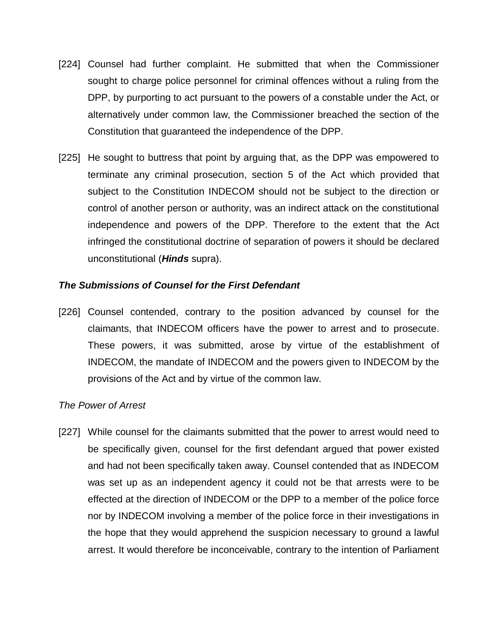- [224] Counsel had further complaint. He submitted that when the Commissioner sought to charge police personnel for criminal offences without a ruling from the DPP, by purporting to act pursuant to the powers of a constable under the Act, or alternatively under common law, the Commissioner breached the section of the Constitution that guaranteed the independence of the DPP.
- [225] He sought to buttress that point by arguing that, as the DPP was empowered to terminate any criminal prosecution, section 5 of the Act which provided that subject to the Constitution INDECOM should not be subject to the direction or control of another person or authority, was an indirect attack on the constitutional independence and powers of the DPP. Therefore to the extent that the Act infringed the constitutional doctrine of separation of powers it should be declared unconstitutional (*Hinds* supra).

### *The Submissions of Counsel for the First Defendant*

[226] Counsel contended, contrary to the position advanced by counsel for the claimants, that INDECOM officers have the power to arrest and to prosecute. These powers, it was submitted, arose by virtue of the establishment of INDECOM, the mandate of INDECOM and the powers given to INDECOM by the provisions of the Act and by virtue of the common law.

### *The Power of Arrest*

[227] While counsel for the claimants submitted that the power to arrest would need to be specifically given, counsel for the first defendant argued that power existed and had not been specifically taken away. Counsel contended that as INDECOM was set up as an independent agency it could not be that arrests were to be effected at the direction of INDECOM or the DPP to a member of the police force nor by INDECOM involving a member of the police force in their investigations in the hope that they would apprehend the suspicion necessary to ground a lawful arrest. It would therefore be inconceivable, contrary to the intention of Parliament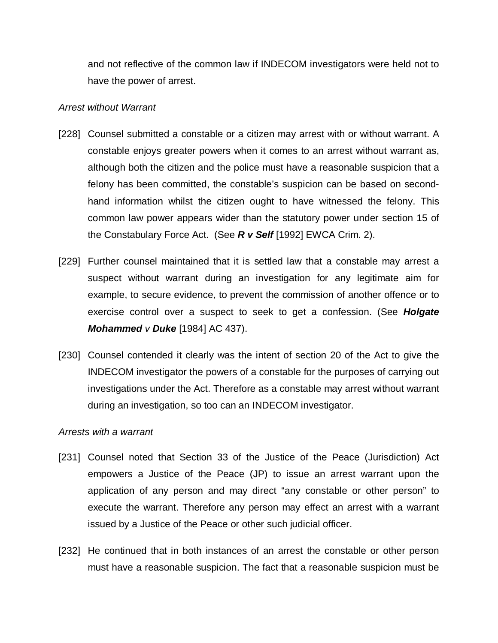and not reflective of the common law if INDECOM investigators were held not to have the power of arrest.

#### *Arrest without Warrant*

- [228] Counsel submitted a constable or a citizen may arrest with or without warrant. A constable enjoys greater powers when it comes to an arrest without warrant as, although both the citizen and the police must have a reasonable suspicion that a felony has been committed, the constable's suspicion can be based on secondhand information whilst the citizen ought to have witnessed the felony. This common law power appears wider than the statutory power under section 15 of the Constabulary Force Act. (See *R v Self* [1992] EWCA Crim. 2).
- [229] Further counsel maintained that it is settled law that a constable may arrest a suspect without warrant during an investigation for any legitimate aim for example, to secure evidence, to prevent the commission of another offence or to exercise control over a suspect to seek to get a confession. (See *Holgate Mohammed v Duke* [1984] AC 437).
- [230] Counsel contended it clearly was the intent of section 20 of the Act to give the INDECOM investigator the powers of a constable for the purposes of carrying out investigations under the Act. Therefore as a constable may arrest without warrant during an investigation, so too can an INDECOM investigator.

#### *Arrests with a warrant*

- [231] Counsel noted that Section 33 of the Justice of the Peace (Jurisdiction) Act empowers a Justice of the Peace (JP) to issue an arrest warrant upon the application of any person and may direct "any constable or other person" to execute the warrant. Therefore any person may effect an arrest with a warrant issued by a Justice of the Peace or other such judicial officer.
- [232] He continued that in both instances of an arrest the constable or other person must have a reasonable suspicion. The fact that a reasonable suspicion must be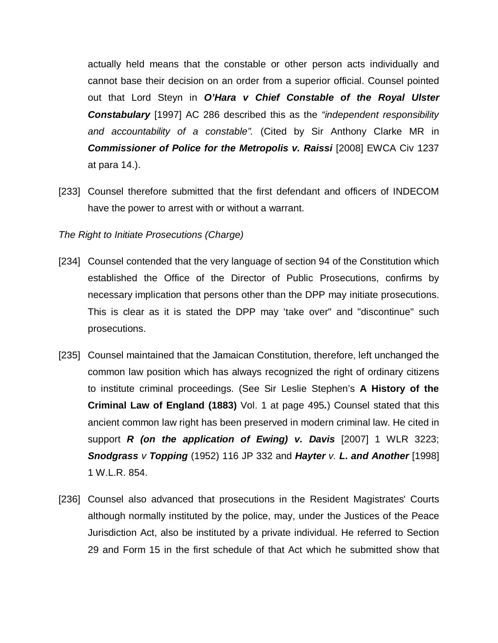actually held means that the constable or other person acts individually and cannot base their decision on an order from a superior official. Counsel pointed out that Lord Steyn in *O'Hara v Chief Constable of the Royal Ulster Constabulary* [1997] AC 286 described this as the *"independent responsibility and accountability of a constable".* (Cited by Sir Anthony Clarke MR in *Commissioner of Police for the Metropolis v. Raissi* [2008] EWCA Civ 1237 at para 14.).

[233] Counsel therefore submitted that the first defendant and officers of INDECOM have the power to arrest with or without a warrant.

#### *The Right to Initiate Prosecutions (Charge)*

- [234] Counsel contended that the very language of section 94 of the Constitution which established the Office of the Director of Public Prosecutions, confirms by necessary implication that persons other than the DPP may initiate prosecutions. This is clear as it is stated the DPP may 'take over" and "discontinue" such prosecutions.
- [235] Counsel maintained that the Jamaican Constitution, therefore, left unchanged the common law position which has always recognized the right of ordinary citizens to institute criminal proceedings. (See Sir Leslie Stephen's **A History of the Criminal Law of England (1883)** Vol. 1 at page 495*.*) Counsel stated that this ancient common law right has been preserved in modern criminal law. He cited in support *R (on the application of Ewing) v. Davis* [2007] 1 WLR 3223; *Snodgrass v Topping* (1952) 116 JP 332 and *Hayter v. L. and Another* [1998] 1 W.L.R. 854.
- [236] Counsel also advanced that prosecutions in the Resident Magistrates' Courts although normally instituted by the police, may, under the Justices of the Peace Jurisdiction Act, also be instituted by a private individual. He referred to Section 29 and Form 15 in the first schedule of that Act which he submitted show that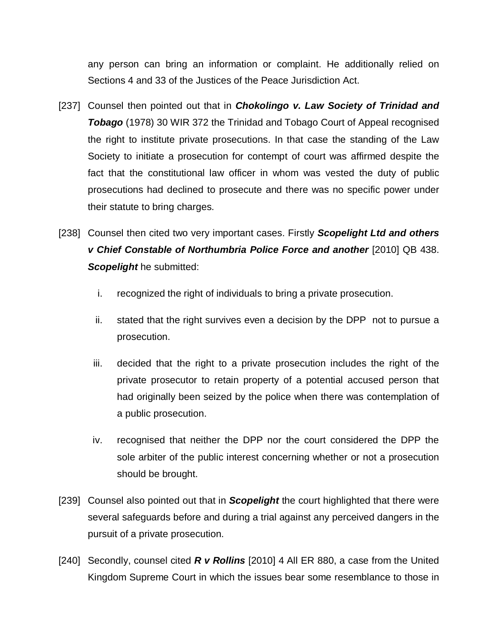any person can bring an information or complaint. He additionally relied on Sections 4 and 33 of the Justices of the Peace Jurisdiction Act.

- [237] Counsel then pointed out that in *Chokolingo v. Law Society of Trinidad and Tobago* (1978) 30 WIR 372 the Trinidad and Tobago Court of Appeal recognised the right to institute private prosecutions. In that case the standing of the Law Society to initiate a prosecution for contempt of court was affirmed despite the fact that the constitutional law officer in whom was vested the duty of public prosecutions had declined to prosecute and there was no specific power under their statute to bring charges.
- [238] Counsel then cited two very important cases. Firstly *Scopelight Ltd and others v Chief Constable of Northumbria Police Force and another* [2010] QB 438. *Scopelight* he submitted:
	- i. recognized the right of individuals to bring a private prosecution.
	- ii. stated that the right survives even a decision by the DPP not to pursue a prosecution.
	- iii. decided that the right to a private prosecution includes the right of the private prosecutor to retain property of a potential accused person that had originally been seized by the police when there was contemplation of a public prosecution.
	- iv. recognised that neither the DPP nor the court considered the DPP the sole arbiter of the public interest concerning whether or not a prosecution should be brought.
- [239] Counsel also pointed out that in *Scopelight* the court highlighted that there were several safeguards before and during a trial against any perceived dangers in the pursuit of a private prosecution.
- [240] Secondly, counsel cited *R v Rollins* [2010] 4 All ER 880, a case from the United Kingdom Supreme Court in which the issues bear some resemblance to those in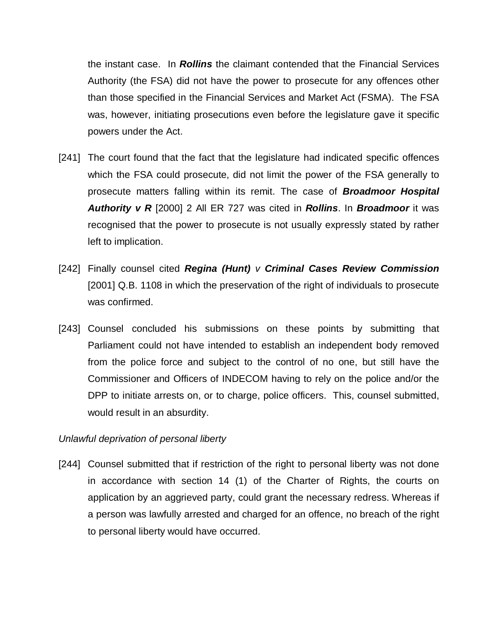the instant case. In *Rollins* the claimant contended that the Financial Services Authority (the FSA) did not have the power to prosecute for any offences other than those specified in the Financial Services and Market Act (FSMA). The FSA was, however, initiating prosecutions even before the legislature gave it specific powers under the Act.

- [241] The court found that the fact that the legislature had indicated specific offences which the FSA could prosecute, did not limit the power of the FSA generally to prosecute matters falling within its remit. The case of *Broadmoor Hospital Authority v R* [2000] 2 All ER 727 was cited in *Rollins*. In *Broadmoor* it was recognised that the power to prosecute is not usually expressly stated by rather left to implication.
- [242] Finally counsel cited *Regina (Hunt) v Criminal Cases Review Commission* [2001] Q.B. 1108 in which the preservation of the right of individuals to prosecute was confirmed.
- [243] Counsel concluded his submissions on these points by submitting that Parliament could not have intended to establish an independent body removed from the police force and subject to the control of no one, but still have the Commissioner and Officers of INDECOM having to rely on the police and/or the DPP to initiate arrests on, or to charge, police officers. This, counsel submitted, would result in an absurdity.

### *Unlawful deprivation of personal liberty*

[244] Counsel submitted that if restriction of the right to personal liberty was not done in accordance with section 14 (1) of the Charter of Rights, the courts on application by an aggrieved party, could grant the necessary redress. Whereas if a person was lawfully arrested and charged for an offence, no breach of the right to personal liberty would have occurred.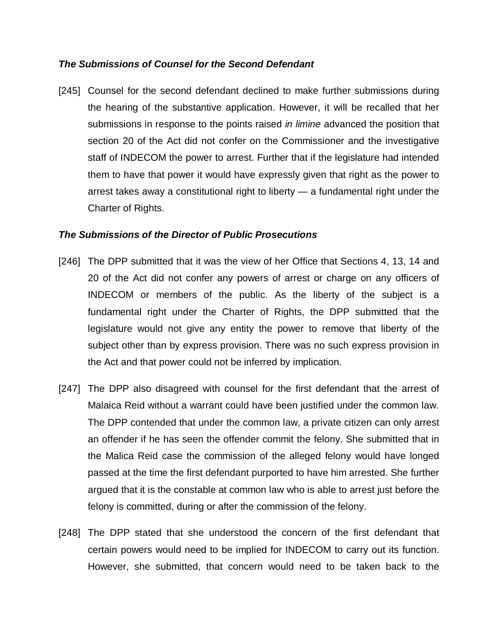#### *The Submissions of Counsel for the Second Defendant*

[245] Counsel for the second defendant declined to make further submissions during the hearing of the substantive application. However, it will be recalled that her submissions in response to the points raised *in limine* advanced the position that section 20 of the Act did not confer on the Commissioner and the investigative staff of INDECOM the power to arrest. Further that if the legislature had intended them to have that power it would have expressly given that right as the power to arrest takes away a constitutional right to liberty — a fundamental right under the Charter of Rights.

#### *The Submissions of the Director of Public Prosecutions*

- [246] The DPP submitted that it was the view of her Office that Sections 4, 13, 14 and 20 of the Act did not confer any powers of arrest or charge on any officers of INDECOM or members of the public. As the liberty of the subject is a fundamental right under the Charter of Rights, the DPP submitted that the legislature would not give any entity the power to remove that liberty of the subject other than by express provision. There was no such express provision in the Act and that power could not be inferred by implication.
- [247] The DPP also disagreed with counsel for the first defendant that the arrest of Malaica Reid without a warrant could have been justified under the common law. The DPP contended that under the common law, a private citizen can only arrest an offender if he has seen the offender commit the felony. She submitted that in the Malica Reid case the commission of the alleged felony would have longed passed at the time the first defendant purported to have him arrested. She further argued that it is the constable at common law who is able to arrest just before the felony is committed, during or after the commission of the felony.
- [248] The DPP stated that she understood the concern of the first defendant that certain powers would need to be implied for INDECOM to carry out its function. However, she submitted, that concern would need to be taken back to the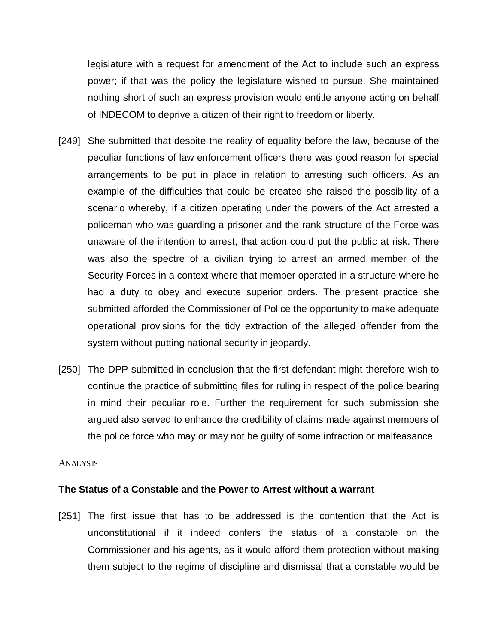legislature with a request for amendment of the Act to include such an express power; if that was the policy the legislature wished to pursue. She maintained nothing short of such an express provision would entitle anyone acting on behalf of INDECOM to deprive a citizen of their right to freedom or liberty.

- [249] She submitted that despite the reality of equality before the law, because of the peculiar functions of law enforcement officers there was good reason for special arrangements to be put in place in relation to arresting such officers. As an example of the difficulties that could be created she raised the possibility of a scenario whereby, if a citizen operating under the powers of the Act arrested a policeman who was guarding a prisoner and the rank structure of the Force was unaware of the intention to arrest, that action could put the public at risk. There was also the spectre of a civilian trying to arrest an armed member of the Security Forces in a context where that member operated in a structure where he had a duty to obey and execute superior orders. The present practice she submitted afforded the Commissioner of Police the opportunity to make adequate operational provisions for the tidy extraction of the alleged offender from the system without putting national security in jeopardy.
- [250] The DPP submitted in conclusion that the first defendant might therefore wish to continue the practice of submitting files for ruling in respect of the police bearing in mind their peculiar role. Further the requirement for such submission she argued also served to enhance the credibility of claims made against members of the police force who may or may not be guilty of some infraction or malfeasance.

#### ANALYSIS

#### **The Status of a Constable and the Power to Arrest without a warrant**

[251] The first issue that has to be addressed is the contention that the Act is unconstitutional if it indeed confers the status of a constable on the Commissioner and his agents, as it would afford them protection without making them subject to the regime of discipline and dismissal that a constable would be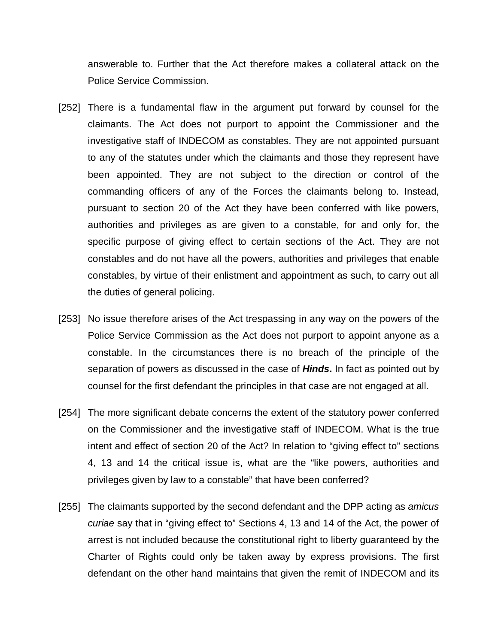answerable to. Further that the Act therefore makes a collateral attack on the Police Service Commission.

- [252] There is a fundamental flaw in the argument put forward by counsel for the claimants. The Act does not purport to appoint the Commissioner and the investigative staff of INDECOM as constables. They are not appointed pursuant to any of the statutes under which the claimants and those they represent have been appointed. They are not subject to the direction or control of the commanding officers of any of the Forces the claimants belong to. Instead, pursuant to section 20 of the Act they have been conferred with like powers, authorities and privileges as are given to a constable, for and only for, the specific purpose of giving effect to certain sections of the Act. They are not constables and do not have all the powers, authorities and privileges that enable constables, by virtue of their enlistment and appointment as such, to carry out all the duties of general policing.
- [253] No issue therefore arises of the Act trespassing in any way on the powers of the Police Service Commission as the Act does not purport to appoint anyone as a constable. In the circumstances there is no breach of the principle of the separation of powers as discussed in the case of *Hinds***.** In fact as pointed out by counsel for the first defendant the principles in that case are not engaged at all.
- [254] The more significant debate concerns the extent of the statutory power conferred on the Commissioner and the investigative staff of INDECOM. What is the true intent and effect of section 20 of the Act? In relation to "giving effect to" sections 4, 13 and 14 the critical issue is, what are the "like powers, authorities and privileges given by law to a constable" that have been conferred?
- [255] The claimants supported by the second defendant and the DPP acting as *amicus curiae* say that in "giving effect to" Sections 4, 13 and 14 of the Act, the power of arrest is not included because the constitutional right to liberty guaranteed by the Charter of Rights could only be taken away by express provisions. The first defendant on the other hand maintains that given the remit of INDECOM and its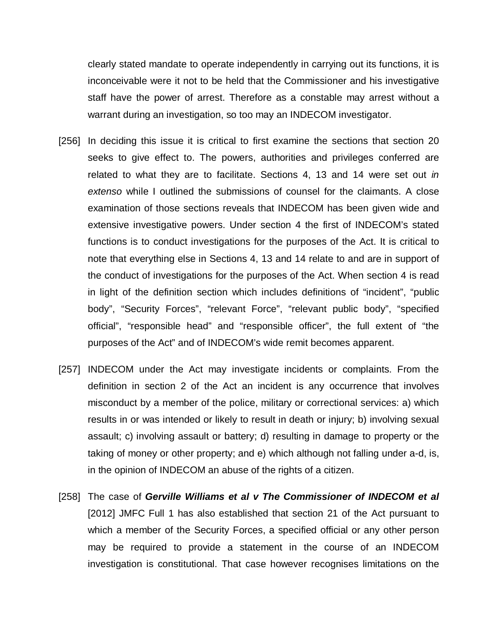clearly stated mandate to operate independently in carrying out its functions, it is inconceivable were it not to be held that the Commissioner and his investigative staff have the power of arrest. Therefore as a constable may arrest without a warrant during an investigation, so too may an INDECOM investigator.

- [256] In deciding this issue it is critical to first examine the sections that section 20 seeks to give effect to. The powers, authorities and privileges conferred are related to what they are to facilitate. Sections 4, 13 and 14 were set out *in extenso* while I outlined the submissions of counsel for the claimants. A close examination of those sections reveals that INDECOM has been given wide and extensive investigative powers. Under section 4 the first of INDECOM's stated functions is to conduct investigations for the purposes of the Act. It is critical to note that everything else in Sections 4, 13 and 14 relate to and are in support of the conduct of investigations for the purposes of the Act. When section 4 is read in light of the definition section which includes definitions of "incident", "public body", "Security Forces", "relevant Force", "relevant public body", "specified official", "responsible head" and "responsible officer", the full extent of "the purposes of the Act" and of INDECOM's wide remit becomes apparent.
- [257] INDECOM under the Act may investigate incidents or complaints. From the definition in section 2 of the Act an incident is any occurrence that involves misconduct by a member of the police, military or correctional services: a) which results in or was intended or likely to result in death or injury; b) involving sexual assault; c) involving assault or battery; d) resulting in damage to property or the taking of money or other property; and e) which although not falling under a-d, is, in the opinion of INDECOM an abuse of the rights of a citizen.
- [258] The case of *Gerville Williams et al v The Commissioner of INDECOM et al* [2012] JMFC Full 1 has also established that section 21 of the Act pursuant to which a member of the Security Forces, a specified official or any other person may be required to provide a statement in the course of an INDECOM investigation is constitutional. That case however recognises limitations on the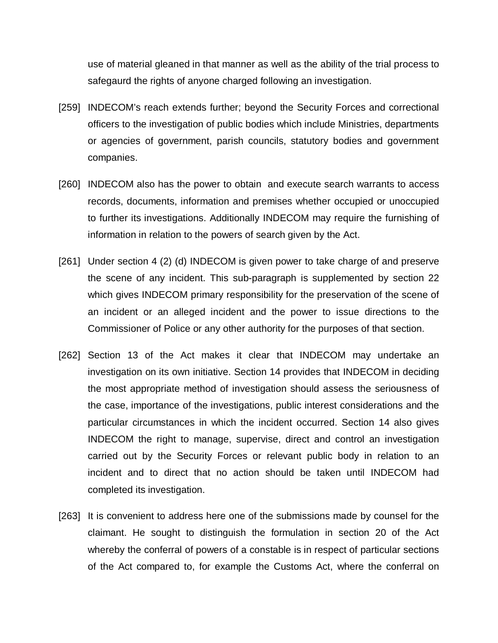use of material gleaned in that manner as well as the ability of the trial process to safegaurd the rights of anyone charged following an investigation.

- [259] INDECOM's reach extends further; beyond the Security Forces and correctional officers to the investigation of public bodies which include Ministries, departments or agencies of government, parish councils, statutory bodies and government companies.
- [260] INDECOM also has the power to obtain and execute search warrants to access records, documents, information and premises whether occupied or unoccupied to further its investigations. Additionally INDECOM may require the furnishing of information in relation to the powers of search given by the Act.
- [261] Under section 4 (2) (d) INDECOM is given power to take charge of and preserve the scene of any incident. This sub-paragraph is supplemented by section 22 which gives INDECOM primary responsibility for the preservation of the scene of an incident or an alleged incident and the power to issue directions to the Commissioner of Police or any other authority for the purposes of that section.
- [262] Section 13 of the Act makes it clear that INDECOM may undertake an investigation on its own initiative. Section 14 provides that INDECOM in deciding the most appropriate method of investigation should assess the seriousness of the case, importance of the investigations, public interest considerations and the particular circumstances in which the incident occurred. Section 14 also gives INDECOM the right to manage, supervise, direct and control an investigation carried out by the Security Forces or relevant public body in relation to an incident and to direct that no action should be taken until INDECOM had completed its investigation.
- [263] It is convenient to address here one of the submissions made by counsel for the claimant. He sought to distinguish the formulation in section 20 of the Act whereby the conferral of powers of a constable is in respect of particular sections of the Act compared to, for example the Customs Act, where the conferral on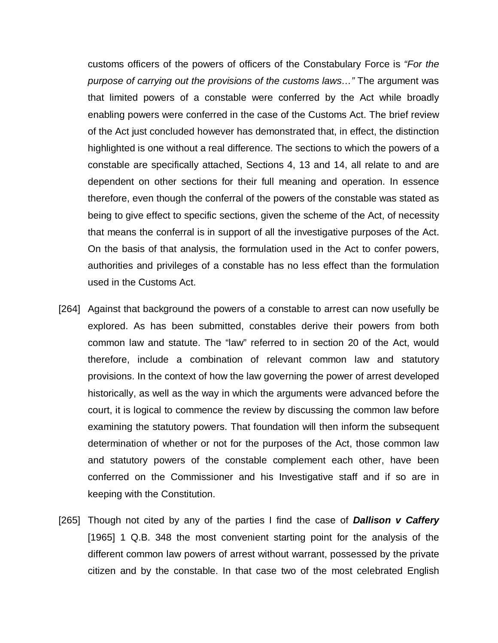customs officers of the powers of officers of the Constabulary Force is *"For the purpose of carrying out the provisions of the customs laws…"* The argument was that limited powers of a constable were conferred by the Act while broadly enabling powers were conferred in the case of the Customs Act. The brief review of the Act just concluded however has demonstrated that, in effect, the distinction highlighted is one without a real difference. The sections to which the powers of a constable are specifically attached, Sections 4, 13 and 14, all relate to and are dependent on other sections for their full meaning and operation. In essence therefore, even though the conferral of the powers of the constable was stated as being to give effect to specific sections, given the scheme of the Act, of necessity that means the conferral is in support of all the investigative purposes of the Act. On the basis of that analysis, the formulation used in the Act to confer powers, authorities and privileges of a constable has no less effect than the formulation used in the Customs Act.

- [264] Against that background the powers of a constable to arrest can now usefully be explored. As has been submitted, constables derive their powers from both common law and statute. The "law" referred to in section 20 of the Act, would therefore, include a combination of relevant common law and statutory provisions. In the context of how the law governing the power of arrest developed historically, as well as the way in which the arguments were advanced before the court, it is logical to commence the review by discussing the common law before examining the statutory powers. That foundation will then inform the subsequent determination of whether or not for the purposes of the Act, those common law and statutory powers of the constable complement each other, have been conferred on the Commissioner and his Investigative staff and if so are in keeping with the Constitution.
- [265] Though not cited by any of the parties I find the case of *Dallison v Caffery* [1965] 1 Q.B. 348 the most convenient starting point for the analysis of the different common law powers of arrest without warrant, possessed by the private citizen and by the constable. In that case two of the most celebrated English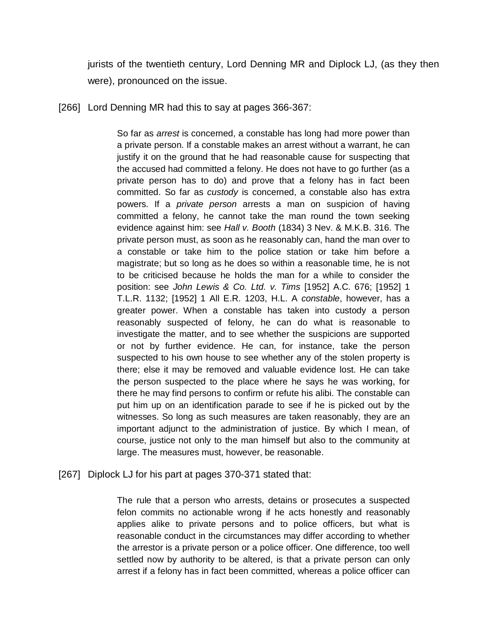jurists of the twentieth century, Lord Denning MR and Diplock LJ, (as they then were), pronounced on the issue.

[266] Lord Denning MR had this to say at pages 366-367:

So far as *arrest* is concerned, a constable has long had more power than a private person. If a constable makes an arrest without a warrant, he can justify it on the ground that he had reasonable cause for suspecting that the accused had committed a felony. He does not have to go further (as a private person has to do) and prove that a felony has in fact been committed. So far as *custody* is concerned, a constable also has extra powers. If a *private person* arrests a man on suspicion of having committed a felony, he cannot take the man round the town seeking evidence against him: see *Hall v. Booth* (1834) 3 Nev. & M.K.B. 316. The private person must, as soon as he reasonably can, hand the man over to a constable or take him to the police station or take him before a magistrate; but so long as he does so within a reasonable time, he is not to be criticised because he holds the man for a while to consider the position: see *John Lewis & Co. Ltd. v. Tims* [1952] A.C. 676; [1952] 1 T.L.R. 1132; [1952] 1 All E.R. 1203, H.L. A *constable*, however, has a greater power. When a constable has taken into custody a person reasonably suspected of felony, he can do what is reasonable to investigate the matter, and to see whether the suspicions are supported or not by further evidence. He can, for instance, take the person suspected to his own house to see whether any of the stolen property is there; else it may be removed and valuable evidence lost. He can take the person suspected to the place where he says he was working, for there he may find persons to confirm or refute his alibi. The constable can put him up on an identification parade to see if he is picked out by the witnesses. So long as such measures are taken reasonably, they are an important adjunct to the administration of justice. By which I mean, of course, justice not only to the man himself but also to the community at large. The measures must, however, be reasonable.

#### [267] Diplock LJ for his part at pages 370-371 stated that:

The rule that a person who arrests, detains or prosecutes a suspected felon commits no actionable wrong if he acts honestly and reasonably applies alike to private persons and to police officers, but what is reasonable conduct in the circumstances may differ according to whether the arrestor is a private person or a police officer. One difference, too well settled now by authority to be altered, is that a private person can only arrest if a felony has in fact been committed, whereas a police officer can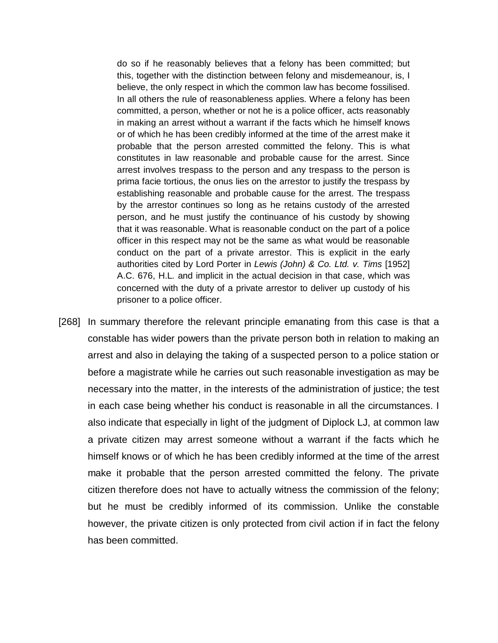do so if he reasonably believes that a felony has been committed; but this, together with the distinction between felony and misdemeanour, is, I believe, the only respect in which the common law has become fossilised. In all others the rule of reasonableness applies. Where a felony has been committed, a person, whether or not he is a police officer, acts reasonably in making an arrest without a warrant if the facts which he himself knows or of which he has been credibly informed at the time of the arrest make it probable that the person arrested committed the felony. This is what constitutes in law reasonable and probable cause for the arrest. Since arrest involves trespass to the person and any trespass to the person is prima facie tortious, the onus lies on the arrestor to justify the trespass by establishing reasonable and probable cause for the arrest. The trespass by the arrestor continues so long as he retains custody of the arrested person, and he must justify the continuance of his custody by showing that it was reasonable. What is reasonable conduct on the part of a police officer in this respect may not be the same as what would be reasonable conduct on the part of a private arrestor. This is explicit in the early authorities cited by Lord Porter in *Lewis (John) & Co. Ltd. v. Tims* [1952] A.C. 676, H.L*.* and implicit in the actual decision in that case, which was concerned with the duty of a private arrestor to deliver up custody of his prisoner to a police officer.

[268] In summary therefore the relevant principle emanating from this case is that a constable has wider powers than the private person both in relation to making an arrest and also in delaying the taking of a suspected person to a police station or before a magistrate while he carries out such reasonable investigation as may be necessary into the matter, in the interests of the administration of justice; the test in each case being whether his conduct is reasonable in all the circumstances. I also indicate that especially in light of the judgment of Diplock LJ, at common law a private citizen may arrest someone without a warrant if the facts which he himself knows or of which he has been credibly informed at the time of the arrest make it probable that the person arrested committed the felony. The private citizen therefore does not have to actually witness the commission of the felony; but he must be credibly informed of its commission. Unlike the constable however, the private citizen is only protected from civil action if in fact the felony has been committed.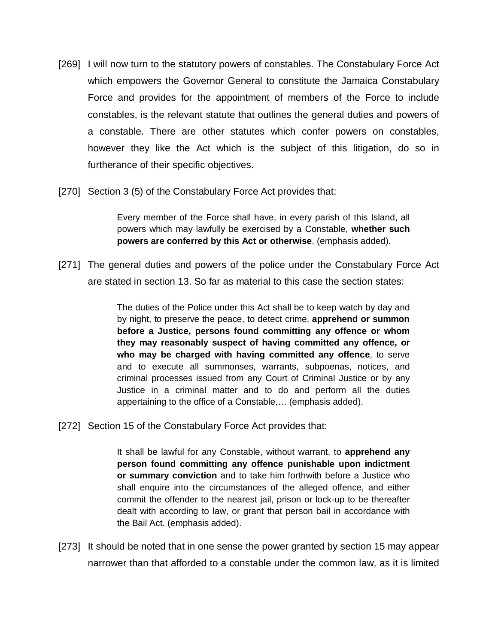- [269] I will now turn to the statutory powers of constables. The Constabulary Force Act which empowers the Governor General to constitute the Jamaica Constabulary Force and provides for the appointment of members of the Force to include constables, is the relevant statute that outlines the general duties and powers of a constable. There are other statutes which confer powers on constables, however they like the Act which is the subject of this litigation, do so in furtherance of their specific objectives.
- [270] Section 3 (5) of the Constabulary Force Act provides that:

Every member of the Force shall have, in every parish of this Island, all powers which may lawfully be exercised by a Constable, **whether such powers are conferred by this Act or otherwise**. (emphasis added).

[271] The general duties and powers of the police under the Constabulary Force Act are stated in section 13. So far as material to this case the section states:

> The duties of the Police under this Act shall be to keep watch by day and by night, to preserve the peace, to detect crime, **apprehend or summon before a Justice, persons found committing any offence or whom they may reasonably suspect of having committed any offence, or who may be charged with having committed any offence**, to serve and to execute all summonses, warrants, subpoenas, notices, and criminal processes issued from any Court of Criminal Justice or by any Justice in a criminal matter and to do and perform all the duties appertaining to the office of a Constable,… (emphasis added).

[272] Section 15 of the Constabulary Force Act provides that:

It shall be lawful for any Constable, without warrant, to **apprehend any person found committing any offence punishable upon indictment or summary conviction** and to take him forthwith before a Justice who shall enquire into the circumstances of the alleged offence, and either commit the offender to the nearest jail, prison or lock-up to be thereafter dealt with according to law, or grant that person bail in accordance with the Bail Act. (emphasis added).

[273] It should be noted that in one sense the power granted by section 15 may appear narrower than that afforded to a constable under the common law, as it is limited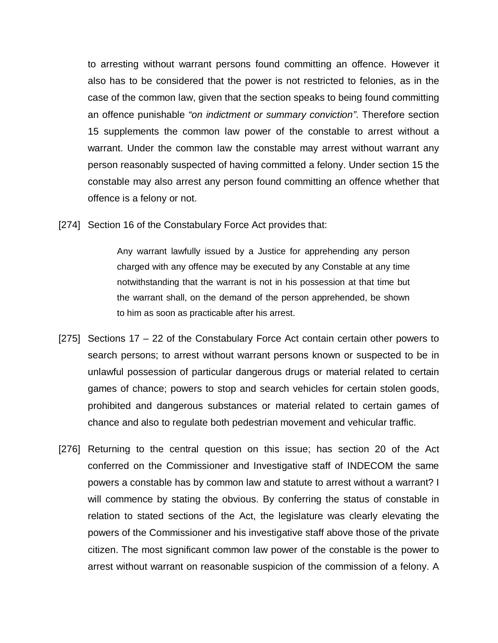to arresting without warrant persons found committing an offence. However it also has to be considered that the power is not restricted to felonies, as in the case of the common law, given that the section speaks to being found committing an offence punishable *"on indictment or summary conviction"*. Therefore section 15 supplements the common law power of the constable to arrest without a warrant. Under the common law the constable may arrest without warrant any person reasonably suspected of having committed a felony. Under section 15 the constable may also arrest any person found committing an offence whether that offence is a felony or not.

[274] Section 16 of the Constabulary Force Act provides that:

Any warrant lawfully issued by a Justice for apprehending any person charged with any offence may be executed by any Constable at any time notwithstanding that the warrant is not in his possession at that time but the warrant shall, on the demand of the person apprehended, be shown to him as soon as practicable after his arrest.

- [275] Sections 17 22 of the Constabulary Force Act contain certain other powers to search persons; to arrest without warrant persons known or suspected to be in unlawful possession of particular dangerous drugs or material related to certain games of chance; powers to stop and search vehicles for certain stolen goods, prohibited and dangerous substances or material related to certain games of chance and also to regulate both pedestrian movement and vehicular traffic.
- [276] Returning to the central question on this issue; has section 20 of the Act conferred on the Commissioner and Investigative staff of INDECOM the same powers a constable has by common law and statute to arrest without a warrant? I will commence by stating the obvious. By conferring the status of constable in relation to stated sections of the Act, the legislature was clearly elevating the powers of the Commissioner and his investigative staff above those of the private citizen. The most significant common law power of the constable is the power to arrest without warrant on reasonable suspicion of the commission of a felony. A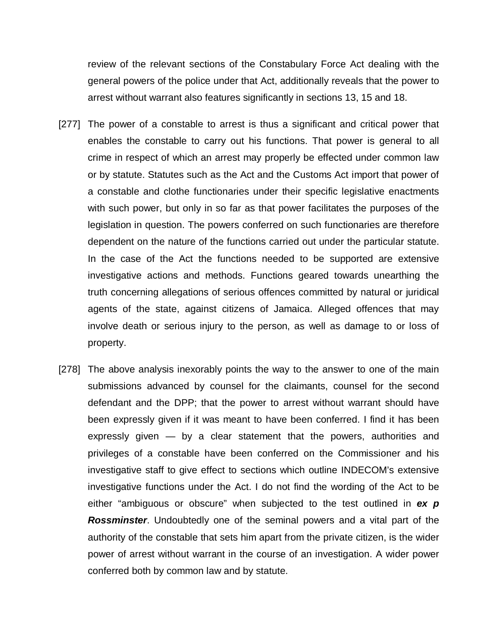review of the relevant sections of the Constabulary Force Act dealing with the general powers of the police under that Act, additionally reveals that the power to arrest without warrant also features significantly in sections 13, 15 and 18.

- [277] The power of a constable to arrest is thus a significant and critical power that enables the constable to carry out his functions. That power is general to all crime in respect of which an arrest may properly be effected under common law or by statute. Statutes such as the Act and the Customs Act import that power of a constable and clothe functionaries under their specific legislative enactments with such power, but only in so far as that power facilitates the purposes of the legislation in question. The powers conferred on such functionaries are therefore dependent on the nature of the functions carried out under the particular statute. In the case of the Act the functions needed to be supported are extensive investigative actions and methods. Functions geared towards unearthing the truth concerning allegations of serious offences committed by natural or juridical agents of the state, against citizens of Jamaica. Alleged offences that may involve death or serious injury to the person, as well as damage to or loss of property.
- [278] The above analysis inexorably points the way to the answer to one of the main submissions advanced by counsel for the claimants, counsel for the second defendant and the DPP; that the power to arrest without warrant should have been expressly given if it was meant to have been conferred. I find it has been expressly given — by a clear statement that the powers, authorities and privileges of a constable have been conferred on the Commissioner and his investigative staff to give effect to sections which outline INDECOM's extensive investigative functions under the Act. I do not find the wording of the Act to be either "ambiguous or obscure" when subjected to the test outlined in *ex p Rossminster*. Undoubtedly one of the seminal powers and a vital part of the authority of the constable that sets him apart from the private citizen, is the wider power of arrest without warrant in the course of an investigation. A wider power conferred both by common law and by statute.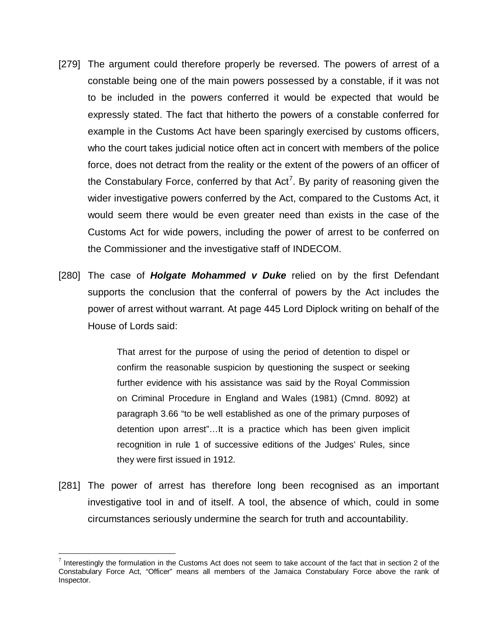- [279] The argument could therefore properly be reversed. The powers of arrest of a constable being one of the main powers possessed by a constable, if it was not to be included in the powers conferred it would be expected that would be expressly stated. The fact that hitherto the powers of a constable conferred for example in the Customs Act have been sparingly exercised by customs officers, who the court takes judicial notice often act in concert with members of the police force, does not detract from the reality or the extent of the powers of an officer of the Constabulary Force, conferred by that Act<sup>[7](#page-103-0)</sup>. By parity of reasoning given the wider investigative powers conferred by the Act, compared to the Customs Act, it would seem there would be even greater need than exists in the case of the Customs Act for wide powers, including the power of arrest to be conferred on the Commissioner and the investigative staff of INDECOM.
- [280] The case of *Holgate Mohammed v Duke* relied on by the first Defendant supports the conclusion that the conferral of powers by the Act includes the power of arrest without warrant. At page 445 Lord Diplock writing on behalf of the House of Lords said:

That arrest for the purpose of using the period of detention to dispel or confirm the reasonable suspicion by questioning the suspect or seeking further evidence with his assistance was said by the Royal Commission on Criminal Procedure in England and Wales (1981) (Cmnd. 8092) at paragraph 3.66 "to be well established as one of the primary purposes of detention upon arrest"…It is a practice which has been given implicit recognition in rule 1 of successive editions of the Judges' Rules, since they were first issued in 1912.

[281] The power of arrest has therefore long been recognised as an important investigative tool in and of itself. A tool, the absence of which, could in some circumstances seriously undermine the search for truth and accountability.

<span id="page-103-0"></span> $<sup>7</sup>$  Interestingly the formulation in the Customs Act does not seem to take account of the fact that in section 2 of the</sup> Constabulary Force Act, "Officer" means all members of the Jamaica Constabulary Force above the rank of Inspector.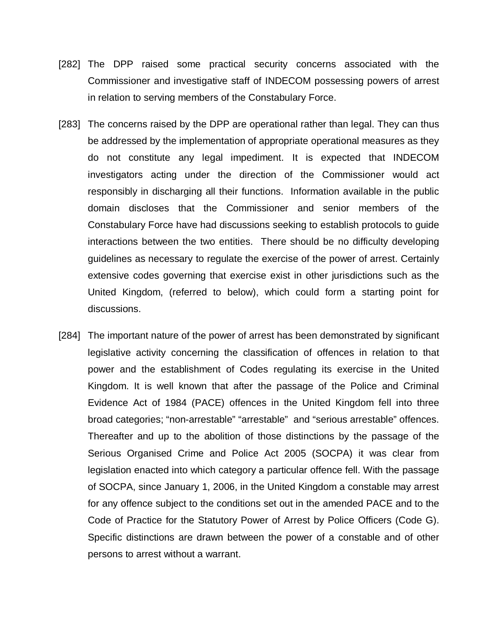- [282] The DPP raised some practical security concerns associated with the Commissioner and investigative staff of INDECOM possessing powers of arrest in relation to serving members of the Constabulary Force.
- [283] The concerns raised by the DPP are operational rather than legal. They can thus be addressed by the implementation of appropriate operational measures as they do not constitute any legal impediment. It is expected that INDECOM investigators acting under the direction of the Commissioner would act responsibly in discharging all their functions. Information available in the public domain discloses that the Commissioner and senior members of the Constabulary Force have had discussions seeking to establish protocols to guide interactions between the two entities. There should be no difficulty developing guidelines as necessary to regulate the exercise of the power of arrest. Certainly extensive codes governing that exercise exist in other jurisdictions such as the United Kingdom, (referred to below), which could form a starting point for discussions.
- [284] The important nature of the power of arrest has been demonstrated by significant legislative activity concerning the classification of offences in relation to that power and the establishment of Codes regulating its exercise in the United Kingdom. It is well known that after the passage of the Police and Criminal Evidence Act of 1984 (PACE) offences in the United Kingdom fell into three broad categories; "non-arrestable" "arrestable" and "serious arrestable" offences. Thereafter and up to the abolition of those distinctions by the passage of the Serious Organised Crime and Police Act 2005 (SOCPA) it was clear from legislation enacted into which category a particular offence fell. With the passage of SOCPA, since January 1, 2006, in the United Kingdom a constable may arrest for any offence subject to the conditions set out in the amended PACE and to the Code of Practice for the Statutory Power of Arrest by Police Officers (Code G). Specific distinctions are drawn between the power of a constable and of other persons to arrest without a warrant.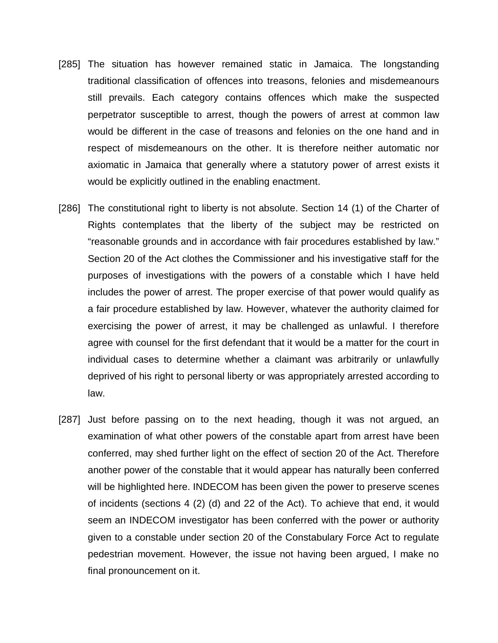- [285] The situation has however remained static in Jamaica. The longstanding traditional classification of offences into treasons, felonies and misdemeanours still prevails. Each category contains offences which make the suspected perpetrator susceptible to arrest, though the powers of arrest at common law would be different in the case of treasons and felonies on the one hand and in respect of misdemeanours on the other. It is therefore neither automatic nor axiomatic in Jamaica that generally where a statutory power of arrest exists it would be explicitly outlined in the enabling enactment.
- [286] The constitutional right to liberty is not absolute. Section 14 (1) of the Charter of Rights contemplates that the liberty of the subject may be restricted on "reasonable grounds and in accordance with fair procedures established by law." Section 20 of the Act clothes the Commissioner and his investigative staff for the purposes of investigations with the powers of a constable which I have held includes the power of arrest. The proper exercise of that power would qualify as a fair procedure established by law. However, whatever the authority claimed for exercising the power of arrest, it may be challenged as unlawful. I therefore agree with counsel for the first defendant that it would be a matter for the court in individual cases to determine whether a claimant was arbitrarily or unlawfully deprived of his right to personal liberty or was appropriately arrested according to law.
- [287] Just before passing on to the next heading, though it was not argued, an examination of what other powers of the constable apart from arrest have been conferred, may shed further light on the effect of section 20 of the Act. Therefore another power of the constable that it would appear has naturally been conferred will be highlighted here. INDECOM has been given the power to preserve scenes of incidents (sections 4 (2) (d) and 22 of the Act). To achieve that end, it would seem an INDECOM investigator has been conferred with the power or authority given to a constable under section 20 of the Constabulary Force Act to regulate pedestrian movement. However, the issue not having been argued, I make no final pronouncement on it.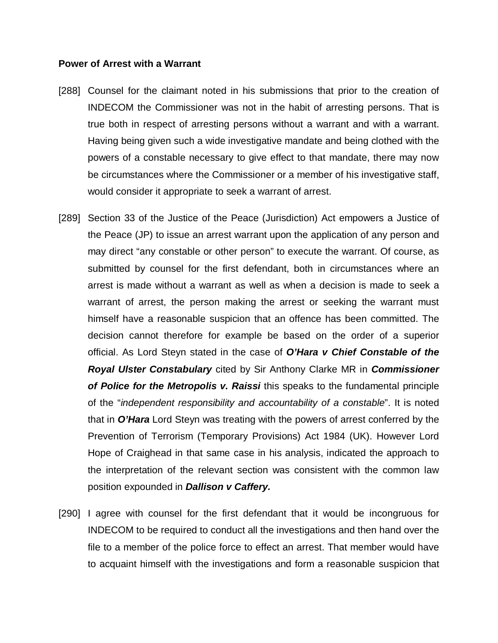#### **Power of Arrest with a Warrant**

- [288] Counsel for the claimant noted in his submissions that prior to the creation of INDECOM the Commissioner was not in the habit of arresting persons. That is true both in respect of arresting persons without a warrant and with a warrant. Having being given such a wide investigative mandate and being clothed with the powers of a constable necessary to give effect to that mandate, there may now be circumstances where the Commissioner or a member of his investigative staff, would consider it appropriate to seek a warrant of arrest.
- [289] Section 33 of the Justice of the Peace (Jurisdiction) Act empowers a Justice of the Peace (JP) to issue an arrest warrant upon the application of any person and may direct "any constable or other person" to execute the warrant. Of course, as submitted by counsel for the first defendant, both in circumstances where an arrest is made without a warrant as well as when a decision is made to seek a warrant of arrest, the person making the arrest or seeking the warrant must himself have a reasonable suspicion that an offence has been committed. The decision cannot therefore for example be based on the order of a superior official. As Lord Steyn stated in the case of *O'Hara v Chief Constable of the Royal Ulster Constabulary* cited by Sir Anthony Clarke MR in *Commissioner of Police for the Metropolis v. Raissi* this speaks to the fundamental principle of the "*independent responsibility and accountability of a constable*". It is noted that in *O'Hara* Lord Steyn was treating with the powers of arrest conferred by the Prevention of Terrorism (Temporary Provisions) Act 1984 (UK). However Lord Hope of Craighead in that same case in his analysis, indicated the approach to the interpretation of the relevant section was consistent with the common law position expounded in *Dallison v Caffery.*
- [290] I agree with counsel for the first defendant that it would be incongruous for INDECOM to be required to conduct all the investigations and then hand over the file to a member of the police force to effect an arrest. That member would have to acquaint himself with the investigations and form a reasonable suspicion that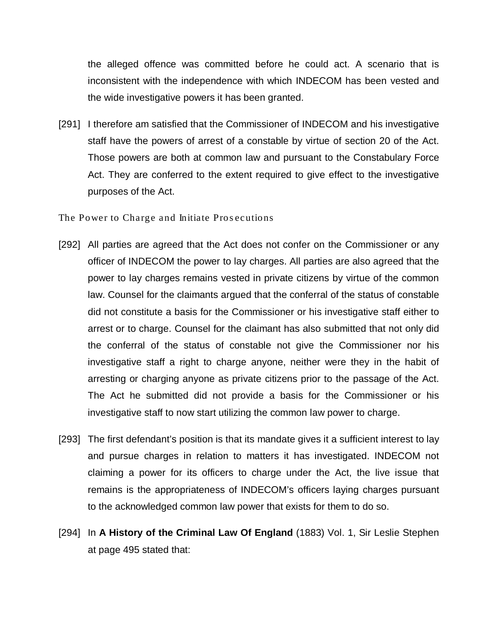the alleged offence was committed before he could act. A scenario that is inconsistent with the independence with which INDECOM has been vested and the wide investigative powers it has been granted.

[291] I therefore am satisfied that the Commissioner of INDECOM and his investigative staff have the powers of arrest of a constable by virtue of section 20 of the Act. Those powers are both at common law and pursuant to the Constabulary Force Act. They are conferred to the extent required to give effect to the investigative purposes of the Act.

The Power to Charge and Initiate Pros ecutions

- [292] All parties are agreed that the Act does not confer on the Commissioner or any officer of INDECOM the power to lay charges. All parties are also agreed that the power to lay charges remains vested in private citizens by virtue of the common law. Counsel for the claimants argued that the conferral of the status of constable did not constitute a basis for the Commissioner or his investigative staff either to arrest or to charge. Counsel for the claimant has also submitted that not only did the conferral of the status of constable not give the Commissioner nor his investigative staff a right to charge anyone, neither were they in the habit of arresting or charging anyone as private citizens prior to the passage of the Act. The Act he submitted did not provide a basis for the Commissioner or his investigative staff to now start utilizing the common law power to charge.
- [293] The first defendant's position is that its mandate gives it a sufficient interest to lay and pursue charges in relation to matters it has investigated. INDECOM not claiming a power for its officers to charge under the Act, the live issue that remains is the appropriateness of INDECOM's officers laying charges pursuant to the acknowledged common law power that exists for them to do so.
- [294] In **A History of the Criminal Law Of England** (1883) Vol. 1, Sir Leslie Stephen at page 495 stated that: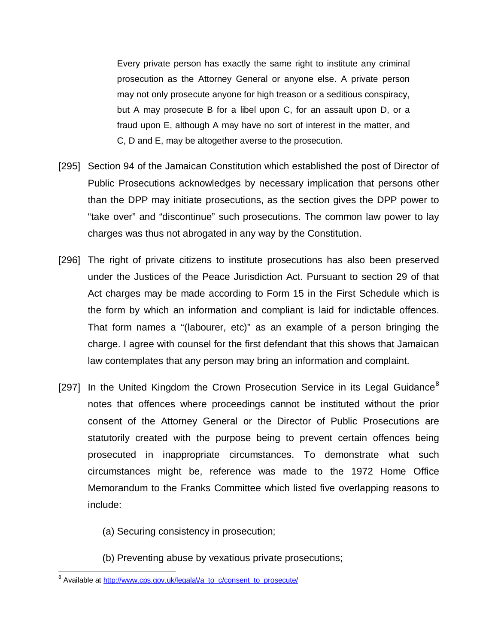Every private person has exactly the same right to institute any criminal prosecution as the Attorney General or anyone else. A private person may not only prosecute anyone for high treason or a seditious conspiracy, but A may prosecute B for a libel upon C, for an assault upon D, or a fraud upon E, although A may have no sort of interest in the matter, and C, D and E, may be altogether averse to the prosecution.

- [295] Section 94 of the Jamaican Constitution which established the post of Director of Public Prosecutions acknowledges by necessary implication that persons other than the DPP may initiate prosecutions, as the section gives the DPP power to "take over" and "discontinue" such prosecutions. The common law power to lay charges was thus not abrogated in any way by the Constitution.
- [296] The right of private citizens to institute prosecutions has also been preserved under the Justices of the Peace Jurisdiction Act. Pursuant to section 29 of that Act charges may be made according to Form 15 in the First Schedule which is the form by which an information and compliant is laid for indictable offences. That form names a "(labourer, etc)" as an example of a person bringing the charge. I agree with counsel for the first defendant that this shows that Jamaican law contemplates that any person may bring an information and complaint.
- [297] In the United Kingdom the Crown Prosecution Service in its Legal Guidance<sup>[8](#page-108-0)</sup> notes that offences where proceedings cannot be instituted without the prior consent of the Attorney General or the Director of Public Prosecutions are statutorily created with the purpose being to prevent certain offences being prosecuted in inappropriate circumstances. To demonstrate what such circumstances might be, reference was made to the 1972 Home Office Memorandum to the Franks Committee which listed five overlapping reasons to include:
	- (a) Securing consistency in prosecution;
	- (b) Preventing abuse by vexatious private prosecutions;

<span id="page-108-0"></span><sup>&</sup>lt;sup>8</sup> Available at http://www.cps.gov.uk/legalaVa\_to\_c/consent\_to\_prosecute/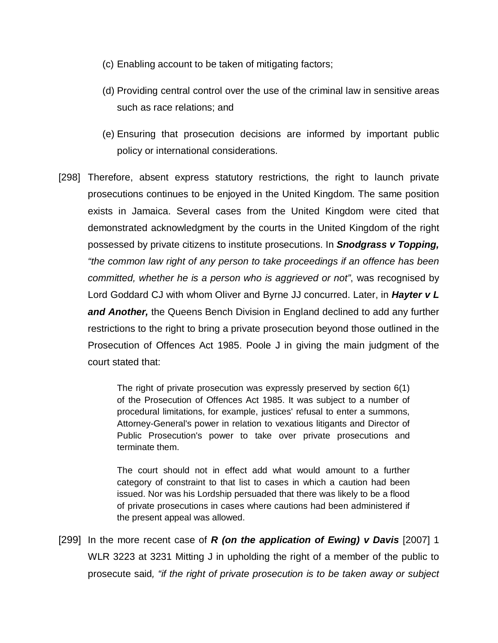- (c) Enabling account to be taken of mitigating factors;
- (d) Providing central control over the use of the criminal law in sensitive areas such as race relations; and
- (e) Ensuring that prosecution decisions are informed by important public policy or international considerations.
- [298] Therefore, absent express statutory restrictions, the right to launch private prosecutions continues to be enjoyed in the United Kingdom. The same position exists in Jamaica. Several cases from the United Kingdom were cited that demonstrated acknowledgment by the courts in the United Kingdom of the right possessed by private citizens to institute prosecutions. In *Snodgrass v Topping, "the common law right of any person to take proceedings if an offence has been committed, whether he is a person who is aggrieved or not"*, was recognised by Lord Goddard CJ with whom Oliver and Byrne JJ concurred. Later, in *Hayter v L and Another,* the Queens Bench Division in England declined to add any further restrictions to the right to bring a private prosecution beyond those outlined in the Prosecution of Offences Act 1985. Poole J in giving the main judgment of the court stated that:

The right of private prosecution was expressly preserved by section 6(1) of the Prosecution of Offences Act 1985. It was subject to a number of procedural limitations, for example, justices' refusal to enter a summons, Attorney-General's power in relation to vexatious litigants and Director of Public Prosecution's power to take over private prosecutions and terminate them.

The court should not in effect add what would amount to a further category of constraint to that list to cases in which a caution had been issued. Nor was his Lordship persuaded that there was likely to be a flood of private prosecutions in cases where cautions had been administered if the present appeal was allowed.

[299] In the more recent case of *R (on the application of Ewing) v Davis* [2007] 1 WLR 3223 at 3231 Mitting J in upholding the right of a member of the public to prosecute said*, "if the right of private prosecution is to be taken away or subject*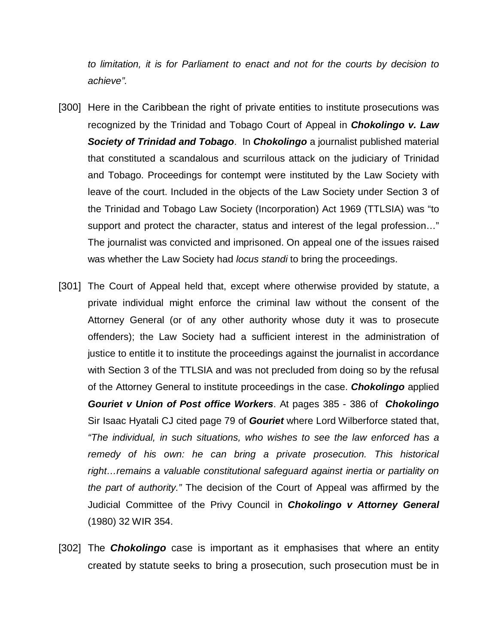*to limitation, it is for Parliament to enact and not for the courts by decision to achieve".*

- [300] Here in the Caribbean the right of private entities to institute prosecutions was recognized by the Trinidad and Tobago Court of Appeal in *Chokolingo v. Law Society of Trinidad and Tobago*. In *Chokolingo* a journalist published material that constituted a scandalous and scurrilous attack on the judiciary of Trinidad and Tobago. Proceedings for contempt were instituted by the Law Society with leave of the court. Included in the objects of the Law Society under Section 3 of the Trinidad and Tobago Law Society (Incorporation) Act 1969 (TTLSIA) was "to support and protect the character, status and interest of the legal profession…" The journalist was convicted and imprisoned. On appeal one of the issues raised was whether the Law Society had *locus standi* to bring the proceedings.
- [301] The Court of Appeal held that, except where otherwise provided by statute, a private individual might enforce the criminal law without the consent of the Attorney General (or of any other authority whose duty it was to prosecute offenders); the Law Society had a sufficient interest in the administration of justice to entitle it to institute the proceedings against the journalist in accordance with Section 3 of the TTLSIA and was not precluded from doing so by the refusal of the Attorney General to institute proceedings in the case. *Chokolingo* applied *Gouriet v Union of Post office Workers*. At pages 385 - 386 of *Chokolingo* Sir Isaac Hyatali CJ cited page 79 of *Gouriet* where Lord Wilberforce stated that, *"The individual, in such situations, who wishes to see the law enforced has a remedy of his own: he can bring a private prosecution. This historical right…remains a valuable constitutional safeguard against inertia or partiality on the part of authority."* The decision of the Court of Appeal was affirmed by the Judicial Committee of the Privy Council in *Chokolingo v Attorney General* (1980) 32 WIR 354.
- [302] The *Chokolingo* case is important as it emphasises that where an entity created by statute seeks to bring a prosecution, such prosecution must be in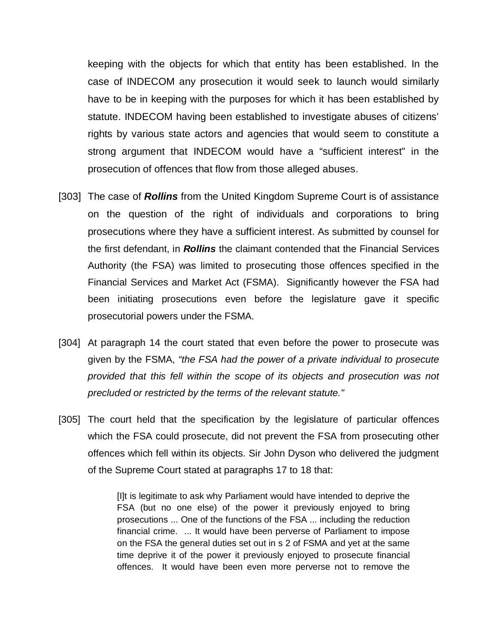keeping with the objects for which that entity has been established. In the case of INDECOM any prosecution it would seek to launch would similarly have to be in keeping with the purposes for which it has been established by statute. INDECOM having been established to investigate abuses of citizens' rights by various state actors and agencies that would seem to constitute a strong argument that INDECOM would have a "sufficient interest" in the prosecution of offences that flow from those alleged abuses.

- [303] The case of *Rollins* from the United Kingdom Supreme Court is of assistance on the question of the right of individuals and corporations to bring prosecutions where they have a sufficient interest. As submitted by counsel for the first defendant, in *Rollins* the claimant contended that the Financial Services Authority (the FSA) was limited to prosecuting those offences specified in the Financial Services and Market Act (FSMA). Significantly however the FSA had been initiating prosecutions even before the legislature gave it specific prosecutorial powers under the FSMA.
- [304] At paragraph 14 the court stated that even before the power to prosecute was given by the FSMA, *"the FSA had the power of a private individual to prosecute provided that this fell within the scope of its objects and prosecution was not precluded or restricted by the terms of the relevant statute."*
- [305] The court held that the specification by the legislature of particular offences which the FSA could prosecute, did not prevent the FSA from prosecuting other offences which fell within its objects. Sir John Dyson who delivered the judgment of the Supreme Court stated at paragraphs 17 to 18 that:

[I]t is legitimate to ask why Parliament would have intended to deprive the FSA (but no one else) of the power it previously enjoyed to bring prosecutions ... One of the functions of the FSA ... including the reduction financial crime. ... It would have been perverse of Parliament to impose on the FSA the general duties set out in s 2 of FSMA and yet at the same time deprive it of the power it previously enjoyed to prosecute financial offences. It would have been even more perverse not to remove the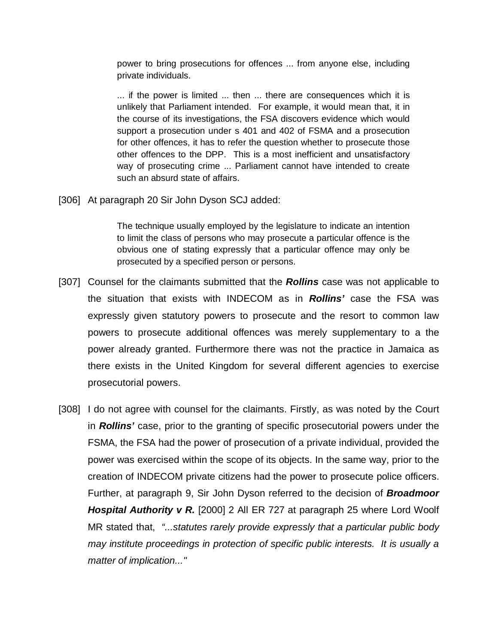power to bring prosecutions for offences ... from anyone else, including private individuals.

... if the power is limited ... then ... there are consequences which it is unlikely that Parliament intended. For example, it would mean that, it in the course of its investigations, the FSA discovers evidence which would support a prosecution under s 401 and 402 of FSMA and a prosecution for other offences, it has to refer the question whether to prosecute those other offences to the DPP. This is a most inefficient and unsatisfactory way of prosecuting crime ... Parliament cannot have intended to create such an absurd state of affairs.

[306] At paragraph 20 Sir John Dyson SCJ added:

The technique usually employed by the legislature to indicate an intention to limit the class of persons who may prosecute a particular offence is the obvious one of stating expressly that a particular offence may only be prosecuted by a specified person or persons.

- [307] Counsel for the claimants submitted that the *Rollins* case was not applicable to the situation that exists with INDECOM as in *Rollins'* case the FSA was expressly given statutory powers to prosecute and the resort to common law powers to prosecute additional offences was merely supplementary to a the power already granted. Furthermore there was not the practice in Jamaica as there exists in the United Kingdom for several different agencies to exercise prosecutorial powers.
- [308] I do not agree with counsel for the claimants. Firstly, as was noted by the Court in *Rollins'* case, prior to the granting of specific prosecutorial powers under the FSMA, the FSA had the power of prosecution of a private individual, provided the power was exercised within the scope of its objects. In the same way, prior to the creation of INDECOM private citizens had the power to prosecute police officers. Further, at paragraph 9, Sir John Dyson referred to the decision of *Broadmoor Hospital Authority v R.* [2000] 2 All ER 727 at paragraph 25 where Lord Woolf MR stated that, *"...statutes rarely provide expressly that a particular public body may institute proceedings in protection of specific public interests. It is usually a matter of implication..."*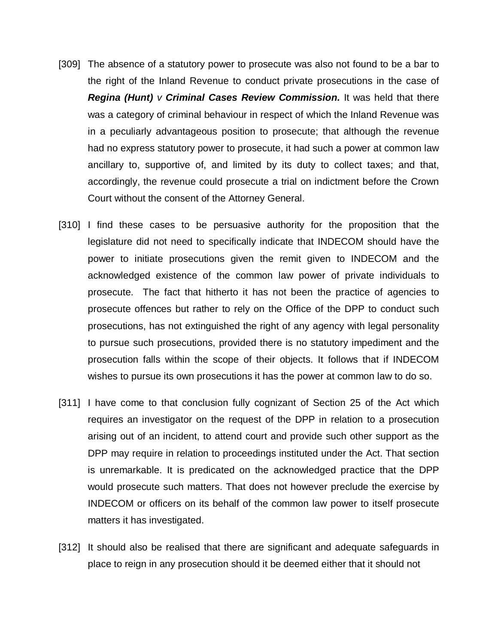- [309] The absence of a statutory power to prosecute was also not found to be a bar to the right of the Inland Revenue to conduct private prosecutions in the case of *Regina (Hunt) v Criminal Cases Review Commission.* It was held that there was a category of criminal behaviour in respect of which the Inland Revenue was in a peculiarly advantageous position to prosecute; that although the revenue had no express statutory power to prosecute, it had such a power at common law ancillary to, supportive of, and limited by its duty to collect taxes; and that, accordingly, the revenue could prosecute a trial on indictment before the Crown Court without the consent of the Attorney General.
- [310] I find these cases to be persuasive authority for the proposition that the legislature did not need to specifically indicate that INDECOM should have the power to initiate prosecutions given the remit given to INDECOM and the acknowledged existence of the common law power of private individuals to prosecute. The fact that hitherto it has not been the practice of agencies to prosecute offences but rather to rely on the Office of the DPP to conduct such prosecutions, has not extinguished the right of any agency with legal personality to pursue such prosecutions, provided there is no statutory impediment and the prosecution falls within the scope of their objects. It follows that if INDECOM wishes to pursue its own prosecutions it has the power at common law to do so.
- [311] I have come to that conclusion fully cognizant of Section 25 of the Act which requires an investigator on the request of the DPP in relation to a prosecution arising out of an incident, to attend court and provide such other support as the DPP may require in relation to proceedings instituted under the Act. That section is unremarkable. It is predicated on the acknowledged practice that the DPP would prosecute such matters. That does not however preclude the exercise by INDECOM or officers on its behalf of the common law power to itself prosecute matters it has investigated.
- [312] It should also be realised that there are significant and adequate safeguards in place to reign in any prosecution should it be deemed either that it should not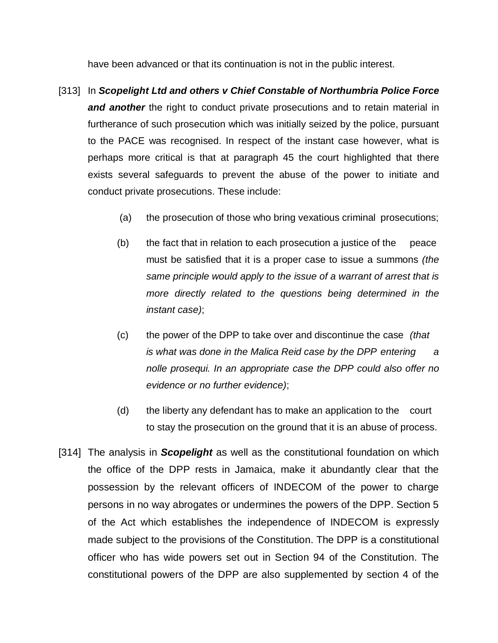have been advanced or that its continuation is not in the public interest.

- [313] In *Scopelight Ltd and others v Chief Constable of Northumbria Police Force*  **and another** the right to conduct private prosecutions and to retain material in furtherance of such prosecution which was initially seized by the police, pursuant to the PACE was recognised. In respect of the instant case however, what is perhaps more critical is that at paragraph 45 the court highlighted that there exists several safeguards to prevent the abuse of the power to initiate and conduct private prosecutions. These include:
	- (a) the prosecution of those who bring vexatious criminal prosecutions;
	- (b) the fact that in relation to each prosecution a justice of the peace must be satisfied that it is a proper case to issue a summons *(the same principle would apply to the issue of a warrant of arrest that is more directly related to the questions being determined in the instant case)*;
	- (c) the power of the DPP to take over and discontinue the case *(that is what was done in the Malica Reid case by the DPP entering a nolle prosequi. In an appropriate case the DPP could also offer no evidence or no further evidence)*;
	- (d) the liberty any defendant has to make an application to the court to stay the prosecution on the ground that it is an abuse of process.
- [314] The analysis in *Scopelight* as well as the constitutional foundation on which the office of the DPP rests in Jamaica, make it abundantly clear that the possession by the relevant officers of INDECOM of the power to charge persons in no way abrogates or undermines the powers of the DPP. Section 5 of the Act which establishes the independence of INDECOM is expressly made subject to the provisions of the Constitution. The DPP is a constitutional officer who has wide powers set out in Section 94 of the Constitution. The constitutional powers of the DPP are also supplemented by section 4 of the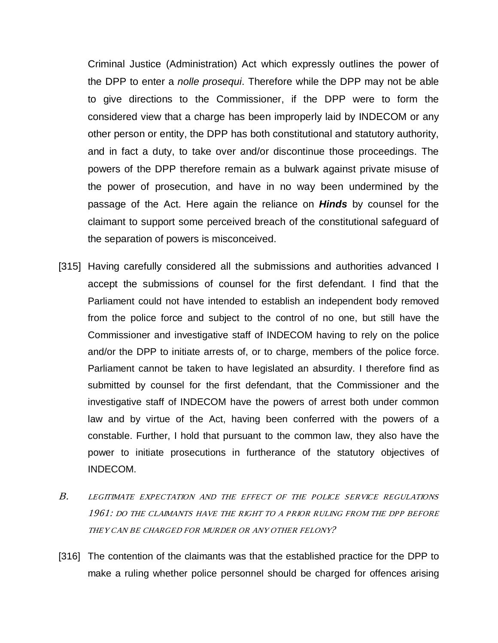Criminal Justice (Administration) Act which expressly outlines the power of the DPP to enter a *nolle prosequi*. Therefore while the DPP may not be able to give directions to the Commissioner, if the DPP were to form the considered view that a charge has been improperly laid by INDECOM or any other person or entity, the DPP has both constitutional and statutory authority, and in fact a duty, to take over and/or discontinue those proceedings. The powers of the DPP therefore remain as a bulwark against private misuse of the power of prosecution, and have in no way been undermined by the passage of the Act. Here again the reliance on *Hinds* by counsel for the claimant to support some perceived breach of the constitutional safeguard of the separation of powers is misconceived.

- [315] Having carefully considered all the submissions and authorities advanced I accept the submissions of counsel for the first defendant. I find that the Parliament could not have intended to establish an independent body removed from the police force and subject to the control of no one, but still have the Commissioner and investigative staff of INDECOM having to rely on the police and/or the DPP to initiate arrests of, or to charge, members of the police force. Parliament cannot be taken to have legislated an absurdity. I therefore find as submitted by counsel for the first defendant, that the Commissioner and the investigative staff of INDECOM have the powers of arrest both under common law and by virtue of the Act, having been conferred with the powers of a constable. Further, I hold that pursuant to the common law, they also have the power to initiate prosecutions in furtherance of the statutory objectives of INDECOM.
- B. LEGITIMATE EXPECTATION AND THE EFFECT OF THE POLICE SERVICE REGULATIONS 1961: DO THE CLAIMANTS HAVE THE RIGHT TO A PRIOR RULING FROM THE DPP BEFORE THEY CAN BE CHARGED FOR MURDER OR ANY OTHER FELONY?
- [316] The contention of the claimants was that the established practice for the DPP to make a ruling whether police personnel should be charged for offences arising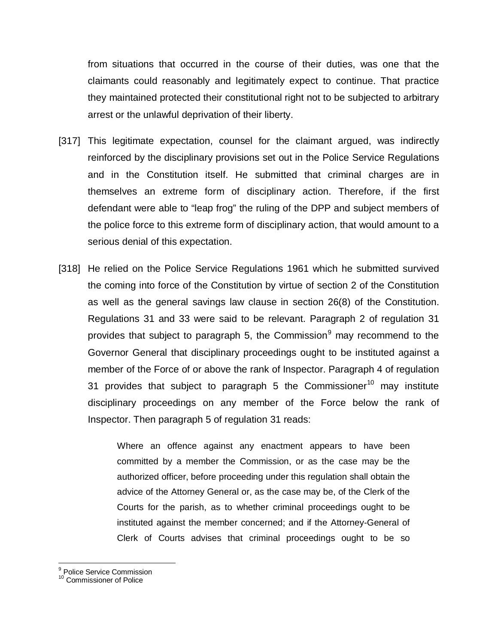from situations that occurred in the course of their duties, was one that the claimants could reasonably and legitimately expect to continue. That practice they maintained protected their constitutional right not to be subjected to arbitrary arrest or the unlawful deprivation of their liberty.

- [317] This legitimate expectation, counsel for the claimant argued, was indirectly reinforced by the disciplinary provisions set out in the Police Service Regulations and in the Constitution itself. He submitted that criminal charges are in themselves an extreme form of disciplinary action. Therefore, if the first defendant were able to "leap frog" the ruling of the DPP and subject members of the police force to this extreme form of disciplinary action, that would amount to a serious denial of this expectation.
- [318] He relied on the Police Service Regulations 1961 which he submitted survived the coming into force of the Constitution by virtue of section 2 of the Constitution as well as the general savings law clause in section 26(8) of the Constitution. Regulations 31 and 33 were said to be relevant. Paragraph 2 of regulation 31 provides that subject to paragraph 5, the Commission<sup>[9](#page-116-0)</sup> may recommend to the Governor General that disciplinary proceedings ought to be instituted against a member of the Force of or above the rank of Inspector. Paragraph 4 of regulation 31 provides that subject to paragraph 5 the Commissioner<sup>[10](#page-116-1)</sup> may institute disciplinary proceedings on any member of the Force below the rank of Inspector. Then paragraph 5 of regulation 31 reads:

Where an offence against any enactment appears to have been committed by a member the Commission, or as the case may be the authorized officer, before proceeding under this regulation shall obtain the advice of the Attorney General or, as the case may be, of the Clerk of the Courts for the parish, as to whether criminal proceedings ought to be instituted against the member concerned; and if the Attorney-General of Clerk of Courts advises that criminal proceedings ought to be so

<span id="page-116-1"></span><span id="page-116-0"></span><sup>&</sup>lt;sup>9</sup> Police Service Commission<br><sup>10</sup> Commissioner of Police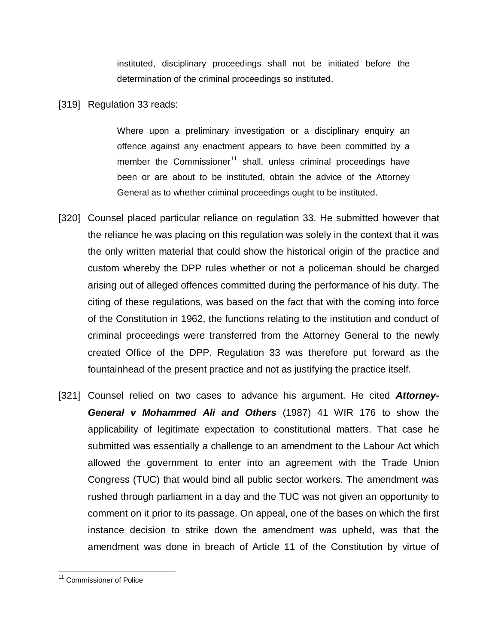instituted, disciplinary proceedings shall not be initiated before the determination of the criminal proceedings so instituted.

[319] Regulation 33 reads:

Where upon a preliminary investigation or a disciplinary enquiry an offence against any enactment appears to have been committed by a member the Commissioner<sup>[11](#page-117-0)</sup> shall, unless criminal proceedings have been or are about to be instituted, obtain the advice of the Attorney General as to whether criminal proceedings ought to be instituted.

- [320] Counsel placed particular reliance on regulation 33. He submitted however that the reliance he was placing on this regulation was solely in the context that it was the only written material that could show the historical origin of the practice and custom whereby the DPP rules whether or not a policeman should be charged arising out of alleged offences committed during the performance of his duty. The citing of these regulations, was based on the fact that with the coming into force of the Constitution in 1962, the functions relating to the institution and conduct of criminal proceedings were transferred from the Attorney General to the newly created Office of the DPP. Regulation 33 was therefore put forward as the fountainhead of the present practice and not as justifying the practice itself.
- [321] Counsel relied on two cases to advance his argument. He cited *Attorney-General v Mohammed Ali and Others* (1987) 41 WIR 176 to show the applicability of legitimate expectation to constitutional matters. That case he submitted was essentially a challenge to an amendment to the Labour Act which allowed the government to enter into an agreement with the Trade Union Congress (TUC) that would bind all public sector workers. The amendment was rushed through parliament in a day and the TUC was not given an opportunity to comment on it prior to its passage. On appeal, one of the bases on which the first instance decision to strike down the amendment was upheld, was that the amendment was done in breach of Article 11 of the Constitution by virtue of

<span id="page-117-0"></span><sup>&</sup>lt;sup>11</sup> Commissioner of Police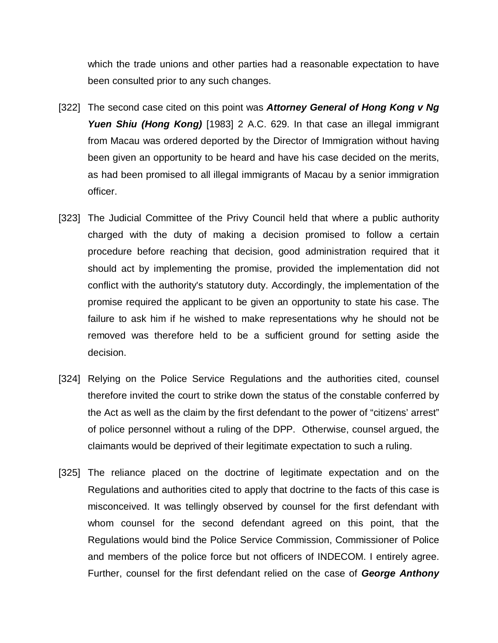which the trade unions and other parties had a reasonable expectation to have been consulted prior to any such changes.

- [322] The second case cited on this point was *Attorney General of Hong Kong v Ng Yuen Shiu (Hong Kong)* [1983] 2 A.C. 629. In that case an illegal immigrant from Macau was ordered deported by the Director of Immigration without having been given an opportunity to be heard and have his case decided on the merits, as had been promised to all illegal immigrants of Macau by a senior immigration officer.
- [323] The Judicial Committee of the Privy Council held that where a public authority charged with the duty of making a decision promised to follow a certain procedure before reaching that decision, good administration required that it should act by implementing the promise, provided the implementation did not conflict with the authority's statutory duty. Accordingly, the implementation of the promise required the applicant to be given an opportunity to state his case. The failure to ask him if he wished to make representations why he should not be removed was therefore held to be a sufficient ground for setting aside the decision.
- [324] Relying on the Police Service Regulations and the authorities cited, counsel therefore invited the court to strike down the status of the constable conferred by the Act as well as the claim by the first defendant to the power of "citizens' arrest" of police personnel without a ruling of the DPP. Otherwise, counsel argued, the claimants would be deprived of their legitimate expectation to such a ruling.
- [325] The reliance placed on the doctrine of legitimate expectation and on the Regulations and authorities cited to apply that doctrine to the facts of this case is misconceived. It was tellingly observed by counsel for the first defendant with whom counsel for the second defendant agreed on this point, that the Regulations would bind the Police Service Commission, Commissioner of Police and members of the police force but not officers of INDECOM. I entirely agree. Further, counsel for the first defendant relied on the case of *George Anthony*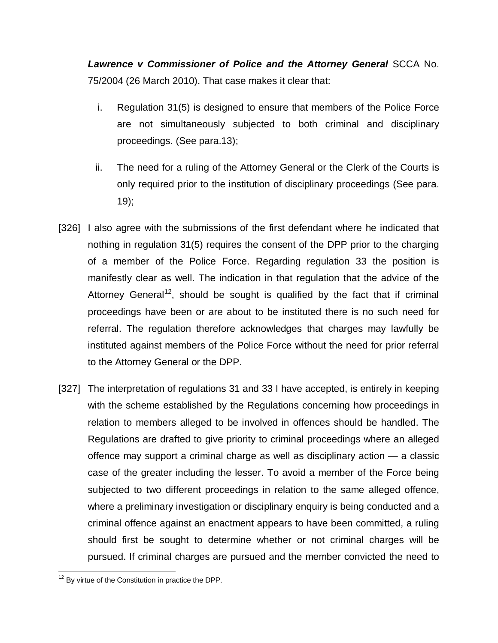*Lawrence v Commissioner of Police and the Attorney General* SCCA No. 75/2004 (26 March 2010). That case makes it clear that:

- i. Regulation 31(5) is designed to ensure that members of the Police Force are not simultaneously subjected to both criminal and disciplinary proceedings. (See para.13);
- ii. The need for a ruling of the Attorney General or the Clerk of the Courts is only required prior to the institution of disciplinary proceedings (See para.  $19$ ;
- [326] I also agree with the submissions of the first defendant where he indicated that nothing in regulation 31(5) requires the consent of the DPP prior to the charging of a member of the Police Force. Regarding regulation 33 the position is manifestly clear as well. The indication in that regulation that the advice of the Attorney General<sup>[12](#page-119-0)</sup>, should be sought is qualified by the fact that if criminal proceedings have been or are about to be instituted there is no such need for referral. The regulation therefore acknowledges that charges may lawfully be instituted against members of the Police Force without the need for prior referral to the Attorney General or the DPP.
- [327] The interpretation of regulations 31 and 33 I have accepted, is entirely in keeping with the scheme established by the Regulations concerning how proceedings in relation to members alleged to be involved in offences should be handled. The Regulations are drafted to give priority to criminal proceedings where an alleged offence may support a criminal charge as well as disciplinary action — a classic case of the greater including the lesser. To avoid a member of the Force being subjected to two different proceedings in relation to the same alleged offence, where a preliminary investigation or disciplinary enquiry is being conducted and a criminal offence against an enactment appears to have been committed, a ruling should first be sought to determine whether or not criminal charges will be pursued. If criminal charges are pursued and the member convicted the need to

<span id="page-119-0"></span> $12$  By virtue of the Constitution in practice the DPP.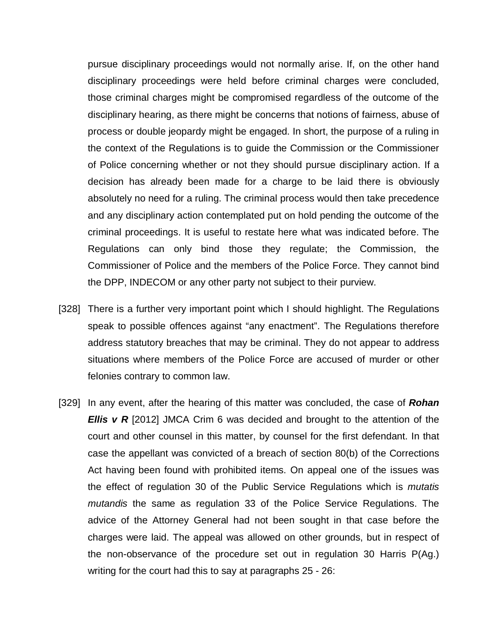pursue disciplinary proceedings would not normally arise. If, on the other hand disciplinary proceedings were held before criminal charges were concluded, those criminal charges might be compromised regardless of the outcome of the disciplinary hearing, as there might be concerns that notions of fairness, abuse of process or double jeopardy might be engaged. In short, the purpose of a ruling in the context of the Regulations is to guide the Commission or the Commissioner of Police concerning whether or not they should pursue disciplinary action. If a decision has already been made for a charge to be laid there is obviously absolutely no need for a ruling. The criminal process would then take precedence and any disciplinary action contemplated put on hold pending the outcome of the criminal proceedings. It is useful to restate here what was indicated before. The Regulations can only bind those they regulate; the Commission, the Commissioner of Police and the members of the Police Force. They cannot bind the DPP, INDECOM or any other party not subject to their purview.

- [328] There is a further very important point which I should highlight. The Regulations speak to possible offences against "any enactment". The Regulations therefore address statutory breaches that may be criminal. They do not appear to address situations where members of the Police Force are accused of murder or other felonies contrary to common law.
- [329] In any event, after the hearing of this matter was concluded, the case of *Rohan Ellis v R* [2012] JMCA Crim 6 was decided and brought to the attention of the court and other counsel in this matter, by counsel for the first defendant. In that case the appellant was convicted of a breach of section 80(b) of the Corrections Act having been found with prohibited items. On appeal one of the issues was the effect of regulation 30 of the Public Service Regulations which is *mutatis mutandis* the same as regulation 33 of the Police Service Regulations. The advice of the Attorney General had not been sought in that case before the charges were laid. The appeal was allowed on other grounds, but in respect of the non-observance of the procedure set out in regulation 30 Harris P(Ag.) writing for the court had this to say at paragraphs 25 - 26: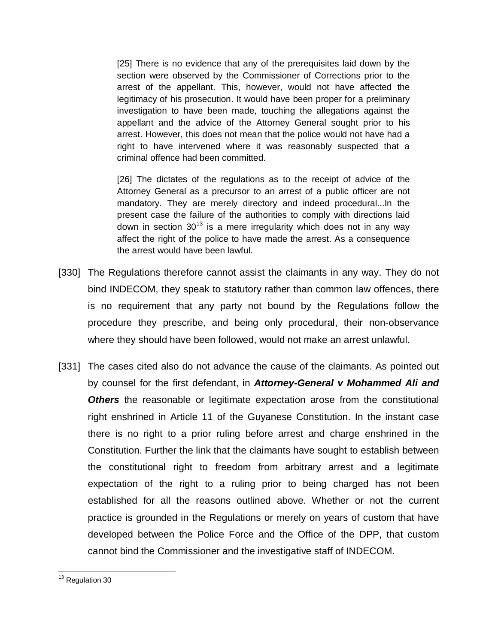[25] There is no evidence that any of the prerequisites laid down by the section were observed by the Commissioner of Corrections prior to the arrest of the appellant. This, however, would not have affected the legitimacy of his prosecution. It would have been proper for a preliminary investigation to have been made, touching the allegations against the appellant and the advice of the Attorney General sought prior to his arrest. However, this does not mean that the police would not have had a right to have intervened where it was reasonably suspected that a criminal offence had been committed.

[26] The dictates of the regulations as to the receipt of advice of the Attorney General as a precursor to an arrest of a public officer are not mandatory. They are merely directory and indeed procedural...In the present case the failure of the authorities to comply with directions laid down in section  $30^{13}$  $30^{13}$  $30^{13}$  is a mere irregularity which does not in any way affect the right of the police to have made the arrest. As a consequence the arrest would have been lawful.

- [330] The Regulations therefore cannot assist the claimants in any way. They do not bind INDECOM, they speak to statutory rather than common law offences, there is no requirement that any party not bound by the Regulations follow the procedure they prescribe, and being only procedural, their non-observance where they should have been followed, would not make an arrest unlawful.
- [331] The cases cited also do not advance the cause of the claimants. As pointed out by counsel for the first defendant, in *Attorney-General v Mohammed Ali and*  **Others** the reasonable or legitimate expectation arose from the constitutional right enshrined in Article 11 of the Guyanese Constitution. In the instant case there is no right to a prior ruling before arrest and charge enshrined in the Constitution. Further the link that the claimants have sought to establish between the constitutional right to freedom from arbitrary arrest and a legitimate expectation of the right to a ruling prior to being charged has not been established for all the reasons outlined above. Whether or not the current practice is grounded in the Regulations or merely on years of custom that have developed between the Police Force and the Office of the DPP, that custom cannot bind the Commissioner and the investigative staff of INDECOM.

<span id="page-121-0"></span><sup>&</sup>lt;sup>13</sup> Regulation 30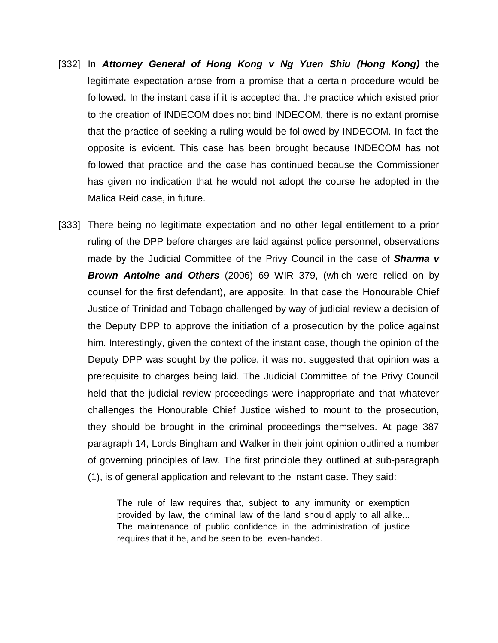- [332] In *Attorney General of Hong Kong v Ng Yuen Shiu (Hong Kong)* the legitimate expectation arose from a promise that a certain procedure would be followed. In the instant case if it is accepted that the practice which existed prior to the creation of INDECOM does not bind INDECOM, there is no extant promise that the practice of seeking a ruling would be followed by INDECOM. In fact the opposite is evident. This case has been brought because INDECOM has not followed that practice and the case has continued because the Commissioner has given no indication that he would not adopt the course he adopted in the Malica Reid case, in future.
- [333] There being no legitimate expectation and no other legal entitlement to a prior ruling of the DPP before charges are laid against police personnel, observations made by the Judicial Committee of the Privy Council in the case of *Sharma v Brown Antoine and Others* (2006) 69 WIR 379, (which were relied on by counsel for the first defendant), are apposite. In that case the Honourable Chief Justice of Trinidad and Tobago challenged by way of judicial review a decision of the Deputy DPP to approve the initiation of a prosecution by the police against him. Interestingly, given the context of the instant case, though the opinion of the Deputy DPP was sought by the police, it was not suggested that opinion was a prerequisite to charges being laid. The Judicial Committee of the Privy Council held that the judicial review proceedings were inappropriate and that whatever challenges the Honourable Chief Justice wished to mount to the prosecution, they should be brought in the criminal proceedings themselves. At page 387 paragraph 14, Lords Bingham and Walker in their joint opinion outlined a number of governing principles of law. The first principle they outlined at sub-paragraph (1), is of general application and relevant to the instant case. They said:

The rule of law requires that, subject to any immunity or exemption provided by law, the criminal law of the land should apply to all alike... The maintenance of public confidence in the administration of justice requires that it be, and be seen to be, even-handed.